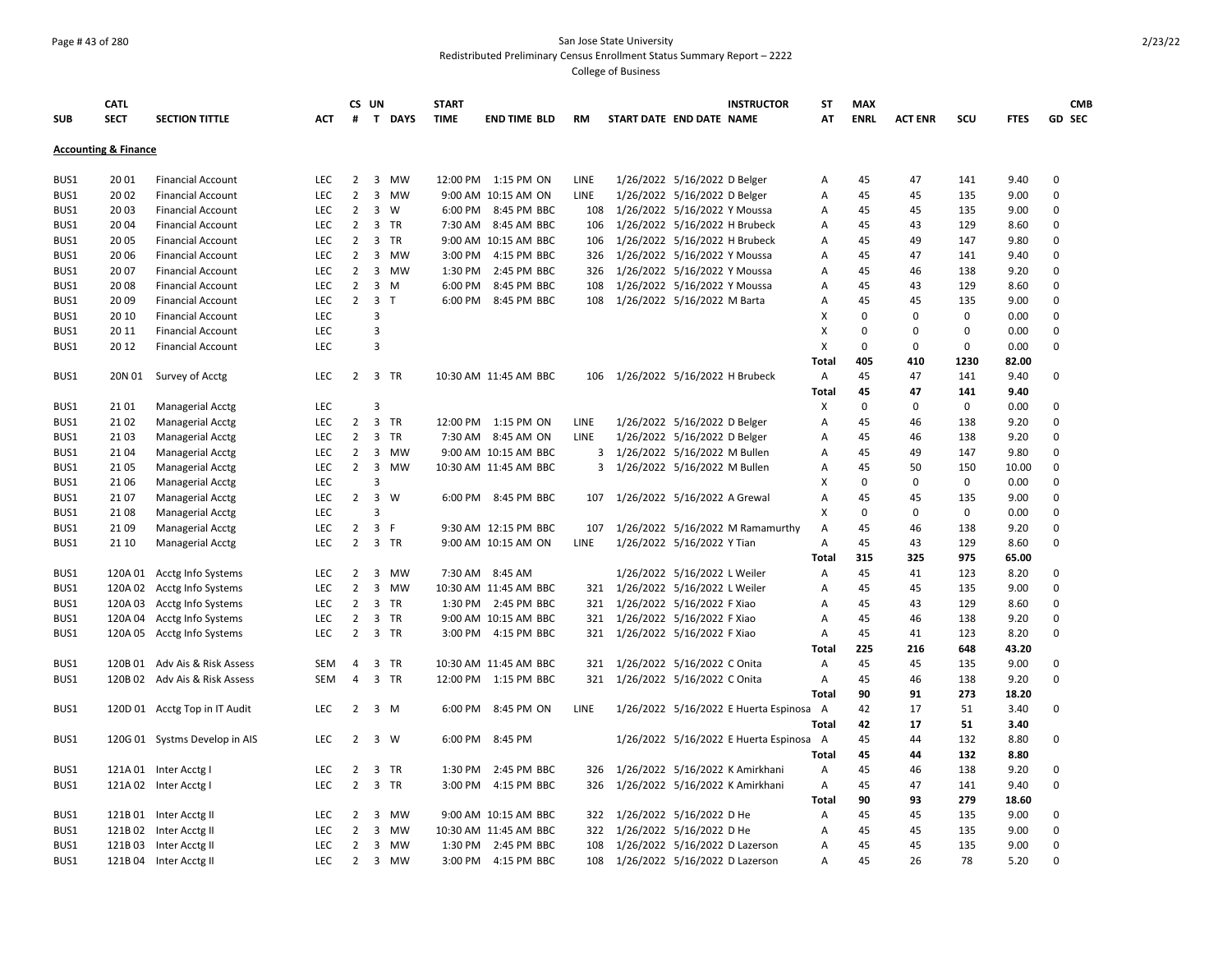## Page # 43 of 280 San Jose State University Redistributed Preliminary Census Enrollment Status Summary Report – 2222

|            | <b>CATL</b>                     |                               |            |                                  | CS UN                   |           | <b>START</b> |                       |           |                                   |                              | <b>INSTRUCTOR</b>                       | <b>ST</b>    | <b>MAX</b>  |                |              |             | <b>CMB</b>    |
|------------|---------------------------------|-------------------------------|------------|----------------------------------|-------------------------|-----------|--------------|-----------------------|-----------|-----------------------------------|------------------------------|-----------------------------------------|--------------|-------------|----------------|--------------|-------------|---------------|
| <b>SUB</b> | <b>SECT</b>                     | <b>SECTION TITTLE</b>         | <b>ACT</b> | #                                |                         | T DAYS    | <b>TIME</b>  | <b>END TIME BLD</b>   | <b>RM</b> | START DATE END DATE NAME          |                              |                                         | AT           | <b>ENRL</b> | <b>ACT ENR</b> | SCU          | <b>FTES</b> | <b>GD SEC</b> |
|            | <b>Accounting &amp; Finance</b> |                               |            |                                  |                         |           |              |                       |           |                                   |                              |                                         |              |             |                |              |             |               |
| BUS1       | 20 01                           | <b>Financial Account</b>      | LEC        | $\overline{2}$                   |                         | 3 MW      |              | 12:00 PM 1:15 PM ON   | LINE      |                                   | 1/26/2022 5/16/2022 D Belger |                                         | Α            | 45          | 47             | 141          | 9.40        | $\mathbf 0$   |
| BUS1       | 20 02                           | <b>Financial Account</b>      | <b>LEC</b> | $\overline{2}$                   | 3                       | <b>MW</b> |              | 9:00 AM 10:15 AM ON   | LINE      |                                   | 1/26/2022 5/16/2022 D Belger |                                         | Α            | 45          | 45             | 135          | 9.00        | $\Omega$      |
| BUS1       | 2003                            | <b>Financial Account</b>      | <b>LEC</b> | $\overline{2}$                   |                         | 3 W       |              | 6:00 PM 8:45 PM BBC   | 108       | 1/26/2022 5/16/2022 Y Moussa      |                              |                                         | Α            | 45          | 45             | 135          | 9.00        | $\Omega$      |
| BUS1       | 2004                            | <b>Financial Account</b>      | <b>LEC</b> | $\overline{2}$                   |                         | 3 TR      |              | 7:30 AM 8:45 AM BBC   | 106       | 1/26/2022 5/16/2022 H Brubeck     |                              |                                         | Α            | 45          | 43             | 129          | 8.60        | $\mathbf 0$   |
| BUS1       | 2005                            | <b>Financial Account</b>      | <b>LEC</b> | $\overline{2}$                   | 3                       | <b>TR</b> |              | 9:00 AM 10:15 AM BBC  | 106       | 1/26/2022 5/16/2022 H Brubeck     |                              |                                         | A            | 45          | 49             | 147          | 9.80        | $\Omega$      |
| BUS1       | 2006                            | <b>Financial Account</b>      | <b>LEC</b> | $\overline{2}$                   | 3                       | MW        | 3:00 PM      | 4:15 PM BBC           | 326       | 1/26/2022 5/16/2022 Y Moussa      |                              |                                         | А            | 45          | 47             | 141          | 9.40        | $\mathbf 0$   |
| BUS1       | 20 07                           | <b>Financial Account</b>      | LEC        | $\overline{2}$                   | $\overline{\mathbf{3}}$ | MW        | 1:30 PM      | 2:45 PM BBC           | 326       | 1/26/2022 5/16/2022 Y Moussa      |                              |                                         | Α            | 45          | 46             | 138          | 9.20        | $\Omega$      |
| BUS1       | 2008                            | <b>Financial Account</b>      | LEC        | $\overline{2}$                   | $\overline{3}$          | M         | 6:00 PM      | 8:45 PM BBC           | 108       | 1/26/2022 5/16/2022 Y Moussa      |                              |                                         | A            | 45          | 43             | 129          | 8.60        | $\mathbf 0$   |
| BUS1       | 20 09                           | <b>Financial Account</b>      | LEC        | $2^{\circ}$                      | 3 <sub>1</sub>          |           |              | 6:00 PM 8:45 PM BBC   | 108       | 1/26/2022 5/16/2022 M Barta       |                              |                                         | Α            | 45          | 45             | 135          | 9.00        | $\mathbf 0$   |
| BUS1       | 20 10                           | <b>Financial Account</b>      | <b>LEC</b> |                                  | 3                       |           |              |                       |           |                                   |                              |                                         | X            | $\mathbf 0$ | $\mathbf 0$    | $\mathbf 0$  | 0.00        | $\Omega$      |
| BUS1       | 20 11                           | <b>Financial Account</b>      | LEC        |                                  | 3                       |           |              |                       |           |                                   |                              |                                         | X            | $\mathbf 0$ | $\mathbf 0$    | 0            | 0.00        | $\mathbf 0$   |
| BUS1       | 20 12                           | <b>Financial Account</b>      | LEC        |                                  | $\overline{3}$          |           |              |                       |           |                                   |                              |                                         | X            | $\mathbf 0$ | $\pmb{0}$      | $\mathbf 0$  | 0.00        | 0             |
|            |                                 |                               |            |                                  |                         |           |              |                       |           |                                   |                              |                                         | <b>Total</b> | 405         | 410            | 1230         | 82.00       |               |
| BUS1       | 20N 01                          | Survey of Acctg               | <b>LEC</b> |                                  | 2 3 TR                  |           |              | 10:30 AM 11:45 AM BBC |           | 106 1/26/2022 5/16/2022 H Brubeck |                              |                                         | Α            | 45          | 47             | 141          | 9.40        | $\mathbf 0$   |
|            |                                 |                               |            |                                  |                         |           |              |                       |           |                                   |                              |                                         | <b>Total</b> | 45          | 47             | 141          | 9.40        |               |
| BUS1       | 2101                            | Managerial Acctg              | <b>LEC</b> |                                  | 3                       |           |              |                       |           |                                   |                              |                                         | х            | $\mathbf 0$ | $\mathbf 0$    | $\mathbf{0}$ | 0.00        | $\Omega$      |
| BUS1       | 2102                            | Managerial Acctg              | LEC        | $\overline{2}$                   | $\overline{3}$          | TR        |              | 12:00 PM 1:15 PM ON   | LINE      |                                   | 1/26/2022 5/16/2022 D Belger |                                         | Α            | 45          | 46             | 138          | 9.20        | $\mathbf 0$   |
| BUS1       | 2103                            | Managerial Acctg              | <b>LEC</b> | $\overline{2}$                   | $\overline{3}$          | <b>TR</b> |              | 7:30 AM 8:45 AM ON    | LINE      |                                   | 1/26/2022 5/16/2022 D Belger |                                         | Α            | 45          | 46             | 138          | 9.20        | $\Omega$      |
| BUS1       | 2104                            | Managerial Acctg              | <b>LEC</b> | $\overline{2}$                   | 3                       | MW        |              | 9:00 AM 10:15 AM BBC  | 3         | 1/26/2022 5/16/2022 M Bullen      |                              |                                         | А            | 45          | 49             | 147          | 9.80        | $\mathbf 0$   |
| BUS1       | 2105                            | Managerial Acctg              | LEC        | $\overline{2}$                   | $\overline{\mathbf{3}}$ | MW        |              | 10:30 AM 11:45 AM BBC |           | 3 1/26/2022 5/16/2022 M Bullen    |                              |                                         | Α            | 45          | 50             | 150          | 10.00       | $\mathbf 0$   |
| BUS1       | 21 06                           | Managerial Acctg              | <b>LEC</b> |                                  | 3                       |           |              |                       |           |                                   |                              |                                         | x            | $\mathbf 0$ | $\mathbf 0$    | $\mathbf{0}$ | 0.00        | $\Omega$      |
| BUS1       | 2107                            | Managerial Acctg              | <b>LEC</b> | $\overline{2}$                   | $\overline{3}$          | W         |              | 6:00 PM 8:45 PM BBC   |           | 107 1/26/2022 5/16/2022 A Grewal  |                              |                                         | А            | 45          | 45             | 135          | 9.00        | $\Omega$      |
| BUS1       | 2108                            | <b>Managerial Acctg</b>       | LEC        |                                  | $\overline{3}$          |           |              |                       |           |                                   |                              |                                         | x            | $\mathbf 0$ | $\pmb{0}$      | $\mathbf 0$  | 0.00        | $\Omega$      |
| BUS1       | 2109                            | Managerial Acctg              | LEC        | $\overline{2}$                   | 3 F                     |           |              | 9:30 AM 12:15 PM BBC  | 107       |                                   |                              | 1/26/2022 5/16/2022 M Ramamurthy        | Α            | 45          | 46             | 138          | 9.20        | $\Omega$      |
| BUS1       | 21 10                           | Managerial Acctg              | LEC        | $2^{\circ}$                      |                         | 3 TR      |              | 9:00 AM 10:15 AM ON   | LINE      |                                   | 1/26/2022 5/16/2022 Y Tian   |                                         | А            | 45          | 43             | 129          | 8.60        | 0             |
|            |                                 |                               |            |                                  |                         |           |              |                       |           |                                   |                              |                                         | <b>Total</b> | 315         | 325            | 975          | 65.00       |               |
| BUS1       | 120A 01                         | Acctg Info Systems            | <b>LEC</b> | $\overline{2}$                   |                         | 3 MW      |              | 7:30 AM 8:45 AM       |           |                                   | 1/26/2022 5/16/2022 L Weiler |                                         | Α            | 45          | 41             | 123          | 8.20        | $\Omega$      |
| BUS1       | 120A 02                         | Acctg Info Systems            | LEC        | $\overline{2}$                   | 3                       | MW        |              | 10:30 AM 11:45 AM BBC | 321       | 1/26/2022 5/16/2022 L Weiler      |                              |                                         | Α            | 45          | 45             | 135          | 9.00        | $\Omega$      |
| BUS1       | 120A 03                         | Acctg Info Systems            | <b>LEC</b> | $\overline{2}$                   | $\overline{\mathbf{3}}$ | TR        |              | 1:30 PM 2:45 PM BBC   | 321       | 1/26/2022 5/16/2022 F Xiao        |                              |                                         | A            | 45          | 43             | 129          | 8.60        | $\Omega$      |
| BUS1       | 120A 04                         | Acctg Info Systems            | LEC        | $\overline{2}$                   |                         | 3 TR      |              | 9:00 AM 10:15 AM BBC  |           | 321 1/26/2022 5/16/2022 F Xiao    |                              |                                         | А            | 45          | 46             | 138          | 9.20        | $\mathbf 0$   |
| BUS1       |                                 | 120A 05 Acctg Info Systems    | <b>LEC</b> | $\overline{2}$                   |                         | 3 TR      |              | 3:00 PM 4:15 PM BBC   |           | 321 1/26/2022 5/16/2022 F Xiao    |                              |                                         | Α            | 45          | 41             | 123          | 8.20        | $\Omega$      |
|            |                                 |                               |            |                                  |                         |           |              |                       |           |                                   |                              |                                         | <b>Total</b> | 225         | 216            | 648          | 43.20       |               |
| BUS1       |                                 | 120B 01 Adv Ais & Risk Assess | <b>SEM</b> | 4                                |                         | 3 TR      |              | 10:30 AM 11:45 AM BBC |           | 321 1/26/2022 5/16/2022 C Onita   |                              |                                         | Α            | 45          | 45             | 135          | 9.00        | $\mathbf 0$   |
| BUS1       |                                 | 120B 02 Adv Ais & Risk Assess | <b>SEM</b> | 4                                |                         | 3 TR      |              | 12:00 PM 1:15 PM BBC  |           | 321 1/26/2022 5/16/2022 C Onita   |                              |                                         | A            | 45          | 46             | 138          | 9.20        | $\Omega$      |
|            |                                 |                               |            |                                  |                         |           |              |                       |           |                                   |                              |                                         | Total        | 90          | 91             | 273          | 18.20       |               |
| BUS1       |                                 | 120D 01 Acctg Top in IT Audit | LEC        | $\overline{2}$                   |                         | 3 M       |              | 6:00 PM 8:45 PM ON    | LINE      |                                   |                              | 1/26/2022 5/16/2022 E Huerta Espinosa A |              | 42          | 17             | 51           | 3.40        | 0             |
|            |                                 |                               |            |                                  |                         |           |              |                       |           |                                   |                              |                                         | <b>Total</b> | 42          | 17             | 51           | 3.40        |               |
| BUS1       |                                 | 120G 01 Systms Develop in AIS | <b>LEC</b> | $\overline{2}$                   |                         | 3 W       |              | 6:00 PM 8:45 PM       |           |                                   |                              | 1/26/2022 5/16/2022 E Huerta Espinosa A |              | 45          | 44             | 132          | 8.80        | $\mathbf 0$   |
|            |                                 |                               |            |                                  |                         |           |              |                       |           |                                   |                              |                                         | <b>Total</b> | 45          | 44             | 132          | 8.80        |               |
| BUS1       |                                 | 121A 01 Inter Acctg I         | <b>LEC</b> | 2                                |                         | 3 TR      | 1:30 PM      | 2:45 PM BBC           | 326       |                                   |                              | 1/26/2022 5/16/2022 K Amirkhani         | Α            | 45          | 46             | 138          | 9.20        | $\Omega$      |
| BUS1       |                                 | 121A 02 Inter Acctg I         | LEC        | $\overline{2}$                   | $\overline{3}$          | TR        | 3:00 PM      | 4:15 PM BBC           | 326       |                                   |                              | 1/26/2022 5/16/2022 K Amirkhani         | А            | 45          | 47             | 141          | 9.40        | $\mathbf 0$   |
|            |                                 |                               |            |                                  |                         |           |              |                       |           |                                   |                              |                                         | Total        | 90          | 93             | 279          | 18.60       |               |
| BUS1       |                                 | 121B 01 Inter Acctg II        | LEC        | $\overline{2}$<br>$\overline{2}$ | 3                       | MW        |              | 9:00 AM 10:15 AM BBC  | 322       | 1/26/2022 5/16/2022 D He          |                              |                                         | Α            | 45          | 45             | 135          | 9.00        | 0<br>$\Omega$ |
| BUS1       |                                 | 121B 02 Inter Acctg II        | LEC        |                                  |                         | 3 MW      |              | 10:30 AM 11:45 AM BBC |           | 322 1/26/2022 5/16/2022 D He      |                              |                                         | Α            | 45          | 45             | 135          | 9.00        | $\Omega$      |
| BUS1       |                                 | 121B 03 Inter Acctg II        | <b>LEC</b> | $\overline{2}$                   |                         | 3 MW      |              | 1:30 PM 2:45 PM BBC   | 108       |                                   |                              | 1/26/2022 5/16/2022 D Lazerson          | Α            | 45          | 45             | 135          | 9.00        | $\Omega$      |
| BUS1       |                                 | 121B 04 Inter Acctg II        | LEC        | $\overline{2}$                   |                         | 3 MW      | 3:00 PM      | 4:15 PM BBC           | 108       | 1/26/2022 5/16/2022 D Lazerson    |                              |                                         | A            | 45          | 26             | 78           | 5.20        |               |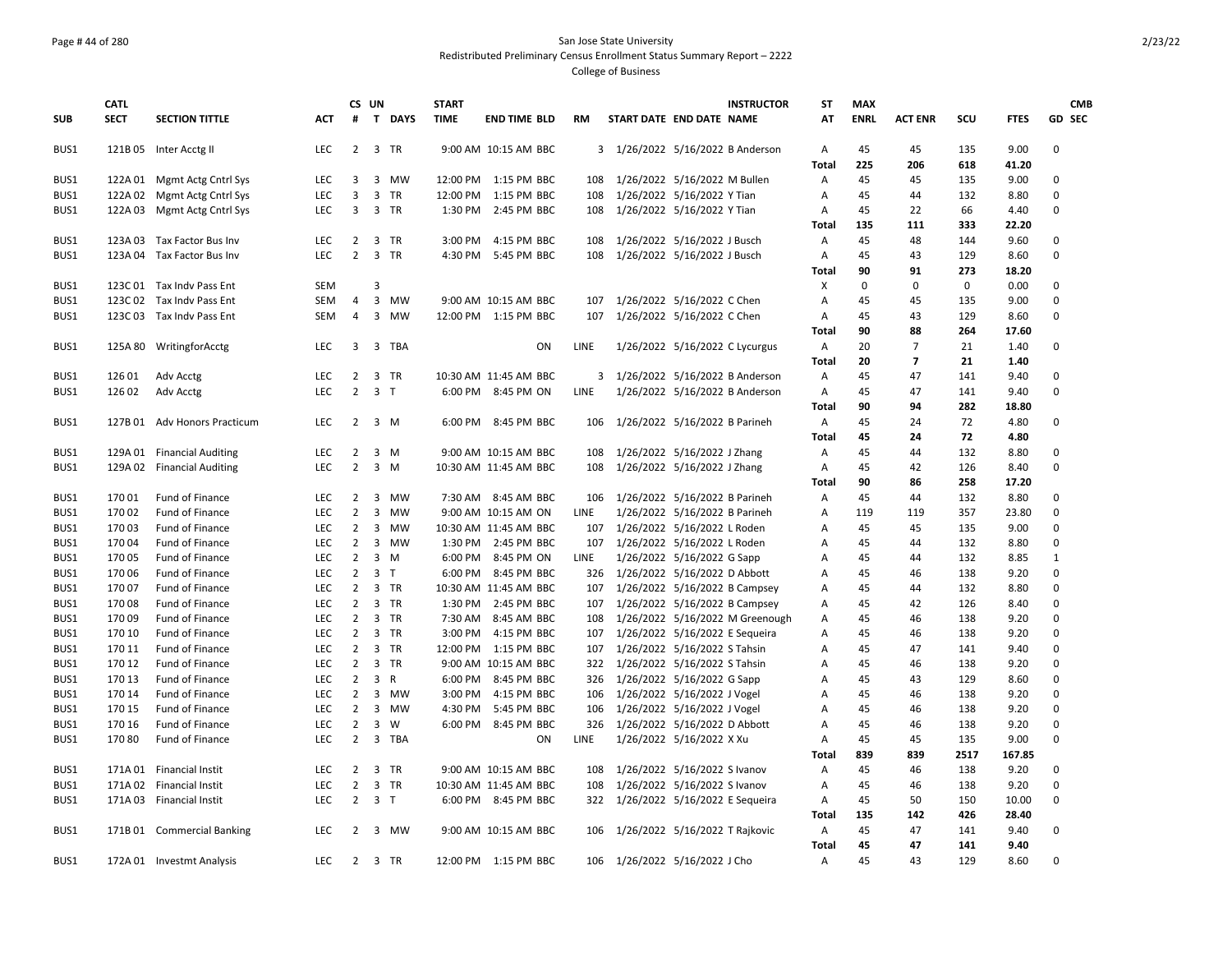### Page # 44 of 280 San Jose State University Redistributed Preliminary Census Enrollment Status Summary Report – 2222 College of Business

|            | <b>CATL</b> |                             |            |                | CS UN          |          | <b>START</b> |                       |           |                                  |                                | <b>INSTRUCTOR</b>               | <b>ST</b>      | <b>MAX</b>  |                |             |             | <b>CMB</b>    |
|------------|-------------|-----------------------------|------------|----------------|----------------|----------|--------------|-----------------------|-----------|----------------------------------|--------------------------------|---------------------------------|----------------|-------------|----------------|-------------|-------------|---------------|
| <b>SUB</b> | <b>SECT</b> | <b>SECTION TITTLE</b>       | <b>ACT</b> | #              |                | T DAYS   | <b>TIME</b>  | <b>END TIME BLD</b>   | <b>RM</b> | START DATE END DATE NAME         |                                |                                 | AT             | <b>ENRL</b> | <b>ACT ENR</b> | scu         | <b>FTES</b> | <b>GD SEC</b> |
| BUS1       |             | 121B 05 Inter Acctg II      | <b>LEC</b> |                | 2 3 TR         |          |              | 9:00 AM 10:15 AM BBC  |           | 3 1/26/2022 5/16/2022 B Anderson |                                |                                 | $\overline{A}$ | 45          | 45             | 135         | 9.00        | 0             |
|            |             |                             |            |                |                |          |              |                       |           |                                  |                                |                                 | <b>Total</b>   | 225         | 206            | 618         | 41.20       |               |
| BUS1       | 122A 01     | Mgmt Actg Cntrl Sys         | <b>LEC</b> | 3              | 3              | MW       |              | 12:00 PM 1:15 PM BBC  | 108       | 1/26/2022 5/16/2022 M Bullen     |                                |                                 | A              | 45          | 45             | 135         | 9.00        | 0             |
| BUS1       | 122A 02     | Mgmt Actg Cntrl Sys         | <b>LEC</b> | 3              |                | 3 TR     |              | 12:00 PM 1:15 PM BBC  | 108       | 1/26/2022 5/16/2022 Y Tian       |                                |                                 | Α              | 45          | 44             | 132         | 8.80        | $\pmb{0}$     |
| BUS1       |             | 122A 03 Mgmt Actg Cntrl Sys | <b>LEC</b> | $\overline{3}$ |                | 3 TR     |              | 1:30 PM 2:45 PM BBC   | 108       | 1/26/2022 5/16/2022 Y Tian       |                                |                                 | Α              | 45          | 22             | 66          | 4.40        | $\mathbf 0$   |
|            |             |                             |            |                |                |          |              |                       |           |                                  |                                |                                 | Total          | 135         | 111            | 333         | 22.20       |               |
| BUS1       |             | 123A 03 Tax Factor Bus Inv  | <b>LEC</b> | $\overline{2}$ |                | 3 TR     | 3:00 PM      | 4:15 PM BBC           | 108       | 1/26/2022 5/16/2022 J Busch      |                                |                                 | Α              | 45          | 48             | 144         | 9.60        | 0             |
| BUS1       |             | 123A 04 Tax Factor Bus Inv  | <b>LEC</b> | $\overline{2}$ |                | 3 TR     | 4:30 PM      | 5:45 PM BBC           | 108       | 1/26/2022 5/16/2022 J Busch      |                                |                                 | A              | 45          | 43             | 129         | 8.60        | $\Omega$      |
|            |             |                             |            |                |                |          |              |                       |           |                                  |                                |                                 | Total          | 90          | 91             | 273         | 18.20       |               |
| BUS1       |             | 123C 01 Tax Indv Pass Ent   | <b>SEM</b> |                | 3              |          |              |                       |           |                                  |                                |                                 | X              | 0           | 0              | $\mathsf 0$ | 0.00        | $\pmb{0}$     |
| BUS1       |             | 123C 02 Tax Indv Pass Ent   | <b>SEM</b> | 4              | 3              | MW       |              | 9:00 AM 10:15 AM BBC  | 107       | 1/26/2022 5/16/2022 C Chen       |                                |                                 | Α              | 45          | 45             | 135         | 9.00        | $\mathbf 0$   |
| BUS1       |             | 123C 03 Tax Indv Pass Ent   | <b>SEM</b> | 4              | 3              | MW       |              | 12:00 PM 1:15 PM BBC  | 107       | 1/26/2022 5/16/2022 C Chen       |                                |                                 | Α              | 45          | 43             | 129         | 8.60        | $\pmb{0}$     |
|            |             |                             |            |                |                |          |              |                       |           |                                  |                                |                                 | <b>Total</b>   | 90          | 88             | 264         | 17.60       |               |
| BUS1       | 125A 80     | WritingforAcctg             | <b>LEC</b> | 3              |                | 3 TBA    |              | ON                    | LINE      |                                  | 1/26/2022 5/16/2022 C Lycurgus |                                 | A              | 20          | $\overline{7}$ | 21          | 1.40        | 0             |
|            |             |                             |            |                |                |          |              |                       |           |                                  |                                |                                 | Total          | 20          | 7              | 21          | 1.40        |               |
| BUS1       | 126 01      | Adv Acctg                   | <b>LEC</b> | $\overline{2}$ |                | 3 TR     |              | 10:30 AM 11:45 AM BBC |           | 3 1/26/2022 5/16/2022 B Anderson |                                |                                 | Α              | 45          | 47             | 141         | 9.40        | $\mathbf 0$   |
| BUS1       | 126 02      | Adv Acctg                   | <b>LEC</b> | $\overline{2}$ | 3 <sub>1</sub> |          |              | 6:00 PM 8:45 PM ON    | LINE      |                                  |                                | 1/26/2022 5/16/2022 B Anderson  | A              | 45          | 47             | 141         | 9.40        | $\mathbf 0$   |
|            |             |                             |            |                |                |          |              |                       |           |                                  |                                |                                 | <b>Total</b>   | 90          | 94             | 282         | 18.80       |               |
| BUS1       | 127B 01     | <b>Adv Honors Practicum</b> | <b>LEC</b> | 2              |                | 3 M      | 6:00 PM      | 8:45 PM BBC           | 106       | 1/26/2022 5/16/2022 B Parineh    |                                |                                 | $\overline{A}$ | 45          | 24             | 72          | 4.80        | $\Omega$      |
|            |             |                             |            |                |                |          |              |                       |           |                                  |                                |                                 | Total          | 45          | 24             | 72          | 4.80        |               |
| BUS1       | 129A 01     | <b>Financial Auditing</b>   | LEC        | $\overline{2}$ |                | $3 \, M$ |              | 9:00 AM 10:15 AM BBC  | 108       | 1/26/2022 5/16/2022 J Zhang      |                                |                                 | Α              | 45          | 44             | 132         | 8.80        | $\pmb{0}$     |
| BUS1       |             | 129A 02 Financial Auditing  | <b>LEC</b> | $\overline{2}$ |                | 3 M      |              | 10:30 AM 11:45 AM BBC | 108       | 1/26/2022 5/16/2022 J Zhang      |                                |                                 | Α              | 45          | 42             | 126         | 8.40        | $\mathbf 0$   |
|            |             |                             |            |                |                |          |              |                       |           |                                  |                                |                                 | <b>Total</b>   | 90          | 86             | 258         | 17.20       |               |
| BUS1       | 17001       | Fund of Finance             | LEC.       | $\overline{2}$ |                | 3 MW     |              | 7:30 AM 8:45 AM BBC   | 106       | 1/26/2022 5/16/2022 B Parineh    |                                |                                 | $\overline{A}$ | 45          | 44             | 132         | 8.80        | $\mathbf 0$   |
| BUS1       | 17002       | Fund of Finance             | <b>LEC</b> | $\overline{2}$ |                | 3 MW     |              | 9:00 AM 10:15 AM ON   | LINE      | 1/26/2022 5/16/2022 B Parineh    |                                |                                 | A              | 119         | 119            | 357         | 23.80       | $\mathbf 0$   |
| BUS1       | 17003       | Fund of Finance             | <b>LEC</b> | $\overline{2}$ | 3              | MW       |              | 10:30 AM 11:45 AM BBC | 107       | 1/26/2022 5/16/2022 L Roden      |                                |                                 | Α              | 45          | 45             | 135         | 9.00        | $\Omega$      |
| BUS1       | 17004       | Fund of Finance             | <b>LEC</b> | $\overline{2}$ |                | 3 MW     |              | 1:30 PM 2:45 PM BBC   | 107       | 1/26/2022 5/16/2022 L Roden      |                                |                                 | A              | 45          | 44             | 132         | 8.80        | $\mathbf 0$   |
| BUS1       | 170 05      | Fund of Finance             | <b>LEC</b> | $\overline{2}$ | 3              | M        |              | 6:00 PM 8:45 PM ON    | LINE      | 1/26/2022 5/16/2022 G Sapp       |                                |                                 | Α              | 45          | 44             | 132         | 8.85        | 1             |
| BUS1       | 170 06      | Fund of Finance             | <b>LEC</b> | $\overline{2}$ | 3 <sub>1</sub> |          |              | 6:00 PM 8:45 PM BBC   | 326       | 1/26/2022 5/16/2022 D Abbott     |                                |                                 | Α              | 45          | 46             | 138         | 9.20        | $\mathbf 0$   |
| BUS1       | 17007       | <b>Fund of Finance</b>      | <b>LEC</b> | 2              |                | 3 TR     |              | 10:30 AM 11:45 AM BBC | 107       | 1/26/2022 5/16/2022 B Campsey    |                                |                                 | A              | 45          | 44             | 132         | 8.80        | $\Omega$      |
| BUS1       | 17008       | Fund of Finance             | <b>LEC</b> | $2^{\circ}$    |                | 3 TR     |              | 1:30 PM 2:45 PM BBC   | 107       | 1/26/2022 5/16/2022 B Campsey    |                                |                                 | Α              | 45          | 42             | 126         | 8.40        | $\Omega$      |
| BUS1       | 17009       | Fund of Finance             | <b>LEC</b> | $\overline{2}$ |                | 3 TR     | 7:30 AM      | 8:45 AM BBC           | 108       |                                  |                                | 1/26/2022 5/16/2022 M Greenough | Α              | 45          | 46             | 138         | 9.20        | $\Omega$      |
| BUS1       | 170 10      | Fund of Finance             | <b>LEC</b> | $2^{\circ}$    |                | 3 TR     | 3:00 PM      | 4:15 PM BBC           | 107       | 1/26/2022 5/16/2022 E Sequeira   |                                |                                 | Α              | 45          | 46             | 138         | 9.20        | $\mathbf 0$   |
| BUS1       | 170 11      | Fund of Finance             | <b>LEC</b> | $\overline{2}$ |                | 3 TR     |              | 12:00 PM 1:15 PM BBC  | 107       | 1/26/2022 5/16/2022 S Tahsin     |                                |                                 | Α              | 45          | 47             | 141         | 9.40        | $\pmb{0}$     |
| BUS1       | 170 12      | Fund of Finance             | LEC.       | 2              |                | 3 TR     |              | 9:00 AM 10:15 AM BBC  | 322       | 1/26/2022 5/16/2022 S Tahsin     |                                |                                 | A              | 45          | 46             | 138         | 9.20        | $\mathbf 0$   |
| BUS1       | 170 13      | Fund of Finance             | <b>LEC</b> | $\overline{2}$ | 3 R            |          | 6:00 PM      | 8:45 PM BBC           | 326       | 1/26/2022 5/16/2022 G Sapp       |                                |                                 | A              | 45          | 43             | 129         | 8.60        | $\Omega$      |
| BUS1       | 170 14      | Fund of Finance             | <b>LEC</b> | $\overline{2}$ |                | 3 MW     | 3:00 PM      | 4:15 PM BBC           | 106       | 1/26/2022 5/16/2022 J Vogel      |                                |                                 | Α              | 45          | 46             | 138         | 9.20        | $\mathbf 0$   |
| BUS1       | 170 15      | <b>Fund of Finance</b>      | <b>LEC</b> | $\overline{2}$ |                | 3 MW     | 4:30 PM      | 5:45 PM BBC           | 106       | 1/26/2022 5/16/2022 J Vogel      |                                |                                 | A              | 45          | 46             | 138         | 9.20        | $\mathbf 0$   |
| BUS1       | 170 16      | Fund of Finance             | <b>LEC</b> | $\overline{2}$ | $\overline{3}$ | W        |              | 6:00 PM 8:45 PM BBC   | 326       | 1/26/2022 5/16/2022 D Abbott     |                                |                                 | Α              | 45          | 46             | 138         | 9.20        | $\mathbf 0$   |
| BUS1       | 17080       | Fund of Finance             | <b>LEC</b> | $\overline{2}$ |                | 3 TBA    |              | ON                    | LINE      | 1/26/2022 5/16/2022 X Xu         |                                |                                 | Α              | 45          | 45             | 135         | 9.00        | $\mathbf 0$   |
|            |             |                             |            |                |                |          |              |                       |           |                                  |                                |                                 | <b>Total</b>   | 839         | 839            | 2517        | 167.85      |               |
| BUS1       |             | 171A 01 Financial Instit    | <b>LEC</b> |                | 2 3 TR         |          |              | 9:00 AM 10:15 AM BBC  | 108       | 1/26/2022 5/16/2022 S Ivanov     |                                |                                 | $\overline{A}$ | 45          | 46             | 138         | 9.20        | 0             |
| BUS1       | 171A 02     | <b>Financial Instit</b>     | <b>LEC</b> | $\overline{2}$ |                | 3 TR     |              | 10:30 AM 11:45 AM BBC | 108       | 1/26/2022 5/16/2022 S Ivanov     |                                |                                 | Α              | 45          | 46             | 138         | 9.20        | $\mathbf 0$   |
| BUS1       |             | 171A 03 Financial Instit    | <b>LEC</b> | $\overline{2}$ | 3 <sub>1</sub> |          |              | 6:00 PM 8:45 PM BBC   | 322       | 1/26/2022 5/16/2022 E Sequeira   |                                |                                 | Α              | 45          | 50             | 150         | 10.00       | $\mathbf 0$   |
|            |             |                             |            |                |                |          |              |                       |           |                                  |                                |                                 | <b>Total</b>   | 135         | 142            | 426         | 28.40       |               |
| BUS1       |             | 171B 01 Commercial Banking  | <b>LEC</b> | 2              |                | 3 MW     |              | 9:00 AM 10:15 AM BBC  | 106       | 1/26/2022 5/16/2022 T Rajkovic   |                                |                                 | Α              | 45          | 47             | 141         | 9.40        | $\mathbf 0$   |
|            |             |                             |            |                |                |          |              |                       |           |                                  |                                |                                 | <b>Total</b>   | 45          | 47             | 141         | 9.40        |               |
| BUS1       |             | 172A 01 Investmt Analysis   | <b>LEC</b> |                | 2 3 TR         |          |              | 12:00 PM 1:15 PM BBC  |           | 106 1/26/2022 5/16/2022 J Cho    |                                |                                 | Α              | 45          | 43             | 129         | 8.60        | $\Omega$      |
|            |             |                             |            |                |                |          |              |                       |           |                                  |                                |                                 |                |             |                |             |             |               |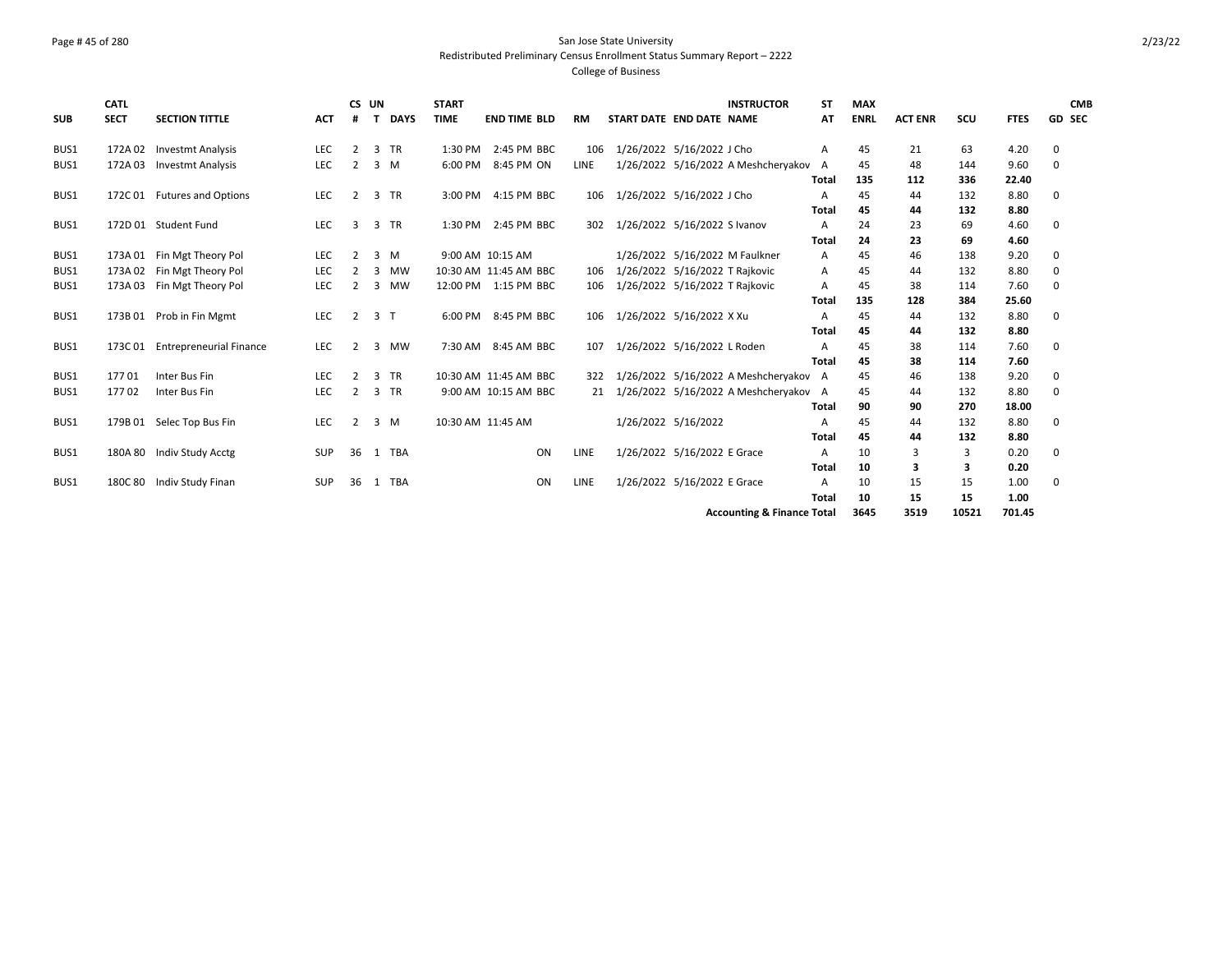### Page # 45 of 280 San Jose State University Redistributed Preliminary Census Enrollment Status Summary Report – 2222 College of Business

| <b>SUB</b> | <b>CATL</b><br><b>SECT</b> | <b>SECTION TITTLE</b>          | <b>ACT</b> | CS UN          |                | <b>DAYS</b> | <b>START</b><br><b>TIME</b> | <b>END TIME BLD</b>   | <b>RM</b> | START DATE END DATE NAME       |                             | <b>INSTRUCTOR</b>                     | <b>ST</b><br>AT | <b>MAX</b><br><b>ENRL</b> | <b>ACT ENR</b> | scu   | <b>FTES</b> | <b>CMB</b><br><b>GD SEC</b> |
|------------|----------------------------|--------------------------------|------------|----------------|----------------|-------------|-----------------------------|-----------------------|-----------|--------------------------------|-----------------------------|---------------------------------------|-----------------|---------------------------|----------------|-------|-------------|-----------------------------|
| BUS1       | 172A 02                    | <b>Investmt Analysis</b>       | <b>LEC</b> | $\overline{2}$ |                | 3 TR        | 1:30 PM                     | 2:45 PM BBC           | 106       | 1/26/2022 5/16/2022 J Cho      |                             |                                       | Α               | 45                        | 21             | 63    | 4.20        | 0                           |
| BUS1       |                            | 172A 03 Investmt Analysis      | LEC        | 2              |                | $3 \, M$    | 6:00 PM                     | 8:45 PM ON            | LINE      |                                |                             | 1/26/2022 5/16/2022 A Meshcheryakov   | A               | 45                        | 48             | 144   | 9.60        | $\mathbf{0}$                |
|            |                            |                                |            |                |                |             |                             |                       |           |                                |                             |                                       | <b>Total</b>    | 135                       | 112            | 336   | 22.40       |                             |
| BUS1       |                            | 172C 01 Futures and Options    | LEC        | 2              |                | 3 TR        | 3:00 PM                     | 4:15 PM BBC           | 106       | 1/26/2022 5/16/2022 J Cho      |                             |                                       | A               | 45                        | 44             | 132   | 8.80        | 0                           |
|            |                            |                                |            |                |                |             |                             |                       |           |                                |                             |                                       | <b>Total</b>    | 45                        | 44             | 132   | 8.80        |                             |
| BUS1       |                            | 172D 01 Student Fund           | LEC        | 3              |                | 3 TR        | 1:30 PM                     | 2:45 PM BBC           | 302       | 1/26/2022 5/16/2022 S Ivanov   |                             |                                       | A               | 24                        | 23             | 69    | 4.60        | 0                           |
|            |                            |                                |            |                |                |             |                             |                       |           |                                |                             |                                       | <b>Total</b>    | 24                        | 23             | 69    | 4.60        |                             |
| BUS1       |                            | 173A 01 Fin Mgt Theory Pol     | <b>LEC</b> | 2              |                | $3 \, M$    |                             | 9:00 AM 10:15 AM      |           |                                |                             | 1/26/2022 5/16/2022 M Faulkner        | A               | 45                        | 46             | 138   | 9.20        | 0                           |
| BUS1       |                            | 173A 02 Fin Mgt Theory Pol     | <b>LEC</b> |                | 3              | MW          |                             | 10:30 AM 11:45 AM BBC | 106       | 1/26/2022 5/16/2022 T Rajkovic |                             |                                       | A               | 45                        | 44             | 132   | 8.80        | 0                           |
| BUS1       |                            | 173A 03 Fin Mgt Theory Pol     | LEC        | $\mathcal{P}$  | 3              | MW          |                             | 12:00 PM 1:15 PM BBC  | 106       | 1/26/2022 5/16/2022 T Rajkovic |                             |                                       | A               | 45                        | 38             | 114   | 7.60        | 0                           |
|            |                            |                                |            |                |                |             |                             |                       |           |                                |                             |                                       | <b>Total</b>    | 135                       | 128            | 384   | 25.60       |                             |
| BUS1       |                            | 173B 01 Prob in Fin Mgmt       | LEC        | 2              | 3 <sub>1</sub> |             | 6:00 PM                     | 8:45 PM BBC           | 106       | 1/26/2022 5/16/2022 X Xu       |                             |                                       | A               | 45                        | 44             | 132   | 8.80        | 0                           |
|            |                            |                                |            |                |                |             |                             |                       |           |                                |                             |                                       | <b>Total</b>    | 45                        | 44             | 132   | 8.80        |                             |
| BUS1       | 173C 01                    | <b>Entrepreneurial Finance</b> | LEC        | 2              | 3              | <b>MW</b>   | 7:30 AM                     | 8:45 AM BBC           | 107       | 1/26/2022 5/16/2022 L Roden    |                             |                                       | A               | 45                        | 38             | 114   | 7.60        | 0                           |
|            |                            |                                |            |                |                |             |                             |                       |           |                                |                             |                                       | Total           | 45                        | 38             | 114   | 7.60        |                             |
| BUS1       | 17701                      | Inter Bus Fin                  | <b>LEC</b> | $\mathcal{P}$  |                | 3 TR        |                             | 10:30 AM 11:45 AM BBC | 322       |                                |                             | 1/26/2022 5/16/2022 A Meshcheryakov A |                 | 45                        | 46             | 138   | 9.20        | 0                           |
| BUS1       | 17702                      | Inter Bus Fin                  | <b>LEC</b> | 2              |                | 3 TR        |                             | 9:00 AM 10:15 AM BBC  | 21        |                                |                             | 1/26/2022 5/16/2022 A Meshcheryakov   | A               | 45                        | 44             | 132   | 8.80        | 0                           |
|            |                            |                                |            |                |                |             |                             |                       |           |                                |                             |                                       | <b>Total</b>    | 90                        | 90             | 270   | 18.00       |                             |
| BUS1       |                            | 179B 01 Selec Top Bus Fin      | <b>LEC</b> | 2              |                | 3 M         | 10:30 AM 11:45 AM           |                       |           | 1/26/2022 5/16/2022            |                             |                                       | Α               | 45                        | 44             | 132   | 8.80        | 0                           |
|            |                            |                                |            |                |                |             |                             |                       |           |                                |                             |                                       | <b>Total</b>    | 45                        | 44             | 132   | 8.80        |                             |
| BUS1       |                            | 180A 80 Indiv Study Acctg      | <b>SUP</b> | 36             |                | 1 TBA       |                             | ON                    | LINE      |                                | 1/26/2022 5/16/2022 E Grace |                                       | A               | 10                        | 3              | 3     | 0.20        | 0                           |
|            |                            |                                |            |                |                |             |                             |                       |           |                                |                             |                                       | <b>Total</b>    | 10                        | 3              | 3     | 0.20        |                             |
| BUS1       |                            | 180C 80 Indiv Study Finan      | SUP        | 36             |                | 1 TBA       |                             | ON                    | LINE      | 1/26/2022 5/16/2022 E Grace    |                             |                                       | Α               | 10                        | 15             | 15    | 1.00        | 0                           |
|            |                            |                                |            |                |                |             |                             |                       |           |                                |                             |                                       | Total           | 10                        | 15             | 15    | 1.00        |                             |
|            |                            |                                |            |                |                |             |                             |                       |           |                                |                             | <b>Accounting &amp; Finance Total</b> |                 | 3645                      | 3519           | 10521 | 701.45      |                             |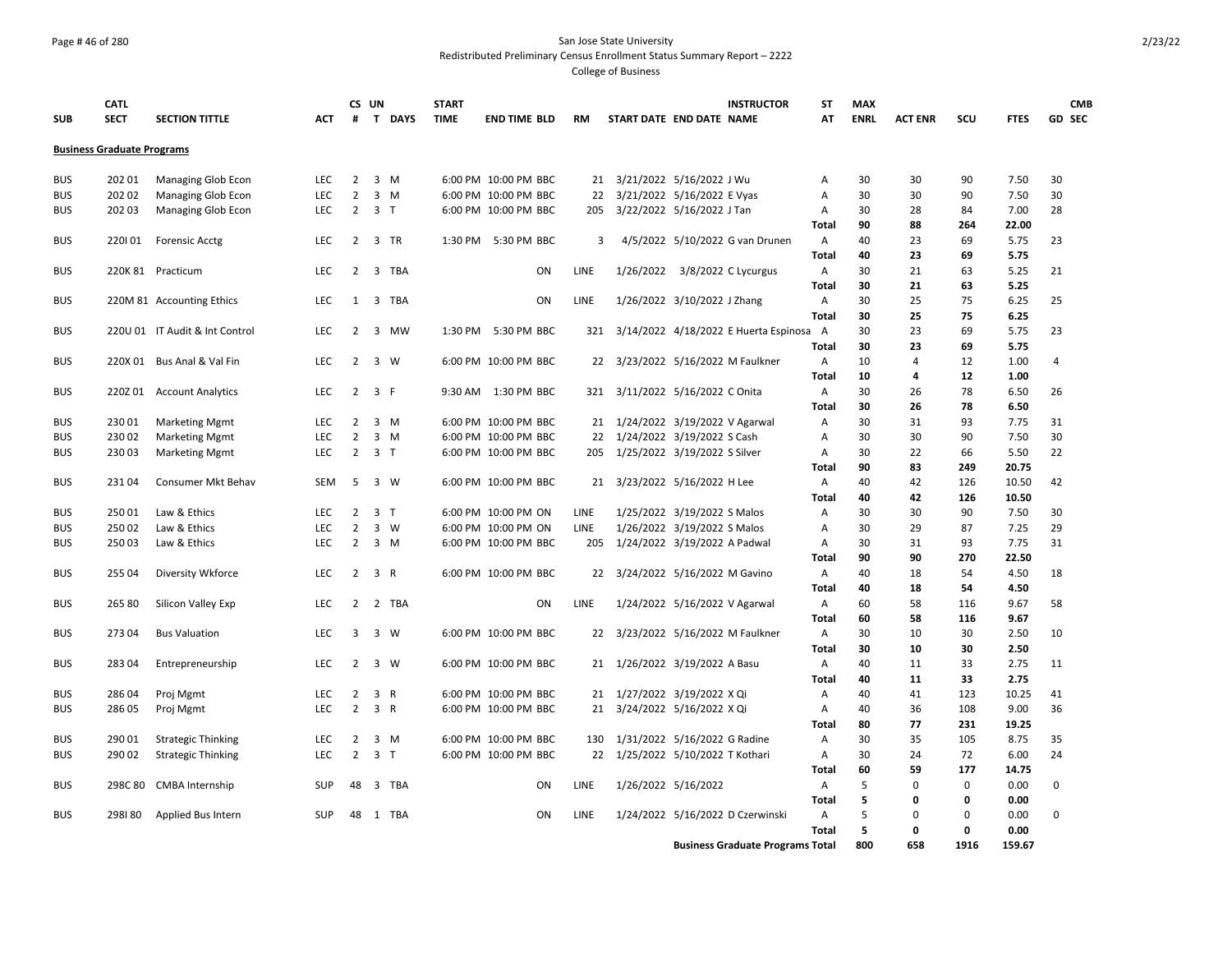## Page # 46 of 280 San Jose State University Redistributed Preliminary Census Enrollment Status Summary Report – 2222

| <b>SUB</b> | <b>CATL</b><br><b>SECT</b>        | <b>SECTION TITTLE</b>          | <b>ACT</b> | CS UN<br>#     |                     | T DAYS | <b>START</b><br><b>TIME</b> | <b>END TIME BLD</b>  |    | <b>RM</b> | START DATE END DATE NAME          |                               | <b>INSTRUCTOR</b>                       | <b>ST</b><br>AT   | <b>MAX</b><br><b>ENRL</b> | <b>ACT ENR</b> | scu      | <b>FTES</b>  | <b>CMB</b><br>GD SEC |
|------------|-----------------------------------|--------------------------------|------------|----------------|---------------------|--------|-----------------------------|----------------------|----|-----------|-----------------------------------|-------------------------------|-----------------------------------------|-------------------|---------------------------|----------------|----------|--------------|----------------------|
|            | <b>Business Graduate Programs</b> |                                |            |                |                     |        |                             |                      |    |           |                                   |                               |                                         |                   |                           |                |          |              |                      |
| <b>BUS</b> | 202 01                            | Managing Glob Econ             | LEC        | $\overline{2}$ | $3 \, M$            |        |                             | 6:00 PM 10:00 PM BBC |    | 21        |                                   | 3/21/2022 5/16/2022 J Wu      |                                         | А                 | 30                        | 30             | 90       | 7.50         | 30                   |
| <b>BUS</b> | 202 02                            | Managing Glob Econ             | LEC        | $\overline{2}$ | $3 \, M$            |        |                             | 6:00 PM 10:00 PM BBC |    | 22        |                                   | 3/21/2022 5/16/2022 E Vyas    |                                         | Α                 | 30                        | 30             | 90       | 7.50         | 30                   |
| <b>BUS</b> | 202 03                            | Managing Glob Econ             | LEC        | $\overline{2}$ | 3 <sub>T</sub>      |        |                             | 6:00 PM 10:00 PM BBC |    | 205       |                                   | 3/22/2022 5/16/2022 J Tan     |                                         | Α                 | 30                        | 28             | 84       | 7.00         | 28                   |
|            |                                   |                                |            |                |                     |        |                             |                      |    |           |                                   |                               |                                         | Total             | 90                        | 88             | 264      | 22.00        |                      |
| <b>BUS</b> | 220101                            | <b>Forensic Acctg</b>          | <b>LEC</b> | $\overline{2}$ | 3 TR                |        |                             | 1:30 PM 5:30 PM BBC  |    | 3         |                                   |                               | 4/5/2022 5/10/2022 G van Drunen         | $\mathsf{A}$      | 40                        | 23             | 69       | 5.75         | 23                   |
|            |                                   |                                |            |                |                     |        |                             |                      |    |           |                                   |                               |                                         | <b>Total</b>      | 40                        | 23             | 69       | 5.75         |                      |
| <b>BUS</b> |                                   | 220K 81 Practicum              | <b>LEC</b> | 2              |                     | 3 TBA  |                             |                      | ON | LINE      |                                   | 1/26/2022 3/8/2022 C Lycurgus |                                         | A                 | 30                        | 21             | 63       | 5.25         | 21                   |
|            |                                   |                                |            |                |                     |        |                             |                      |    |           |                                   |                               |                                         | <b>Total</b>      | 30                        | 21             | 63       | 5.25         |                      |
| <b>BUS</b> |                                   | 220M 81 Accounting Ethics      | <b>LEC</b> | 1              |                     | 3 TBA  |                             |                      | ON | LINE      |                                   | 1/26/2022 3/10/2022 J Zhang   |                                         | Α<br><b>Total</b> | 30<br>30                  | 25<br>25       | 75       | 6.25<br>6.25 | 25                   |
| <b>BUS</b> |                                   | 220U 01 IT Audit & Int Control | LEC        | $\overline{2}$ |                     | 3 MW   |                             | 1:30 PM 5:30 PM BBC  |    | 321       |                                   |                               | 3/14/2022 4/18/2022 E Huerta Espinosa   | A                 | 30                        | 23             | 75<br>69 | 5.75         | 23                   |
|            |                                   |                                |            |                |                     |        |                             |                      |    |           |                                   |                               |                                         | Total             | 30                        | 23             | 69       | 5.75         |                      |
| <b>BUS</b> |                                   | 220X 01 Bus Anal & Val Fin     | LEC        | 2              | 3 W                 |        |                             | 6:00 PM 10:00 PM BBC |    | 22        |                                   |                               | 3/23/2022 5/16/2022 M Faulkner          | A                 | 10                        | 4              | 12       | 1.00         | $\overline{4}$       |
|            |                                   |                                |            |                |                     |        |                             |                      |    |           |                                   |                               |                                         | Total             | 10                        | 4              | 12       | 1.00         |                      |
| <b>BUS</b> | 220Z 01                           | <b>Account Analytics</b>       | <b>LEC</b> | $\overline{2}$ | 3 F                 |        |                             | 9:30 AM 1:30 PM BBC  |    | 321       |                                   | 3/11/2022 5/16/2022 C Onita   |                                         | A                 | 30                        | 26             | 78       | 6.50         | 26                   |
|            |                                   |                                |            |                |                     |        |                             |                      |    |           |                                   |                               |                                         | Total             | 30                        | 26             | 78       | 6.50         |                      |
| <b>BUS</b> | 230 01                            | <b>Marketing Mgmt</b>          | <b>LEC</b> | 2              | $3 \, M$            |        |                             | 6:00 PM 10:00 PM BBC |    | 21        |                                   | 1/24/2022 3/19/2022 V Agarwal |                                         | Α                 | 30                        | 31             | 93       | 7.75         | 31                   |
| <b>BUS</b> | 230 02                            | <b>Marketing Mgmt</b>          | LEC        | 2              | $3 \, M$            |        |                             | 6:00 PM 10:00 PM BBC |    | 22        | 1/24/2022 3/19/2022 S Cash        |                               |                                         | Α                 | 30                        | 30             | 90       | 7.50         | 30                   |
| <b>BUS</b> | 23003                             | <b>Marketing Mgmt</b>          | LEC        |                | $2 \quad 3 \quad T$ |        |                             | 6:00 PM 10:00 PM BBC |    | 205       |                                   | 1/25/2022 3/19/2022 S Silver  |                                         | А                 | 30                        | 22             | 66       | 5.50         | 22                   |
|            |                                   |                                |            |                |                     |        |                             |                      |    |           |                                   |                               |                                         | <b>Total</b>      | 90                        | 83             | 249      | 20.75        |                      |
| <b>BUS</b> | 23104                             | Consumer Mkt Behav             | <b>SEM</b> | 5              | 3 W                 |        |                             | 6:00 PM 10:00 PM BBC |    | 21        | 3/23/2022 5/16/2022 H Lee         |                               |                                         | A                 | 40                        | 42             | 126      | 10.50        | 42                   |
|            |                                   |                                |            |                |                     |        |                             |                      |    |           |                                   |                               |                                         | Total             | 40                        | 42             | 126      | 10.50        |                      |
| <b>BUS</b> | 25001                             | Law & Ethics                   | <b>LEC</b> |                | $2 \quad 3 \quad T$ |        |                             | 6:00 PM 10:00 PM ON  |    | LINE      |                                   | 1/25/2022 3/19/2022 S Malos   |                                         | A                 | 30                        | 30             | 90       | 7.50         | 30                   |
| <b>BUS</b> | 25002                             | Law & Ethics                   | <b>LEC</b> | $\overline{2}$ | 3 W                 |        |                             | 6:00 PM 10:00 PM ON  |    | LINE      |                                   | 1/26/2022 3/19/2022 S Malos   |                                         | Α                 | 30                        | 29             | 87       | 7.25         | 29                   |
| <b>BUS</b> | 25003                             | Law & Ethics                   | <b>LEC</b> | $\overline{2}$ | 3 M                 |        |                             | 6:00 PM 10:00 PM BBC |    | 205       | 1/24/2022 3/19/2022 A Padwal      |                               |                                         | Α                 | 30                        | 31             | 93       | 7.75         | 31                   |
|            |                                   |                                |            |                |                     |        |                             |                      |    |           |                                   |                               |                                         | <b>Total</b>      | 90                        | 90             | 270      | 22.50        |                      |
| <b>BUS</b> | 255 04                            | Diversity Wkforce              | <b>LEC</b> |                | $2 \quad 3 \quad R$ |        |                             | 6:00 PM 10:00 PM BBC |    |           | 22 3/24/2022 5/16/2022 M Gavino   |                               |                                         | A                 | 40                        | 18             | 54       | 4.50         | 18                   |
|            |                                   |                                |            |                |                     |        |                             |                      |    |           |                                   |                               |                                         | <b>Total</b>      | 40                        | 18             | 54       | 4.50         |                      |
| <b>BUS</b> | 265 80                            | Silicon Valley Exp             | <b>LEC</b> | $\overline{2}$ |                     | 2 TBA  |                             |                      | ON | LINE      |                                   | 1/24/2022 5/16/2022 V Agarwal |                                         | Α                 | 60                        | 58             | 116      | 9.67         | 58                   |
|            |                                   |                                |            |                |                     |        |                             |                      |    |           |                                   |                               |                                         | <b>Total</b><br>A | 60                        | 58             | 116      | 9.67         |                      |
| <b>BUS</b> | 273 04                            | <b>Bus Valuation</b>           | <b>LEC</b> | 3              | 3 W                 |        |                             | 6:00 PM 10:00 PM BBC |    |           | 22 3/23/2022 5/16/2022 M Faulkner |                               |                                         | Total             | 30<br>30                  | 10<br>10       | 30<br>30 | 2.50<br>2.50 | 10                   |
| <b>BUS</b> | 28304                             | Entrepreneurship               | LEC        | $\overline{2}$ | 3 W                 |        |                             | 6:00 PM 10:00 PM BBC |    |           | 21 1/26/2022 3/19/2022 A Basu     |                               |                                         | A                 | 40                        | 11             | 33       | 2.75         | 11                   |
|            |                                   |                                |            |                |                     |        |                             |                      |    |           |                                   |                               |                                         | Total             | 40                        | 11             | 33       | 2.75         |                      |
| <b>BUS</b> | 286 04                            | Proj Mgmt                      | <b>LEC</b> | $\overline{2}$ | 3 R                 |        |                             | 6:00 PM 10:00 PM BBC |    |           | 21 1/27/2022 3/19/2022 X Qi       |                               |                                         | Α                 | 40                        | 41             | 123      | 10.25        | 41                   |
| <b>BUS</b> | 28605                             | Proj Mgmt                      | <b>LEC</b> | $\overline{2}$ | 3 R                 |        |                             | 6:00 PM 10:00 PM BBC |    | 21        | 3/24/2022 5/16/2022 X Qi          |                               |                                         | $\overline{A}$    | 40                        | 36             | 108      | 9.00         | 36                   |
|            |                                   |                                |            |                |                     |        |                             |                      |    |           |                                   |                               |                                         | Total             | 80                        | 77             | 231      | 19.25        |                      |
| <b>BUS</b> | 290 01                            | <b>Strategic Thinking</b>      | <b>LEC</b> | $\overline{2}$ | $3 \, M$            |        |                             | 6:00 PM 10:00 PM BBC |    | 130       |                                   | 1/31/2022 5/16/2022 G Radine  |                                         | A                 | 30                        | 35             | 105      | 8.75         | 35                   |
| <b>BUS</b> | 290 02                            | <b>Strategic Thinking</b>      | LEC        | $\overline{2}$ | 3 <sub>1</sub>      |        |                             | 6:00 PM 10:00 PM BBC |    |           | 22 1/25/2022 5/10/2022 T Kothari  |                               |                                         | Α                 | 30                        | 24             | 72       | 6.00         | 24                   |
|            |                                   |                                |            |                |                     |        |                             |                      |    |           |                                   |                               |                                         | Total             | 60                        | 59             | 177      | 14.75        |                      |
| <b>BUS</b> | 298C 80                           | CMBA Internship                | <b>SUP</b> | 48             |                     | 3 TBA  |                             |                      | ON | LINE      |                                   | 1/26/2022 5/16/2022           |                                         | A                 | 5                         | 0              | 0        | 0.00         | 0                    |
|            |                                   |                                |            |                |                     |        |                             |                      |    |           |                                   |                               |                                         | Total             | 5                         | 0              | 0        | 0.00         |                      |
| <b>BUS</b> | 298180                            | Applied Bus Intern             | <b>SUP</b> | 48             |                     | 1 TBA  |                             |                      | ON | LINE      |                                   |                               | 1/24/2022 5/16/2022 D Czerwinski        | Α                 | 5                         | 0              | $\Omega$ | 0.00         | $\Omega$             |
|            |                                   |                                |            |                |                     |        |                             |                      |    |           |                                   |                               |                                         | <b>Total</b>      | 5                         | 0              | 0        | 0.00         |                      |
|            |                                   |                                |            |                |                     |        |                             |                      |    |           |                                   |                               | <b>Business Graduate Programs Total</b> |                   | 800                       | 658            | 1916     | 159.67       |                      |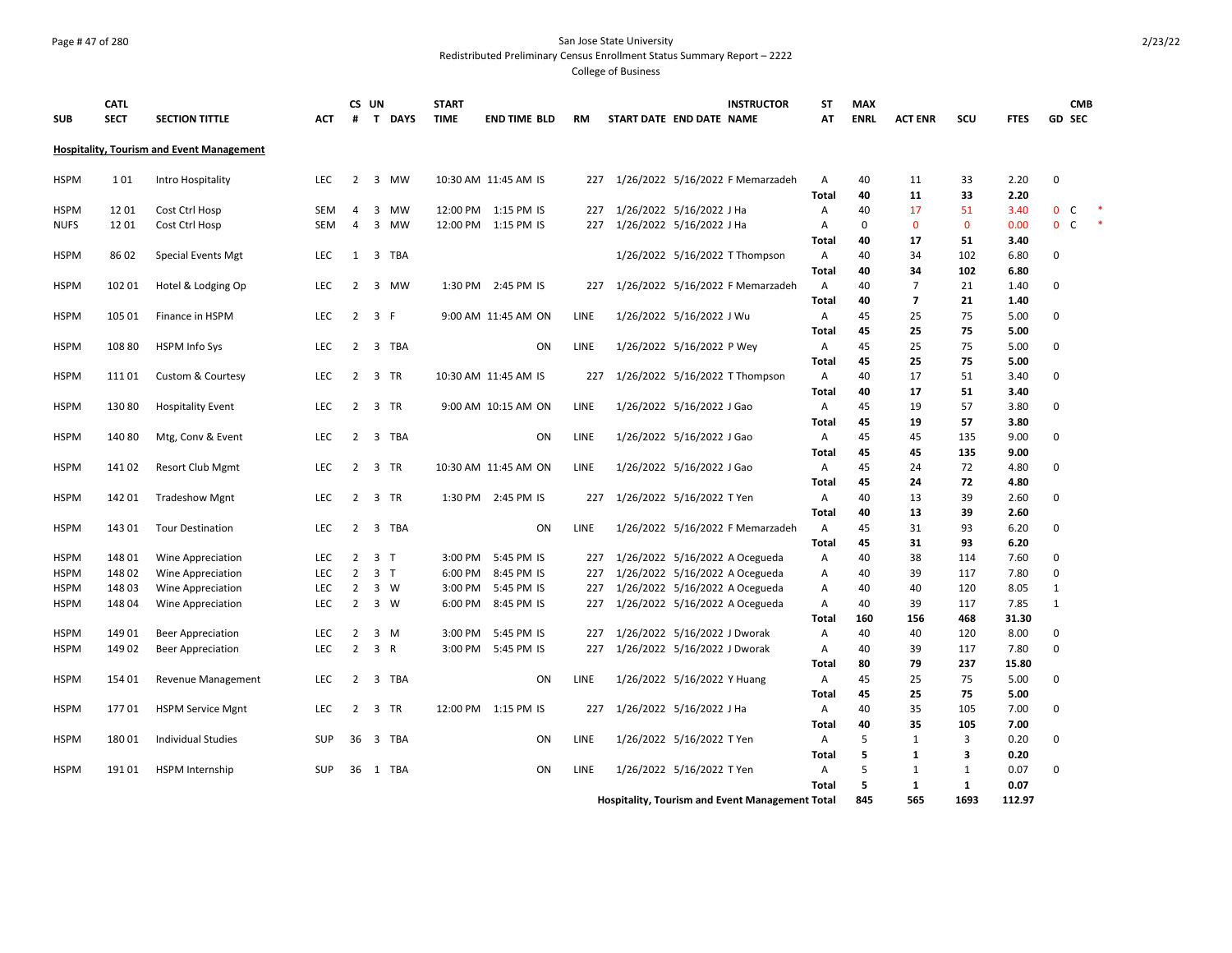## Page # 47 of 280 San Jose State University Redistributed Preliminary Census Enrollment Status Summary Report – 2222

| <b>SUB</b>                 | <b>CATL</b><br><b>SECT</b> | <b>SECTION TITTLE</b>                            | <b>ACT</b>        | CS UN<br>#                       | $\mathbf{T}$   | <b>DAYS</b> | <b>START</b><br><b>TIME</b> | <b>END TIME BLD</b>      | <b>RM</b>  | START DATE END DATE NAME     |                              | <b>INSTRUCTOR</b>                                                | ST<br>AT          | <b>MAX</b><br><b>ENRL</b> | <b>ACT ENR</b>      | scu                  | <b>FTES</b>    | <b>CMB</b><br>GD SEC    |        |
|----------------------------|----------------------------|--------------------------------------------------|-------------------|----------------------------------|----------------|-------------|-----------------------------|--------------------------|------------|------------------------------|------------------------------|------------------------------------------------------------------|-------------------|---------------------------|---------------------|----------------------|----------------|-------------------------|--------|
|                            |                            | <b>Hospitality, Tourism and Event Management</b> |                   |                                  |                |             |                             |                          |            |                              |                              |                                                                  |                   |                           |                     |                      |                |                         |        |
| <b>HSPM</b>                | 101                        | Intro Hospitality                                | <b>LEC</b>        | 2                                |                | 3 MW        |                             | 10:30 AM 11:45 AM IS     | 227        |                              |                              | 1/26/2022 5/16/2022 F Memarzadeh                                 | A<br><b>Total</b> | 40<br>40                  | 11<br>11            | 33<br>33             | 2.20<br>2.20   | $\mathbf 0$             |        |
| <b>HSPM</b>                | 1201                       | Cost Ctrl Hosp                                   | <b>SEM</b>        | 4                                | 3              | MW          |                             | 12:00 PM 1:15 PM IS      | 227        | 1/26/2022 5/16/2022 J Ha     |                              |                                                                  | A                 | 40                        | 17                  | 51                   | 3.40           | $\mathbf{0}$<br>C       |        |
| <b>NUFS</b>                | 1201                       | Cost Ctrl Hosp                                   | <b>SEM</b>        | $\overline{4}$                   |                | 3 MW        |                             | 12:00 PM 1:15 PM IS      | 227        | 1/26/2022 5/16/2022 J Ha     |                              |                                                                  | A                 | $\mathbf 0$               | $\mathbf{0}$        | $\mathbf{0}$         | 0.00           | 0 <sup>o</sup>          | $\ast$ |
|                            |                            |                                                  |                   |                                  |                |             |                             |                          |            |                              |                              |                                                                  | <b>Total</b>      | 40                        | 17                  | 51                   | 3.40           |                         |        |
| <b>HSPM</b>                | 8602                       | Special Events Mgt                               | <b>LEC</b>        | 1                                |                | 3 TBA       |                             |                          |            |                              |                              | 1/26/2022 5/16/2022 T Thompson                                   | A                 | 40                        | 34                  | 102                  | 6.80           | $\Omega$                |        |
|                            |                            |                                                  |                   |                                  |                |             |                             |                          |            |                              |                              |                                                                  | <b>Total</b>      | 40                        | 34                  | 102                  | 6.80           |                         |        |
| <b>HSPM</b>                | 102 01                     | Hotel & Lodging Op                               | <b>LEC</b>        | $\overline{2}$                   |                | 3 MW        |                             | 1:30 PM 2:45 PM IS       | 227        |                              |                              | 1/26/2022 5/16/2022 F Memarzadeh                                 | A                 | 40                        | $\overline{7}$      | 21                   | 1.40           | $\Omega$                |        |
|                            |                            |                                                  |                   |                                  |                |             |                             |                          |            |                              |                              |                                                                  | <b>Total</b>      | 40                        | $\overline{7}$      | 21                   | 1.40           |                         |        |
| <b>HSPM</b>                | 105 01                     | Finance in HSPM                                  | LEC               | $\overline{2}$                   | 3 F            |             |                             | 9:00 AM 11:45 AM ON      | LINE       |                              | 1/26/2022 5/16/2022 J Wu     |                                                                  | A                 | 45                        | 25                  | 75                   | 5.00           | $\mathbf 0$             |        |
|                            |                            |                                                  |                   |                                  |                |             |                             |                          |            |                              |                              |                                                                  | Total             | 45                        | 25                  | 75                   | 5.00           |                         |        |
| <b>HSPM</b>                | 108 80                     | <b>HSPM Info Sys</b>                             | LEC               | $\overline{2}$                   |                | 3 TBA       |                             | ON                       | LINE       |                              | 1/26/2022 5/16/2022 P Wey    |                                                                  | Α                 | 45                        | 25                  | 75                   | 5.00           | $\mathbf 0$             |        |
|                            |                            |                                                  |                   | $\overline{2}$                   |                |             |                             |                          |            |                              |                              |                                                                  | <b>Total</b>      | 45<br>40                  | 25<br>17            | 75                   | 5.00           | $\mathbf 0$             |        |
| <b>HSPM</b>                | 11101                      | <b>Custom &amp; Courtesy</b>                     | LEC               |                                  |                | 3 TR        |                             | 10:30 AM 11:45 AM IS     | 227        |                              |                              | 1/26/2022 5/16/2022 T Thompson                                   | Α<br><b>Total</b> | 40                        | 17                  | 51<br>51             | 3.40<br>3.40   |                         |        |
| <b>HSPM</b>                | 13080                      | <b>Hospitality Event</b>                         | <b>LEC</b>        | 2                                |                | 3 TR        |                             | 9:00 AM 10:15 AM ON      | LINE       |                              | 1/26/2022 5/16/2022 J Gao    |                                                                  | A                 | 45                        | 19                  | 57                   | 3.80           | $\mathbf 0$             |        |
|                            |                            |                                                  |                   |                                  |                |             |                             |                          |            |                              |                              |                                                                  | <b>Total</b>      | 45                        | 19                  | 57                   | 3.80           |                         |        |
| <b>HSPM</b>                | 14080                      | Mtg, Conv & Event                                | <b>LEC</b>        | 2                                |                | 3 TBA       |                             | <b>ON</b>                | LINE       |                              | 1/26/2022 5/16/2022 J Gao    |                                                                  | A                 | 45                        | 45                  | 135                  | 9.00           | $\Omega$                |        |
|                            |                            |                                                  |                   |                                  |                |             |                             |                          |            |                              |                              |                                                                  | <b>Total</b>      | 45                        | 45                  | 135                  | 9.00           |                         |        |
| <b>HSPM</b>                | 141 02                     | <b>Resort Club Mgmt</b>                          | <b>LEC</b>        |                                  | 2 3 TR         |             |                             | 10:30 AM 11:45 AM ON     | LINE       |                              | 1/26/2022 5/16/2022 J Gao    |                                                                  | A                 | 45                        | 24                  | 72                   | 4.80           | $\Omega$                |        |
|                            |                            |                                                  |                   |                                  |                |             |                             |                          |            |                              |                              |                                                                  | Total             | 45                        | 24                  | 72                   | 4.80           |                         |        |
| <b>HSPM</b>                | 142 01                     | <b>Tradeshow Mgnt</b>                            | LEC               | $\overline{2}$                   | 3 TR           |             |                             | 1:30 PM 2:45 PM IS       | 227        | 1/26/2022 5/16/2022 T Yen    |                              |                                                                  | Α                 | 40                        | 13                  | 39                   | 2.60           | $\mathbf 0$             |        |
|                            |                            |                                                  |                   |                                  |                |             |                             |                          |            |                              |                              |                                                                  | <b>Total</b>      | 40                        | 13                  | 39                   | 2.60           |                         |        |
| <b>HSPM</b>                | 143 01                     | <b>Tour Destination</b>                          | LEC               | $\overline{2}$                   |                | 3 TBA       |                             | ON                       | LINE       |                              |                              | 1/26/2022 5/16/2022 F Memarzadeh                                 | A                 | 45                        | 31                  | 93                   | 6.20           | $\mathbf 0$             |        |
|                            |                            |                                                  |                   |                                  |                |             |                             |                          |            |                              |                              |                                                                  | <b>Total</b>      | 45                        | 31                  | 93                   | 6.20           |                         |        |
| <b>HSPM</b>                | 148 01                     | Wine Appreciation                                | <b>LEC</b>        | 2                                | 3 <sub>1</sub> |             | 3:00 PM                     | 5:45 PM IS               | 227        |                              |                              | 1/26/2022 5/16/2022 A Ocegueda                                   | A                 | 40                        | 38                  | 114                  | 7.60           | $\mathbf 0$<br>$\Omega$ |        |
| <b>HSPM</b><br><b>HSPM</b> | 148 02<br>14803            | Wine Appreciation                                | <b>LEC</b><br>LEC | $\overline{2}$<br>$\overline{2}$ | 3 <sub>1</sub> | 3 W         | 6:00 PM<br>3:00 PM          | 8:45 PM IS<br>5:45 PM IS | 227<br>227 |                              |                              | 1/26/2022 5/16/2022 A Ocegueda<br>1/26/2022 5/16/2022 A Ocegueda | Α<br>Α            | 40<br>40                  | 39<br>40            | 117<br>120           | 7.80<br>8.05   | 1                       |        |
| <b>HSPM</b>                | 148 04                     | Wine Appreciation<br>Wine Appreciation           | LEC               | $\overline{2}$                   |                | $3 \quad W$ | 6:00 PM                     | 8:45 PM IS               | 227        |                              |                              | 1/26/2022 5/16/2022 A Ocegueda                                   | Α                 | 40                        | 39                  | 117                  | 7.85           | $\mathbf{1}$            |        |
|                            |                            |                                                  |                   |                                  |                |             |                             |                          |            |                              |                              |                                                                  | Total             | 160                       | 156                 | 468                  | 31.30          |                         |        |
| <b>HSPM</b>                | 14901                      | <b>Beer Appreciation</b>                         | <b>LEC</b>        | 2                                |                | 3 M         | 3:00 PM                     | 5:45 PM IS               | 227        |                              | 1/26/2022 5/16/2022 J Dworak |                                                                  | A                 | 40                        | 40                  | 120                  | 8.00           | 0                       |        |
| <b>HSPM</b>                | 14902                      | <b>Beer Appreciation</b>                         | <b>LEC</b>        | $\overline{2}$                   | 3 R            |             | 3:00 PM                     | 5:45 PM IS               | 227        | 1/26/2022 5/16/2022 J Dworak |                              |                                                                  | A                 | 40                        | 39                  | 117                  | 7.80           | $\Omega$                |        |
|                            |                            |                                                  |                   |                                  |                |             |                             |                          |            |                              |                              |                                                                  | <b>Total</b>      | 80                        | 79                  | 237                  | 15.80          |                         |        |
| <b>HSPM</b>                | 154 01                     | Revenue Management                               | LEC               | $\overline{2}$                   |                | 3 TBA       |                             | ON                       | LINE       |                              | 1/26/2022 5/16/2022 Y Huang  |                                                                  | Α                 | 45                        | 25                  | 75                   | 5.00           | $\mathbf 0$             |        |
|                            |                            |                                                  |                   |                                  |                |             |                             |                          |            |                              |                              |                                                                  | Total             | 45                        | 25                  | 75                   | 5.00           |                         |        |
| <b>HSPM</b>                | 17701                      | <b>HSPM Service Mgnt</b>                         | <b>LEC</b>        | 2                                |                | 3 TR        |                             | 12:00 PM 1:15 PM IS      | 227        |                              | 1/26/2022 5/16/2022 J Ha     |                                                                  | A                 | 40                        | 35                  | 105                  | 7.00           | $\mathbf 0$             |        |
|                            |                            |                                                  |                   |                                  |                |             |                             |                          |            |                              |                              |                                                                  | Total             | 40                        | 35                  | 105                  | 7.00           |                         |        |
| <b>HSPM</b>                | 18001                      | <b>Individual Studies</b>                        | <b>SUP</b>        | 36                               |                | 3 TBA       |                             | ΟN                       | LINE       |                              | 1/26/2022 5/16/2022 T Yen    |                                                                  | A                 | 5                         | 1                   | 3                    | 0.20           | $\mathbf 0$             |        |
|                            |                            |                                                  |                   |                                  |                |             |                             |                          |            |                              |                              |                                                                  | Total             | 5                         | 1                   | 3                    | 0.20           |                         |        |
| <b>HSPM</b>                | 19101                      | <b>HSPM</b> Internship                           | <b>SUP</b>        | 36                               |                | 1 TBA       |                             | <b>ON</b>                | LINE       |                              | 1/26/2022 5/16/2022 T Yen    |                                                                  | $\overline{A}$    | 5                         | 1                   | $\mathbf{1}$         | 0.07           | $\Omega$                |        |
|                            |                            |                                                  |                   |                                  |                |             |                             |                          |            |                              |                              |                                                                  | <b>Total</b>      | 5<br>845                  | $\mathbf{1}$<br>565 | $\mathbf{1}$<br>1693 | 0.07<br>112.97 |                         |        |
|                            |                            |                                                  |                   |                                  |                |             |                             |                          |            |                              |                              | <b>Hospitality, Tourism and Event Management Total</b>           |                   |                           |                     |                      |                |                         |        |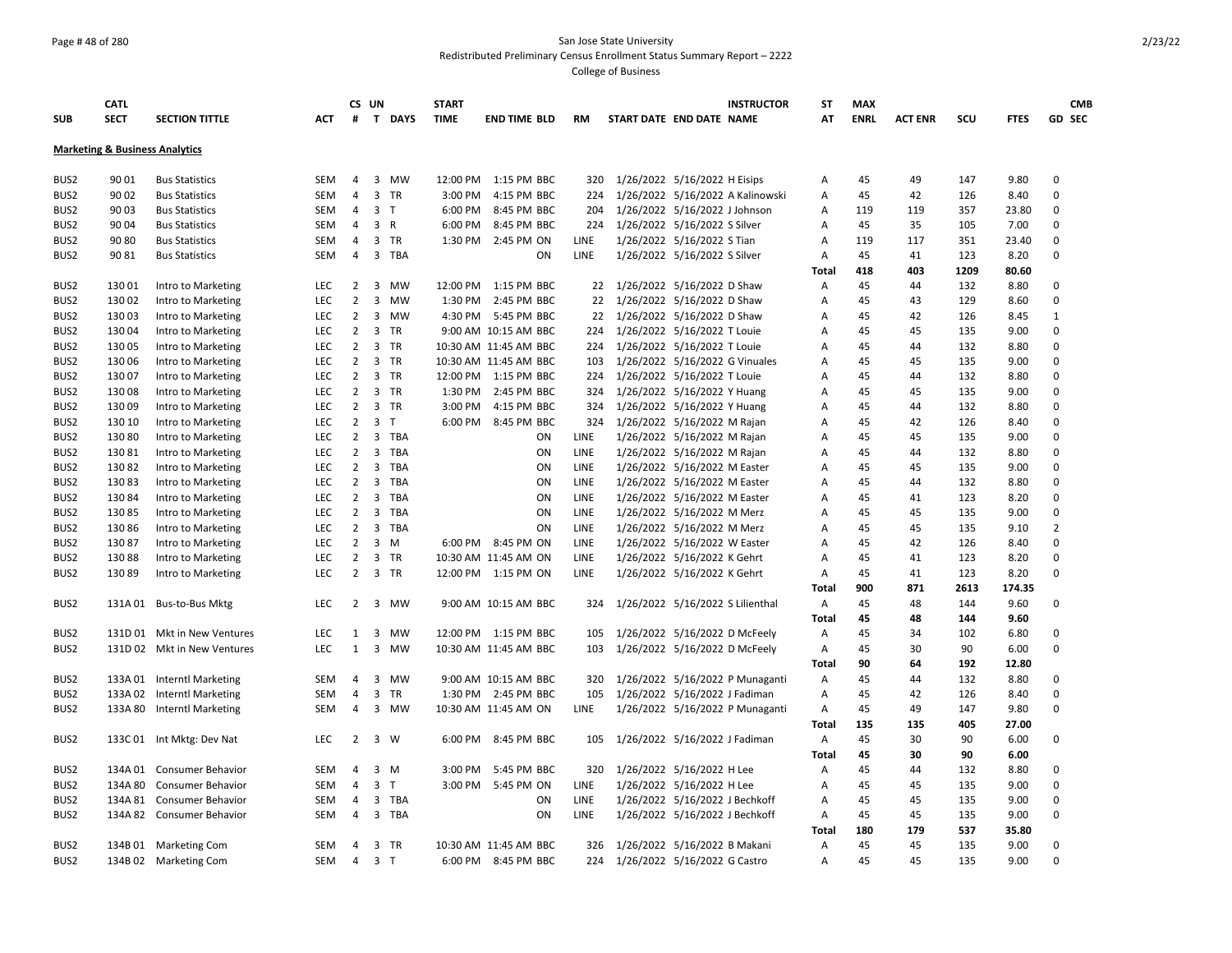## Page # 48 of 280 San Jose State University Redistributed Preliminary Census Enrollment Status Summary Report – 2222

|                  | <b>CATL</b>                               |                             |            |                | CS UN                   |           | <b>START</b> |                       |             |                                  |                                | <b>INSTRUCTOR</b>                | SΤ           | <b>MAX</b>  |                |      |             | <b>CMB</b>     |
|------------------|-------------------------------------------|-----------------------------|------------|----------------|-------------------------|-----------|--------------|-----------------------|-------------|----------------------------------|--------------------------------|----------------------------------|--------------|-------------|----------------|------|-------------|----------------|
| <b>SUB</b>       | <b>SECT</b>                               | <b>SECTION TITTLE</b>       | <b>ACT</b> | #              |                         | T DAYS    | <b>TIME</b>  | <b>END TIME BLD</b>   | <b>RM</b>   | START DATE END DATE NAME         |                                |                                  | AT           | <b>ENRL</b> | <b>ACT ENR</b> | SCU  | <b>FTES</b> | GD SEC         |
|                  | <b>Marketing &amp; Business Analytics</b> |                             |            |                |                         |           |              |                       |             |                                  |                                |                                  |              |             |                |      |             |                |
|                  |                                           |                             |            |                |                         |           |              |                       |             |                                  |                                |                                  |              |             |                |      |             |                |
| BUS <sub>2</sub> | 90 01                                     | <b>Bus Statistics</b>       | <b>SEM</b> | 4              |                         | 3 MW      |              | 12:00 PM 1:15 PM BBC  | 320         |                                  | 1/26/2022 5/16/2022 H Eisips   |                                  | A            | 45          | 49             | 147  | 9.80        | $\Omega$       |
| BUS2             | 90 02                                     | <b>Bus Statistics</b>       | <b>SEM</b> | 4              | $\overline{3}$          | TR        | 3:00 PM      | 4:15 PM BBC           | 224         |                                  |                                | 1/26/2022 5/16/2022 A Kalinowski | А            | 45          | 42             | 126  | 8.40        | $\mathbf 0$    |
| BUS2             | 90 03                                     | <b>Bus Statistics</b>       | <b>SEM</b> | 4              | 3 <sub>T</sub>          |           | 6:00 PM      | 8:45 PM BBC           | 204         | 1/26/2022 5/16/2022 J Johnson    |                                |                                  | Α            | 119         | 119            | 357  | 23.80       | $\Omega$       |
| BUS2             | 90 04                                     | <b>Bus Statistics</b>       | SEM        | 4              | 3 R                     |           | 6:00 PM      | 8:45 PM BBC           | 224         | 1/26/2022 5/16/2022 S Silver     |                                |                                  | А            | 45          | 35             | 105  | 7.00        | 0              |
| BUS <sub>2</sub> | 90 80                                     | <b>Bus Statistics</b>       | <b>SEM</b> | $\overline{4}$ |                         | 3 TR      |              | 1:30 PM 2:45 PM ON    | LINE        |                                  | 1/26/2022 5/16/2022 S Tian     |                                  | Α            | 119         | 117            | 351  | 23.40       | $\mathbf 0$    |
| BUS2             | 90 81                                     | <b>Bus Statistics</b>       | <b>SEM</b> | 4              |                         | 3 TBA     |              | ON                    | <b>LINE</b> |                                  | 1/26/2022 5/16/2022 S Silver   |                                  | Α            | 45          | 41             | 123  | 8.20        | $\mathbf 0$    |
|                  |                                           |                             |            |                |                         |           |              |                       |             |                                  |                                |                                  | Total        | 418         | 403            | 1209 | 80.60       |                |
| BUS <sub>2</sub> | 130 01                                    | Intro to Marketing          | <b>LEC</b> | $\overline{2}$ | $\overline{\mathbf{3}}$ | <b>MW</b> |              | 12:00 PM 1:15 PM BBC  | 22          | 1/26/2022 5/16/2022 D Shaw       |                                |                                  | A            | 45          | 44             | 132  | 8.80        | $\Omega$       |
| BUS <sub>2</sub> | 130 02                                    | Intro to Marketing          | LEC        | $\overline{2}$ | 3                       | МW        | 1:30 PM      | 2:45 PM BBC           | 22          |                                  | 1/26/2022 5/16/2022 D Shaw     |                                  | А            | 45          | 43             | 129  | 8.60        | $\Omega$       |
| BUS2             | 13003                                     | Intro to Marketing          | <b>LEC</b> | $\overline{2}$ |                         | 3 MW      |              | 4:30 PM 5:45 PM BBC   | 22          | 1/26/2022 5/16/2022 D Shaw       |                                |                                  | А            | 45          | 42             | 126  | 8.45        | $\mathbf{1}$   |
| BUS <sub>2</sub> | 13004                                     | Intro to Marketing          | <b>LEC</b> | $\overline{2}$ |                         | 3 TR      |              | 9:00 AM 10:15 AM BBC  | 224         |                                  | 1/26/2022 5/16/2022 T Louie    |                                  | А            | 45          | 45             | 135  | 9.00        | $\Omega$       |
| BUS <sub>2</sub> | 130 05                                    | Intro to Marketing          | <b>LEC</b> | $\overline{2}$ |                         | 3 TR      |              | 10:30 AM 11:45 AM BBC | 224         |                                  | 1/26/2022 5/16/2022 T Louie    |                                  | Α            | 45          | 44             | 132  | 8.80        | $\Omega$       |
| BUS <sub>2</sub> | 130 06                                    | Intro to Marketing          | <b>LEC</b> | $\overline{2}$ | 3                       | <b>TR</b> |              | 10:30 AM 11:45 AM BBC | 103         |                                  | 1/26/2022 5/16/2022 G Vinuales |                                  | A            | 45          | 45             | 135  | 9.00        | $\Omega$       |
| BUS2             | 130 07                                    | Intro to Marketing          | LEC        | $\overline{2}$ |                         | 3 TR      |              | 12:00 PM 1:15 PM BBC  | 224         |                                  | 1/26/2022 5/16/2022 T Louie    |                                  | А            | 45          | 44             | 132  | 8.80        | $\Omega$       |
| BUS2             | 13008                                     | Intro to Marketing          | <b>LEC</b> | $\overline{2}$ |                         | 3 TR      | 1:30 PM      | 2:45 PM BBC           | 324         |                                  | 1/26/2022 5/16/2022 Y Huang    |                                  | A            | 45          | 45             | 135  | 9.00        | $\Omega$       |
| BUS <sub>2</sub> | 13009                                     | Intro to Marketing          | <b>LEC</b> | $\overline{2}$ |                         | 3 TR      | 3:00 PM      | 4:15 PM BBC           | 324         | 1/26/2022 5/16/2022 Y Huang      |                                |                                  | А            | 45          | 44             | 132  | 8.80        | 0              |
| BUS <sub>2</sub> | 130 10                                    | Intro to Marketing          | <b>LEC</b> | $\overline{2}$ | 3 <sub>1</sub>          |           |              | 6:00 PM 8:45 PM BBC   | 324         | 1/26/2022 5/16/2022 M Rajan      |                                |                                  | Α            | 45          | 42             | 126  | 8.40        | $\mathbf 0$    |
| BUS <sub>2</sub> | 130 80                                    | Intro to Marketing          | <b>LEC</b> | $\overline{2}$ |                         | 3 TBA     |              | <b>ON</b>             | LINE        |                                  | 1/26/2022 5/16/2022 M Rajan    |                                  | А            | 45          | 45             | 135  | 9.00        | $\Omega$       |
| BUS <sub>2</sub> | 13081                                     | Intro to Marketing          | LEC        | $\overline{2}$ |                         | 3 TBA     |              | ON                    | LINE        |                                  | 1/26/2022 5/16/2022 M Rajan    |                                  | A            | 45          | 44             | 132  | 8.80        | $\mathbf 0$    |
| BUS <sub>2</sub> | 13082                                     | Intro to Marketing          | LEC        | $\overline{2}$ |                         | 3 TBA     |              | ON                    | LINE        |                                  | 1/26/2022 5/16/2022 M Easter   |                                  | A            | 45          | 45             | 135  | 9.00        | $\Omega$       |
| BUS <sub>2</sub> | 13083                                     | Intro to Marketing          | <b>LEC</b> | $2^{\circ}$    |                         | 3 TBA     |              | ON                    | LINE        |                                  | 1/26/2022 5/16/2022 M Easter   |                                  | А            | 45          | 44             | 132  | 8.80        | $\Omega$       |
| BUS2             | 13084                                     | Intro to Marketing          | LEC        | $\overline{2}$ |                         | 3 TBA     |              | ON                    | LINE        |                                  | 1/26/2022 5/16/2022 M Easter   |                                  | А            | 45          | 41             | 123  | 8.20        | $\mathbf 0$    |
| BUS <sub>2</sub> | 13085                                     | Intro to Marketing          | <b>LEC</b> | $\overline{2}$ |                         | 3 TBA     |              | ON                    | LINE        |                                  | 1/26/2022 5/16/2022 M Merz     |                                  | А            | 45          | 45             | 135  | 9.00        | $\Omega$       |
| BUS2             | 130 86                                    | Intro to Marketing          | <b>LEC</b> | $\overline{2}$ |                         | 3 TBA     |              | ON                    | LINE        |                                  | 1/26/2022 5/16/2022 M Merz     |                                  | А            | 45          | 45             | 135  | 9.10        | $\overline{2}$ |
| BUS <sub>2</sub> | 13087                                     | Intro to Marketing          | <b>LEC</b> | $2^{\circ}$    |                         | 3 M       |              | 6:00 PM 8:45 PM ON    | LINE        |                                  | 1/26/2022 5/16/2022 W Easter   |                                  | A            | 45          | 42             | 126  | 8.40        | $\Omega$       |
| BUS <sub>2</sub> | 13088                                     | Intro to Marketing          | LEC        | $\overline{2}$ |                         | 3 TR      |              | 10:30 AM 11:45 AM ON  | LINE        |                                  | 1/26/2022 5/16/2022 K Gehrt    |                                  | A            | 45          | 41             | 123  | 8.20        | $\Omega$       |
| BUS <sub>2</sub> | 13089                                     | Intro to Marketing          | LEC        | $\overline{2}$ |                         | 3 TR      |              | 12:00 PM 1:15 PM ON   | LINE        |                                  | 1/26/2022 5/16/2022 K Gehrt    |                                  | Α            | 45          | 41             | 123  | 8.20        | $\Omega$       |
|                  |                                           |                             |            |                |                         |           |              |                       |             |                                  |                                |                                  | <b>Total</b> | 900         | 871            | 2613 | 174.35      |                |
| BUS <sub>2</sub> |                                           | 131A 01 Bus-to-Bus Mktg     | <b>LEC</b> | $\overline{2}$ |                         | 3 MW      |              | 9:00 AM 10:15 AM BBC  | 324         | 1/26/2022 5/16/2022 S Lilienthal |                                |                                  | Α            | 45          | 48             | 144  | 9.60        | 0              |
|                  |                                           |                             |            |                |                         |           |              |                       |             |                                  |                                |                                  | <b>Total</b> | 45          | 48             | 144  | 9.60        |                |
| BUS2             |                                           | 131D 01 Mkt in New Ventures | LEC        | $\mathbf{1}$   | 3                       | <b>MW</b> |              | 12:00 PM 1:15 PM BBC  | 105         |                                  | 1/26/2022 5/16/2022 D McFeely  |                                  | Α            | 45          | 34             | 102  | 6.80        | 0              |
| BUS <sub>2</sub> |                                           | 131D 02 Mkt in New Ventures | LEC        | $\mathbf{1}$   | $\overline{3}$          | <b>MW</b> |              | 10:30 AM 11:45 AM BBC | 103         | 1/26/2022 5/16/2022 D McFeely    |                                |                                  | A            | 45          | 30             | 90   | 6.00        | $\Omega$       |
|                  |                                           |                             |            |                |                         |           |              |                       |             |                                  |                                |                                  | Total        | 90          | 64             | 192  | 12.80       |                |
| BUS <sub>2</sub> |                                           | 133A 01 Interntl Marketing  | <b>SEM</b> | 4              | $\overline{\mathbf{3}}$ | <b>MW</b> |              | 9:00 AM 10:15 AM BBC  | 320         |                                  |                                | 1/26/2022 5/16/2022 P Munaganti  | Α            | 45          | 44             | 132  | 8.80        | 0              |
| BUS <sub>2</sub> | 133A 02                                   | <b>Interntl Marketing</b>   | <b>SEM</b> | $\overline{4}$ |                         | 3 TR      |              | 1:30 PM 2:45 PM BBC   | 105         | 1/26/2022 5/16/2022 J Fadiman    |                                |                                  | Α            | 45          | 42             | 126  | 8.40        | $\Omega$       |
| BUS <sub>2</sub> |                                           | 133A 80 Interntl Marketing  | <b>SEM</b> | $\overline{4}$ |                         | 3 MW      |              | 10:30 AM 11:45 AM ON  | LINE        |                                  |                                | 1/26/2022 5/16/2022 P Munaganti  | Α            | 45          | 49             | 147  | 9.80        | $\Omega$       |
|                  |                                           |                             |            |                |                         |           |              |                       |             |                                  |                                |                                  | <b>Total</b> | 135         | 135            | 405  | 27.00       |                |
| BUS <sub>2</sub> |                                           | 133C 01 Int Mktg: Dev Nat   | <b>LEC</b> | $2^{\circ}$    | 3 W                     |           |              | 6:00 PM 8:45 PM BBC   | 105         | 1/26/2022 5/16/2022 J Fadiman    |                                |                                  | A            | 45          | 30             | 90   | 6.00        | $\Omega$       |
|                  |                                           |                             |            |                |                         |           |              |                       |             |                                  |                                |                                  | <b>Total</b> | 45          | 30             | 90   | 6.00        |                |
| BUS <sub>2</sub> |                                           | 134A 01 Consumer Behavior   | <b>SEM</b> | $\overline{4}$ | $3 \, M$                |           | 3:00 PM      | 5:45 PM BBC           | 320         | 1/26/2022 5/16/2022 H Lee        |                                |                                  | Α            | 45          | 44             | 132  | 8.80        | $\Omega$       |
| BUS2             | 134A 80                                   | <b>Consumer Behavior</b>    | <b>SEM</b> | 4              | 3 <sub>T</sub>          |           |              | 3:00 PM 5:45 PM ON    | LINE        |                                  | 1/26/2022 5/16/2022 H Lee      |                                  | А            | 45          | 45             | 135  | 9.00        | $\mathbf 0$    |
| BUS2             |                                           | 134A 81 Consumer Behavior   | <b>SEM</b> | $\overline{4}$ |                         | 3 TBA     |              | ON                    | LINE        |                                  | 1/26/2022 5/16/2022 J Bechkoff |                                  | А            | 45          | 45             | 135  | 9.00        | $\Omega$       |
| BUS <sub>2</sub> |                                           | 134A 82 Consumer Behavior   | <b>SEM</b> | 4              |                         | 3 TBA     |              | <b>ON</b>             | LINE        |                                  | 1/26/2022 5/16/2022 J Bechkoff |                                  | Α            | 45          | 45             | 135  | 9.00        | $\mathbf 0$    |
|                  |                                           |                             |            |                |                         |           |              |                       |             |                                  |                                |                                  | Total        | 180         | 179            | 537  | 35.80       |                |
| BUS <sub>2</sub> |                                           | 134B 01 Marketing Com       | <b>SEM</b> | 4              |                         | 3 TR      |              | 10:30 AM 11:45 AM BBC | 326         |                                  | 1/26/2022 5/16/2022 B Makani   |                                  | Α            | 45          | 45             | 135  | 9.00        | $\Omega$       |
| BUS2             |                                           | 134B 02 Marketing Com       | SEM        | $\overline{4}$ | 3 <sub>T</sub>          |           |              | 6:00 PM 8:45 PM BBC   |             | 224 1/26/2022 5/16/2022 G Castro |                                |                                  | Α            | 45          | 45             | 135  | 9.00        | $\Omega$       |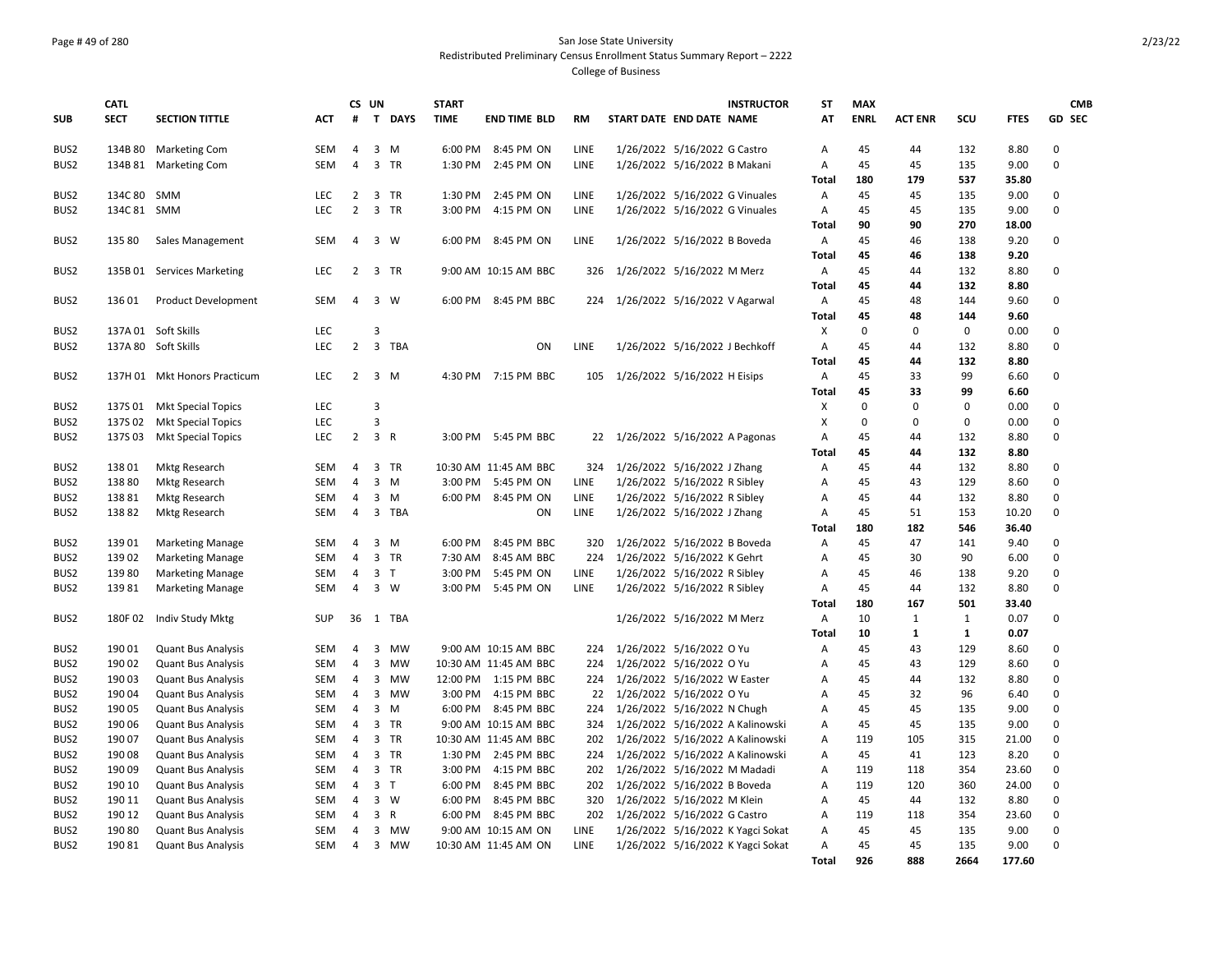### Page # 49 of 280 San Jose State University Redistributed Preliminary Census Enrollment Status Summary Report – 2222 College of Business

| T DAYS<br><b>TIME</b><br>AT<br><b>ENRL</b><br><b>ACT ENR</b><br>SCU<br><b>FTES</b><br><b>GD SEC</b><br><b>SUB</b><br><b>SECT</b><br><b>SECTION TITTLE</b><br><b>ACT</b><br>#<br><b>END TIME BLD</b><br><b>RM</b><br>START DATE END DATE NAME<br><b>Marketing Com</b><br>6:00 PM<br>8:45 PM ON<br>8.80<br>0<br>BUS <sub>2</sub><br>134B 80<br><b>SEM</b><br>4<br>3 M<br>LINE<br>1/26/2022 5/16/2022 G Castro<br>A<br>45<br>44<br>132<br>0<br>3 TR<br>45<br>9.00<br>BUS2<br>134B 81<br><b>Marketing Com</b><br><b>SEM</b><br>1:30 PM<br>2:45 PM ON<br>LINE<br>1/26/2022 5/16/2022 B Makani<br>A<br>45<br>135<br>4<br>180<br>179<br>537<br>35.80<br><b>Total</b><br>134C 80<br>1:30 PM<br>LINE<br>1/26/2022 5/16/2022 G Vinuales<br>45<br>135<br>9.00<br>0<br>BUS <sub>2</sub><br>SMM<br><b>LEC</b><br>2<br>3 TR<br>2:45 PM ON<br>Α<br>45<br>LEC<br>$2^{\circ}$<br>3 TR<br>O<br>BUS <sub>2</sub><br>134C 81 SMM<br>3:00 PM<br>4:15 PM ON<br>LINE<br>1/26/2022 5/16/2022 G Vinuales<br>A<br>45<br>45<br>135<br>9.00<br>90<br>90<br>270<br>18.00<br><b>Total</b><br>BUS2<br>135 80<br>Sales Management<br><b>SEM</b><br>$\overline{4}$<br>3 W<br>6:00 PM<br>8:45 PM ON<br>LINE<br>1/26/2022 5/16/2022 B Boveda<br>Α<br>45<br>46<br>138<br>9.20<br>0<br>45<br>46<br>138<br>9.20<br><b>Total</b><br>9:00 AM 10:15 AM BBC<br>1/26/2022 5/16/2022 M Merz<br>A<br>45<br>132<br>8.80<br>0<br>BUS <sub>2</sub><br>135B 01 Services Marketing<br>LEC<br>2 3 TR<br>326<br>44<br>132<br>45<br>44<br>8.80<br><b>Total</b><br>BUS2<br><b>Product Development</b><br>6:00 PM<br>8:45 PM BBC<br>1/26/2022 5/16/2022 V Agarwal<br>45<br>48<br>144<br>9.60<br>0<br>13601<br>SEM<br>4<br>3 W<br>224<br>Α<br><b>Total</b><br>45<br>48<br>144<br>9.60<br><b>LEC</b><br>3<br>X<br>$\mathbf{0}$<br>$\mathbf 0$<br>0<br>BUS2<br>137A 01 Soft Skills<br>0<br>0.00<br>$\overline{2}$<br>3 TBA<br>0<br>137A 80 Soft Skills<br><b>LEC</b><br>ON<br>LINE<br>1/26/2022 5/16/2022 J Bechkoff<br>A<br>45<br>44<br>132<br>8.80<br>BUS <sub>2</sub><br>45<br>44<br>132<br>8.80<br>Total<br>BUS2<br>LEC<br>$2^{\circ}$<br>3 M<br>4:30 PM 7:15 PM BBC<br>1/26/2022 5/16/2022 H Eisips<br>А<br>45<br>33<br>99<br>6.60<br>0<br>137H 01 Mkt Honors Practicum<br>105<br>45<br>33<br>99<br>6.60<br>Total<br>137S01<br>LEC<br>$\mathbf{0}$<br>$\Omega$<br>0.00<br>0<br>BUS <sub>2</sub><br><b>Mkt Special Topics</b><br>3<br>х<br>0<br>$\Omega$<br>$\Omega$<br>$\Omega$<br>BUS <sub>2</sub><br>137S02<br><b>Mkt Special Topics</b><br><b>LEC</b><br>3<br>X<br>$\Omega$<br>0.00<br>$2^{\circ}$<br>3 R<br>22 1/26/2022 5/16/2022 A Pagonas<br>0<br>BUS <sub>2</sub><br>137S03<br><b>Mkt Special Topics</b><br><b>LEC</b><br>3:00 PM 5:45 PM BBC<br>A<br>45<br>44<br>132<br>8.80<br>45<br>132<br>44<br>8.80<br>Total<br>BUS2<br>13801<br><b>Mktg Research</b><br><b>SEM</b><br>3 TR<br>10:30 AM 11:45 AM BBC<br>1/26/2022 5/16/2022 J Zhang<br>45<br>132<br>8.80<br>0<br>324<br>Α<br>44<br>4<br>BUS2<br>138 80<br>Mktg Research<br>3:00 PM<br>LINE<br>1/26/2022 5/16/2022 R Sibley<br>45<br>129<br>8.60<br>0<br>SEM<br>3 M<br>5:45 PM ON<br>Α<br>43<br>4<br>BUS2<br>138 81<br><b>Mktg Research</b><br><b>SEM</b><br>3 M<br>6:00 PM<br>8:45 PM ON<br>LINE<br>1/26/2022 5/16/2022 R Sibley<br>45<br>44<br>132<br>8.80<br>0<br>4<br>Α<br>13882<br>3 TBA<br>ON<br>LINE<br>45<br>51<br>10.20<br>0<br>BUS <sub>2</sub><br><b>Mktg Research</b><br><b>SEM</b><br>4<br>1/26/2022 5/16/2022 J Zhang<br>Α<br>153<br><b>Total</b><br>180<br>182<br>546<br>36.40<br>13901<br>6:00 PM<br>8:45 PM BBC<br>1/26/2022 5/16/2022 B Boveda<br>Α<br>45<br>47<br>9.40<br>0<br>BUS <sub>2</sub><br><b>Marketing Manage</b><br><b>SEM</b><br>4<br>3 M<br>320<br>141<br>$\Omega$<br>139 02<br>3 TR<br>90<br>BUS2<br><b>Marketing Manage</b><br><b>SEM</b><br>7:30 AM<br>8:45 AM BBC<br>224<br>1/26/2022 5/16/2022 K Gehrt<br>45<br>30<br>6.00<br>4<br>Α<br>BUS2<br>13980<br><b>SEM</b><br>3 <sub>T</sub><br>3:00 PM<br>5:45 PM ON<br>LINE<br>1/26/2022 5/16/2022 R Sibley<br>45<br>46<br>138<br>9.20<br>$\Omega$<br><b>Marketing Manage</b><br>4<br>Α<br>$3 \quad W$<br>3:00 PM<br>132<br>8.80<br>0<br>BUS2<br>13981<br><b>Marketing Manage</b><br><b>SEM</b><br>4<br>5:45 PM ON<br>LINE<br>1/26/2022 5/16/2022 R Sibley<br>A<br>45<br>44<br><b>Total</b><br>180<br>167<br>501<br>33.40<br>$\overline{A}$<br>0.07<br>0<br>BUS2<br>180F02<br>Indiv Study Mktg<br><b>SUP</b><br>36<br>1 TBA<br>1/26/2022 5/16/2022 M Merz<br>10<br>1<br>1<br>$\mathbf{1}$<br>10<br>$\mathbf{1}$<br>0.07<br>Total<br>190 01<br>1/26/2022 5/16/2022 O Yu<br>45<br>43<br>129<br>8.60<br>0<br>BUS <sub>2</sub><br><b>Quant Bus Analysis</b><br><b>SEM</b><br>3<br>MW<br>9:00 AM 10:15 AM BBC<br>A<br>4<br>224<br>45<br>0<br>BUS2<br>190 02<br><b>Quant Bus Analysis</b><br>3<br><b>MW</b><br>10:30 AM 11:45 AM BBC<br>224<br>1/26/2022 5/16/2022 O Yu<br>A<br>43<br>129<br>8.60<br>SEM<br>4<br>BUS2<br>190 03<br><b>Quant Bus Analysis</b><br>12:00 PM 1:15 PM BBC<br>1/26/2022 5/16/2022 W Easter<br>45<br>44<br>132<br>8.80<br>0<br><b>SEM</b><br>3<br>MW<br>224<br>A<br>4<br>1/26/2022 5/16/2022 O Yu<br>32<br>96<br>0<br>BUS <sub>2</sub><br>190 04<br><b>Quant Bus Analysis</b><br>SEM<br>3 MW<br>3:00 PM<br>4:15 PM BBC<br>22<br>A<br>45<br>6.40<br>4<br>0<br>BUS <sub>2</sub><br>190 05<br><b>Quant Bus Analysis</b><br>3 M<br>6:00 PM<br>8:45 PM BBC<br>1/26/2022 5/16/2022 N Chugh<br>45<br>45<br>135<br>9.00<br><b>SEM</b><br>4<br>224<br>A<br>0<br>BUS <sub>2</sub><br>190 06<br><b>Quant Bus Analysis</b><br><b>SEM</b><br>4<br>3 TR<br>9:00 AM 10:15 AM BBC<br>324<br>1/26/2022 5/16/2022 A Kalinowski<br>A<br>45<br>45<br>135<br>9.00<br>0<br>BUS2<br>190 07<br><b>Quant Bus Analysis</b><br>3 TR<br>10:30 AM 11:45 AM BBC<br>1/26/2022 5/16/2022 A Kalinowski<br>119<br>105<br>315<br>21.00<br>SEM<br>4<br>202<br>Α<br>0<br>BUS <sub>2</sub><br>190 08<br>3 TR<br>1:30 PM<br>1/26/2022 5/16/2022 A Kalinowski<br>45<br>41<br>123<br>8.20<br><b>Quant Bus Analysis</b><br><b>SEM</b><br>4<br>2:45 PM BBC<br>224<br>Α<br>BUS2<br>190 09<br>3 TR<br>3:00 PM<br>4:15 PM BBC<br>1/26/2022 5/16/2022 M Madadi<br>119<br>354<br>23.60<br>0<br><b>Quant Bus Analysis</b><br><b>SEM</b><br>4<br>202<br>A<br>118<br>0<br>BUS2<br>190 10<br><b>Quant Bus Analysis</b><br><b>SEM</b><br>4<br>3 <sub>1</sub><br>6:00 PM<br>8:45 PM BBC<br>202<br>1/26/2022 5/16/2022 B Boveda<br>119<br>120<br>360<br>24.00<br>Α<br>$3 \quad W$<br>0<br>BUS2<br>190 11<br><b>Quant Bus Analysis</b><br><b>SEM</b><br>4<br>6:00 PM<br>8:45 PM BBC<br>320<br>1/26/2022 5/16/2022 M Klein<br>A<br>45<br>44<br>132<br>8.80<br>0<br>BUS2<br>190 12<br><b>Quant Bus Analysis</b><br>3<br>$\mathsf{R}$<br>6:00 PM<br>202<br>1/26/2022 5/16/2022 G Castro<br>119<br><b>SEM</b><br>4<br>8:45 PM BBC<br>A<br>118<br>354<br>23.60<br>BUS2<br>190 80<br>1/26/2022 5/16/2022 K Yagci Sokat<br>45<br>9.00<br>0<br><b>Quant Bus Analysis</b><br>SEM<br>3<br>MW<br>9:00 AM 10:15 AM ON<br>LINE<br>A<br>45<br>135<br>4<br>45<br>9.00<br>0<br>BUS2<br>190 81<br><b>Quant Bus Analysis</b><br><b>SEM</b><br>$\overline{3}$<br>MW<br>10:30 AM 11:45 AM ON<br>LINE<br>1/26/2022 5/16/2022 K Yagci Sokat<br>A<br>45<br>135<br>4<br><b>Total</b><br>926<br>888<br>2664<br>177.60 | <b>CATL</b> |  | CS UN |  | <b>START</b> |  |  | <b>INSTRUCTOR</b> | <b>ST</b> | <b>MAX</b> |  |  | <b>CMB</b> |
|-----------------------------------------------------------------------------------------------------------------------------------------------------------------------------------------------------------------------------------------------------------------------------------------------------------------------------------------------------------------------------------------------------------------------------------------------------------------------------------------------------------------------------------------------------------------------------------------------------------------------------------------------------------------------------------------------------------------------------------------------------------------------------------------------------------------------------------------------------------------------------------------------------------------------------------------------------------------------------------------------------------------------------------------------------------------------------------------------------------------------------------------------------------------------------------------------------------------------------------------------------------------------------------------------------------------------------------------------------------------------------------------------------------------------------------------------------------------------------------------------------------------------------------------------------------------------------------------------------------------------------------------------------------------------------------------------------------------------------------------------------------------------------------------------------------------------------------------------------------------------------------------------------------------------------------------------------------------------------------------------------------------------------------------------------------------------------------------------------------------------------------------------------------------------------------------------------------------------------------------------------------------------------------------------------------------------------------------------------------------------------------------------------------------------------------------------------------------------------------------------------------------------------------------------------------------------------------------------------------------------------------------------------------------------------------------------------------------------------------------------------------------------------------------------------------------------------------------------------------------------------------------------------------------------------------------------------------------------------------------------------------------------------------------------------------------------------------------------------------------------------------------------------------------------------------------------------------------------------------------------------------------------------------------------------------------------------------------------------------------------------------------------------------------------------------------------------------------------------------------------------------------------------------------------------------------------------------------------------------------------------------------------------------------------------------------------------------------------------------------------------------------------------------------------------------------------------------------------------------------------------------------------------------------------------------------------------------------------------------------------------------------------------------------------------------------------------------------------------------------------------------------------------------------------------------------------------------------------------------------------------------------------------------------------------------------------------------------------------------------------------------------------------------------------------------------------------------------------------------------------------------------------------------------------------------------------------------------------------------------------------------------------------------------------------------------------------------------------------------------------------------------------------------------------------------------------------------------------------------------------------------------------------------------------------------------------------------------------------------------------------------------------------------------------------------------------------------------------------------------------------------------------------------------------------------------------------------------------------------------------------------------------------------------------------------------------------------------------------------------------------------------------------------------------------------------------------------------------------------------------------------------------------------------------------------------------------------------------------------------------------------------------------------------------------------------------------------------------------------------------------------------------------------------------------------------------------------------------------------------------------------------------------------------------------------------------------------------------------------------------------------------------------------------------------------------------------------------------------------------------------------------------------------------------------------------------------------------------------------------------------------------------------------------------------------------------------------------------------------------------------------------------------------------------------------------------------------------------------------------------------------------------------------------------------------------------------------------------------------------------------------------------------------------------------------------------------------------------------------------------------------------------------------------------------------------------------------------------------------------------------------------------------------------------------------------------------------------------------------------------------------------------------------------------------------------------------------------------------------------------------------------------------------------------------------------------------------------------------------------------|-------------|--|-------|--|--------------|--|--|-------------------|-----------|------------|--|--|------------|
|                                                                                                                                                                                                                                                                                                                                                                                                                                                                                                                                                                                                                                                                                                                                                                                                                                                                                                                                                                                                                                                                                                                                                                                                                                                                                                                                                                                                                                                                                                                                                                                                                                                                                                                                                                                                                                                                                                                                                                                                                                                                                                                                                                                                                                                                                                                                                                                                                                                                                                                                                                                                                                                                                                                                                                                                                                                                                                                                                                                                                                                                                                                                                                                                                                                                                                                                                                                                                                                                                                                                                                                                                                                                                                                                                                                                                                                                                                                                                                                                                                                                                                                                                                                                                                                                                                                                                                                                                                                                                                                                                                                                                                                                                                                                                                                                                                                                                                                                                                                                                                                                                                                                                                                                                                                                                                                                                                                                                                                                                                                                                                                                                                                                                                                                                                                                                                                                                                                                                                                                                                                                                                                                                                                                                                                                                                                                                                                                                                                                                                                                                                                                                                                                                                                                                                                                                                                                                                                                                                                                                                                                                                                                                                                                                                               |             |  |       |  |              |  |  |                   |           |            |  |  |            |
|                                                                                                                                                                                                                                                                                                                                                                                                                                                                                                                                                                                                                                                                                                                                                                                                                                                                                                                                                                                                                                                                                                                                                                                                                                                                                                                                                                                                                                                                                                                                                                                                                                                                                                                                                                                                                                                                                                                                                                                                                                                                                                                                                                                                                                                                                                                                                                                                                                                                                                                                                                                                                                                                                                                                                                                                                                                                                                                                                                                                                                                                                                                                                                                                                                                                                                                                                                                                                                                                                                                                                                                                                                                                                                                                                                                                                                                                                                                                                                                                                                                                                                                                                                                                                                                                                                                                                                                                                                                                                                                                                                                                                                                                                                                                                                                                                                                                                                                                                                                                                                                                                                                                                                                                                                                                                                                                                                                                                                                                                                                                                                                                                                                                                                                                                                                                                                                                                                                                                                                                                                                                                                                                                                                                                                                                                                                                                                                                                                                                                                                                                                                                                                                                                                                                                                                                                                                                                                                                                                                                                                                                                                                                                                                                                                               |             |  |       |  |              |  |  |                   |           |            |  |  |            |
|                                                                                                                                                                                                                                                                                                                                                                                                                                                                                                                                                                                                                                                                                                                                                                                                                                                                                                                                                                                                                                                                                                                                                                                                                                                                                                                                                                                                                                                                                                                                                                                                                                                                                                                                                                                                                                                                                                                                                                                                                                                                                                                                                                                                                                                                                                                                                                                                                                                                                                                                                                                                                                                                                                                                                                                                                                                                                                                                                                                                                                                                                                                                                                                                                                                                                                                                                                                                                                                                                                                                                                                                                                                                                                                                                                                                                                                                                                                                                                                                                                                                                                                                                                                                                                                                                                                                                                                                                                                                                                                                                                                                                                                                                                                                                                                                                                                                                                                                                                                                                                                                                                                                                                                                                                                                                                                                                                                                                                                                                                                                                                                                                                                                                                                                                                                                                                                                                                                                                                                                                                                                                                                                                                                                                                                                                                                                                                                                                                                                                                                                                                                                                                                                                                                                                                                                                                                                                                                                                                                                                                                                                                                                                                                                                                               |             |  |       |  |              |  |  |                   |           |            |  |  |            |
|                                                                                                                                                                                                                                                                                                                                                                                                                                                                                                                                                                                                                                                                                                                                                                                                                                                                                                                                                                                                                                                                                                                                                                                                                                                                                                                                                                                                                                                                                                                                                                                                                                                                                                                                                                                                                                                                                                                                                                                                                                                                                                                                                                                                                                                                                                                                                                                                                                                                                                                                                                                                                                                                                                                                                                                                                                                                                                                                                                                                                                                                                                                                                                                                                                                                                                                                                                                                                                                                                                                                                                                                                                                                                                                                                                                                                                                                                                                                                                                                                                                                                                                                                                                                                                                                                                                                                                                                                                                                                                                                                                                                                                                                                                                                                                                                                                                                                                                                                                                                                                                                                                                                                                                                                                                                                                                                                                                                                                                                                                                                                                                                                                                                                                                                                                                                                                                                                                                                                                                                                                                                                                                                                                                                                                                                                                                                                                                                                                                                                                                                                                                                                                                                                                                                                                                                                                                                                                                                                                                                                                                                                                                                                                                                                                               |             |  |       |  |              |  |  |                   |           |            |  |  |            |
|                                                                                                                                                                                                                                                                                                                                                                                                                                                                                                                                                                                                                                                                                                                                                                                                                                                                                                                                                                                                                                                                                                                                                                                                                                                                                                                                                                                                                                                                                                                                                                                                                                                                                                                                                                                                                                                                                                                                                                                                                                                                                                                                                                                                                                                                                                                                                                                                                                                                                                                                                                                                                                                                                                                                                                                                                                                                                                                                                                                                                                                                                                                                                                                                                                                                                                                                                                                                                                                                                                                                                                                                                                                                                                                                                                                                                                                                                                                                                                                                                                                                                                                                                                                                                                                                                                                                                                                                                                                                                                                                                                                                                                                                                                                                                                                                                                                                                                                                                                                                                                                                                                                                                                                                                                                                                                                                                                                                                                                                                                                                                                                                                                                                                                                                                                                                                                                                                                                                                                                                                                                                                                                                                                                                                                                                                                                                                                                                                                                                                                                                                                                                                                                                                                                                                                                                                                                                                                                                                                                                                                                                                                                                                                                                                                               |             |  |       |  |              |  |  |                   |           |            |  |  |            |
|                                                                                                                                                                                                                                                                                                                                                                                                                                                                                                                                                                                                                                                                                                                                                                                                                                                                                                                                                                                                                                                                                                                                                                                                                                                                                                                                                                                                                                                                                                                                                                                                                                                                                                                                                                                                                                                                                                                                                                                                                                                                                                                                                                                                                                                                                                                                                                                                                                                                                                                                                                                                                                                                                                                                                                                                                                                                                                                                                                                                                                                                                                                                                                                                                                                                                                                                                                                                                                                                                                                                                                                                                                                                                                                                                                                                                                                                                                                                                                                                                                                                                                                                                                                                                                                                                                                                                                                                                                                                                                                                                                                                                                                                                                                                                                                                                                                                                                                                                                                                                                                                                                                                                                                                                                                                                                                                                                                                                                                                                                                                                                                                                                                                                                                                                                                                                                                                                                                                                                                                                                                                                                                                                                                                                                                                                                                                                                                                                                                                                                                                                                                                                                                                                                                                                                                                                                                                                                                                                                                                                                                                                                                                                                                                                                               |             |  |       |  |              |  |  |                   |           |            |  |  |            |
|                                                                                                                                                                                                                                                                                                                                                                                                                                                                                                                                                                                                                                                                                                                                                                                                                                                                                                                                                                                                                                                                                                                                                                                                                                                                                                                                                                                                                                                                                                                                                                                                                                                                                                                                                                                                                                                                                                                                                                                                                                                                                                                                                                                                                                                                                                                                                                                                                                                                                                                                                                                                                                                                                                                                                                                                                                                                                                                                                                                                                                                                                                                                                                                                                                                                                                                                                                                                                                                                                                                                                                                                                                                                                                                                                                                                                                                                                                                                                                                                                                                                                                                                                                                                                                                                                                                                                                                                                                                                                                                                                                                                                                                                                                                                                                                                                                                                                                                                                                                                                                                                                                                                                                                                                                                                                                                                                                                                                                                                                                                                                                                                                                                                                                                                                                                                                                                                                                                                                                                                                                                                                                                                                                                                                                                                                                                                                                                                                                                                                                                                                                                                                                                                                                                                                                                                                                                                                                                                                                                                                                                                                                                                                                                                                                               |             |  |       |  |              |  |  |                   |           |            |  |  |            |
|                                                                                                                                                                                                                                                                                                                                                                                                                                                                                                                                                                                                                                                                                                                                                                                                                                                                                                                                                                                                                                                                                                                                                                                                                                                                                                                                                                                                                                                                                                                                                                                                                                                                                                                                                                                                                                                                                                                                                                                                                                                                                                                                                                                                                                                                                                                                                                                                                                                                                                                                                                                                                                                                                                                                                                                                                                                                                                                                                                                                                                                                                                                                                                                                                                                                                                                                                                                                                                                                                                                                                                                                                                                                                                                                                                                                                                                                                                                                                                                                                                                                                                                                                                                                                                                                                                                                                                                                                                                                                                                                                                                                                                                                                                                                                                                                                                                                                                                                                                                                                                                                                                                                                                                                                                                                                                                                                                                                                                                                                                                                                                                                                                                                                                                                                                                                                                                                                                                                                                                                                                                                                                                                                                                                                                                                                                                                                                                                                                                                                                                                                                                                                                                                                                                                                                                                                                                                                                                                                                                                                                                                                                                                                                                                                                               |             |  |       |  |              |  |  |                   |           |            |  |  |            |
|                                                                                                                                                                                                                                                                                                                                                                                                                                                                                                                                                                                                                                                                                                                                                                                                                                                                                                                                                                                                                                                                                                                                                                                                                                                                                                                                                                                                                                                                                                                                                                                                                                                                                                                                                                                                                                                                                                                                                                                                                                                                                                                                                                                                                                                                                                                                                                                                                                                                                                                                                                                                                                                                                                                                                                                                                                                                                                                                                                                                                                                                                                                                                                                                                                                                                                                                                                                                                                                                                                                                                                                                                                                                                                                                                                                                                                                                                                                                                                                                                                                                                                                                                                                                                                                                                                                                                                                                                                                                                                                                                                                                                                                                                                                                                                                                                                                                                                                                                                                                                                                                                                                                                                                                                                                                                                                                                                                                                                                                                                                                                                                                                                                                                                                                                                                                                                                                                                                                                                                                                                                                                                                                                                                                                                                                                                                                                                                                                                                                                                                                                                                                                                                                                                                                                                                                                                                                                                                                                                                                                                                                                                                                                                                                                                               |             |  |       |  |              |  |  |                   |           |            |  |  |            |
|                                                                                                                                                                                                                                                                                                                                                                                                                                                                                                                                                                                                                                                                                                                                                                                                                                                                                                                                                                                                                                                                                                                                                                                                                                                                                                                                                                                                                                                                                                                                                                                                                                                                                                                                                                                                                                                                                                                                                                                                                                                                                                                                                                                                                                                                                                                                                                                                                                                                                                                                                                                                                                                                                                                                                                                                                                                                                                                                                                                                                                                                                                                                                                                                                                                                                                                                                                                                                                                                                                                                                                                                                                                                                                                                                                                                                                                                                                                                                                                                                                                                                                                                                                                                                                                                                                                                                                                                                                                                                                                                                                                                                                                                                                                                                                                                                                                                                                                                                                                                                                                                                                                                                                                                                                                                                                                                                                                                                                                                                                                                                                                                                                                                                                                                                                                                                                                                                                                                                                                                                                                                                                                                                                                                                                                                                                                                                                                                                                                                                                                                                                                                                                                                                                                                                                                                                                                                                                                                                                                                                                                                                                                                                                                                                                               |             |  |       |  |              |  |  |                   |           |            |  |  |            |
|                                                                                                                                                                                                                                                                                                                                                                                                                                                                                                                                                                                                                                                                                                                                                                                                                                                                                                                                                                                                                                                                                                                                                                                                                                                                                                                                                                                                                                                                                                                                                                                                                                                                                                                                                                                                                                                                                                                                                                                                                                                                                                                                                                                                                                                                                                                                                                                                                                                                                                                                                                                                                                                                                                                                                                                                                                                                                                                                                                                                                                                                                                                                                                                                                                                                                                                                                                                                                                                                                                                                                                                                                                                                                                                                                                                                                                                                                                                                                                                                                                                                                                                                                                                                                                                                                                                                                                                                                                                                                                                                                                                                                                                                                                                                                                                                                                                                                                                                                                                                                                                                                                                                                                                                                                                                                                                                                                                                                                                                                                                                                                                                                                                                                                                                                                                                                                                                                                                                                                                                                                                                                                                                                                                                                                                                                                                                                                                                                                                                                                                                                                                                                                                                                                                                                                                                                                                                                                                                                                                                                                                                                                                                                                                                                                               |             |  |       |  |              |  |  |                   |           |            |  |  |            |
|                                                                                                                                                                                                                                                                                                                                                                                                                                                                                                                                                                                                                                                                                                                                                                                                                                                                                                                                                                                                                                                                                                                                                                                                                                                                                                                                                                                                                                                                                                                                                                                                                                                                                                                                                                                                                                                                                                                                                                                                                                                                                                                                                                                                                                                                                                                                                                                                                                                                                                                                                                                                                                                                                                                                                                                                                                                                                                                                                                                                                                                                                                                                                                                                                                                                                                                                                                                                                                                                                                                                                                                                                                                                                                                                                                                                                                                                                                                                                                                                                                                                                                                                                                                                                                                                                                                                                                                                                                                                                                                                                                                                                                                                                                                                                                                                                                                                                                                                                                                                                                                                                                                                                                                                                                                                                                                                                                                                                                                                                                                                                                                                                                                                                                                                                                                                                                                                                                                                                                                                                                                                                                                                                                                                                                                                                                                                                                                                                                                                                                                                                                                                                                                                                                                                                                                                                                                                                                                                                                                                                                                                                                                                                                                                                                               |             |  |       |  |              |  |  |                   |           |            |  |  |            |
|                                                                                                                                                                                                                                                                                                                                                                                                                                                                                                                                                                                                                                                                                                                                                                                                                                                                                                                                                                                                                                                                                                                                                                                                                                                                                                                                                                                                                                                                                                                                                                                                                                                                                                                                                                                                                                                                                                                                                                                                                                                                                                                                                                                                                                                                                                                                                                                                                                                                                                                                                                                                                                                                                                                                                                                                                                                                                                                                                                                                                                                                                                                                                                                                                                                                                                                                                                                                                                                                                                                                                                                                                                                                                                                                                                                                                                                                                                                                                                                                                                                                                                                                                                                                                                                                                                                                                                                                                                                                                                                                                                                                                                                                                                                                                                                                                                                                                                                                                                                                                                                                                                                                                                                                                                                                                                                                                                                                                                                                                                                                                                                                                                                                                                                                                                                                                                                                                                                                                                                                                                                                                                                                                                                                                                                                                                                                                                                                                                                                                                                                                                                                                                                                                                                                                                                                                                                                                                                                                                                                                                                                                                                                                                                                                                               |             |  |       |  |              |  |  |                   |           |            |  |  |            |
|                                                                                                                                                                                                                                                                                                                                                                                                                                                                                                                                                                                                                                                                                                                                                                                                                                                                                                                                                                                                                                                                                                                                                                                                                                                                                                                                                                                                                                                                                                                                                                                                                                                                                                                                                                                                                                                                                                                                                                                                                                                                                                                                                                                                                                                                                                                                                                                                                                                                                                                                                                                                                                                                                                                                                                                                                                                                                                                                                                                                                                                                                                                                                                                                                                                                                                                                                                                                                                                                                                                                                                                                                                                                                                                                                                                                                                                                                                                                                                                                                                                                                                                                                                                                                                                                                                                                                                                                                                                                                                                                                                                                                                                                                                                                                                                                                                                                                                                                                                                                                                                                                                                                                                                                                                                                                                                                                                                                                                                                                                                                                                                                                                                                                                                                                                                                                                                                                                                                                                                                                                                                                                                                                                                                                                                                                                                                                                                                                                                                                                                                                                                                                                                                                                                                                                                                                                                                                                                                                                                                                                                                                                                                                                                                                                               |             |  |       |  |              |  |  |                   |           |            |  |  |            |
|                                                                                                                                                                                                                                                                                                                                                                                                                                                                                                                                                                                                                                                                                                                                                                                                                                                                                                                                                                                                                                                                                                                                                                                                                                                                                                                                                                                                                                                                                                                                                                                                                                                                                                                                                                                                                                                                                                                                                                                                                                                                                                                                                                                                                                                                                                                                                                                                                                                                                                                                                                                                                                                                                                                                                                                                                                                                                                                                                                                                                                                                                                                                                                                                                                                                                                                                                                                                                                                                                                                                                                                                                                                                                                                                                                                                                                                                                                                                                                                                                                                                                                                                                                                                                                                                                                                                                                                                                                                                                                                                                                                                                                                                                                                                                                                                                                                                                                                                                                                                                                                                                                                                                                                                                                                                                                                                                                                                                                                                                                                                                                                                                                                                                                                                                                                                                                                                                                                                                                                                                                                                                                                                                                                                                                                                                                                                                                                                                                                                                                                                                                                                                                                                                                                                                                                                                                                                                                                                                                                                                                                                                                                                                                                                                                               |             |  |       |  |              |  |  |                   |           |            |  |  |            |
|                                                                                                                                                                                                                                                                                                                                                                                                                                                                                                                                                                                                                                                                                                                                                                                                                                                                                                                                                                                                                                                                                                                                                                                                                                                                                                                                                                                                                                                                                                                                                                                                                                                                                                                                                                                                                                                                                                                                                                                                                                                                                                                                                                                                                                                                                                                                                                                                                                                                                                                                                                                                                                                                                                                                                                                                                                                                                                                                                                                                                                                                                                                                                                                                                                                                                                                                                                                                                                                                                                                                                                                                                                                                                                                                                                                                                                                                                                                                                                                                                                                                                                                                                                                                                                                                                                                                                                                                                                                                                                                                                                                                                                                                                                                                                                                                                                                                                                                                                                                                                                                                                                                                                                                                                                                                                                                                                                                                                                                                                                                                                                                                                                                                                                                                                                                                                                                                                                                                                                                                                                                                                                                                                                                                                                                                                                                                                                                                                                                                                                                                                                                                                                                                                                                                                                                                                                                                                                                                                                                                                                                                                                                                                                                                                                               |             |  |       |  |              |  |  |                   |           |            |  |  |            |
|                                                                                                                                                                                                                                                                                                                                                                                                                                                                                                                                                                                                                                                                                                                                                                                                                                                                                                                                                                                                                                                                                                                                                                                                                                                                                                                                                                                                                                                                                                                                                                                                                                                                                                                                                                                                                                                                                                                                                                                                                                                                                                                                                                                                                                                                                                                                                                                                                                                                                                                                                                                                                                                                                                                                                                                                                                                                                                                                                                                                                                                                                                                                                                                                                                                                                                                                                                                                                                                                                                                                                                                                                                                                                                                                                                                                                                                                                                                                                                                                                                                                                                                                                                                                                                                                                                                                                                                                                                                                                                                                                                                                                                                                                                                                                                                                                                                                                                                                                                                                                                                                                                                                                                                                                                                                                                                                                                                                                                                                                                                                                                                                                                                                                                                                                                                                                                                                                                                                                                                                                                                                                                                                                                                                                                                                                                                                                                                                                                                                                                                                                                                                                                                                                                                                                                                                                                                                                                                                                                                                                                                                                                                                                                                                                                               |             |  |       |  |              |  |  |                   |           |            |  |  |            |
|                                                                                                                                                                                                                                                                                                                                                                                                                                                                                                                                                                                                                                                                                                                                                                                                                                                                                                                                                                                                                                                                                                                                                                                                                                                                                                                                                                                                                                                                                                                                                                                                                                                                                                                                                                                                                                                                                                                                                                                                                                                                                                                                                                                                                                                                                                                                                                                                                                                                                                                                                                                                                                                                                                                                                                                                                                                                                                                                                                                                                                                                                                                                                                                                                                                                                                                                                                                                                                                                                                                                                                                                                                                                                                                                                                                                                                                                                                                                                                                                                                                                                                                                                                                                                                                                                                                                                                                                                                                                                                                                                                                                                                                                                                                                                                                                                                                                                                                                                                                                                                                                                                                                                                                                                                                                                                                                                                                                                                                                                                                                                                                                                                                                                                                                                                                                                                                                                                                                                                                                                                                                                                                                                                                                                                                                                                                                                                                                                                                                                                                                                                                                                                                                                                                                                                                                                                                                                                                                                                                                                                                                                                                                                                                                                                               |             |  |       |  |              |  |  |                   |           |            |  |  |            |
|                                                                                                                                                                                                                                                                                                                                                                                                                                                                                                                                                                                                                                                                                                                                                                                                                                                                                                                                                                                                                                                                                                                                                                                                                                                                                                                                                                                                                                                                                                                                                                                                                                                                                                                                                                                                                                                                                                                                                                                                                                                                                                                                                                                                                                                                                                                                                                                                                                                                                                                                                                                                                                                                                                                                                                                                                                                                                                                                                                                                                                                                                                                                                                                                                                                                                                                                                                                                                                                                                                                                                                                                                                                                                                                                                                                                                                                                                                                                                                                                                                                                                                                                                                                                                                                                                                                                                                                                                                                                                                                                                                                                                                                                                                                                                                                                                                                                                                                                                                                                                                                                                                                                                                                                                                                                                                                                                                                                                                                                                                                                                                                                                                                                                                                                                                                                                                                                                                                                                                                                                                                                                                                                                                                                                                                                                                                                                                                                                                                                                                                                                                                                                                                                                                                                                                                                                                                                                                                                                                                                                                                                                                                                                                                                                                               |             |  |       |  |              |  |  |                   |           |            |  |  |            |
|                                                                                                                                                                                                                                                                                                                                                                                                                                                                                                                                                                                                                                                                                                                                                                                                                                                                                                                                                                                                                                                                                                                                                                                                                                                                                                                                                                                                                                                                                                                                                                                                                                                                                                                                                                                                                                                                                                                                                                                                                                                                                                                                                                                                                                                                                                                                                                                                                                                                                                                                                                                                                                                                                                                                                                                                                                                                                                                                                                                                                                                                                                                                                                                                                                                                                                                                                                                                                                                                                                                                                                                                                                                                                                                                                                                                                                                                                                                                                                                                                                                                                                                                                                                                                                                                                                                                                                                                                                                                                                                                                                                                                                                                                                                                                                                                                                                                                                                                                                                                                                                                                                                                                                                                                                                                                                                                                                                                                                                                                                                                                                                                                                                                                                                                                                                                                                                                                                                                                                                                                                                                                                                                                                                                                                                                                                                                                                                                                                                                                                                                                                                                                                                                                                                                                                                                                                                                                                                                                                                                                                                                                                                                                                                                                                               |             |  |       |  |              |  |  |                   |           |            |  |  |            |
|                                                                                                                                                                                                                                                                                                                                                                                                                                                                                                                                                                                                                                                                                                                                                                                                                                                                                                                                                                                                                                                                                                                                                                                                                                                                                                                                                                                                                                                                                                                                                                                                                                                                                                                                                                                                                                                                                                                                                                                                                                                                                                                                                                                                                                                                                                                                                                                                                                                                                                                                                                                                                                                                                                                                                                                                                                                                                                                                                                                                                                                                                                                                                                                                                                                                                                                                                                                                                                                                                                                                                                                                                                                                                                                                                                                                                                                                                                                                                                                                                                                                                                                                                                                                                                                                                                                                                                                                                                                                                                                                                                                                                                                                                                                                                                                                                                                                                                                                                                                                                                                                                                                                                                                                                                                                                                                                                                                                                                                                                                                                                                                                                                                                                                                                                                                                                                                                                                                                                                                                                                                                                                                                                                                                                                                                                                                                                                                                                                                                                                                                                                                                                                                                                                                                                                                                                                                                                                                                                                                                                                                                                                                                                                                                                                               |             |  |       |  |              |  |  |                   |           |            |  |  |            |
|                                                                                                                                                                                                                                                                                                                                                                                                                                                                                                                                                                                                                                                                                                                                                                                                                                                                                                                                                                                                                                                                                                                                                                                                                                                                                                                                                                                                                                                                                                                                                                                                                                                                                                                                                                                                                                                                                                                                                                                                                                                                                                                                                                                                                                                                                                                                                                                                                                                                                                                                                                                                                                                                                                                                                                                                                                                                                                                                                                                                                                                                                                                                                                                                                                                                                                                                                                                                                                                                                                                                                                                                                                                                                                                                                                                                                                                                                                                                                                                                                                                                                                                                                                                                                                                                                                                                                                                                                                                                                                                                                                                                                                                                                                                                                                                                                                                                                                                                                                                                                                                                                                                                                                                                                                                                                                                                                                                                                                                                                                                                                                                                                                                                                                                                                                                                                                                                                                                                                                                                                                                                                                                                                                                                                                                                                                                                                                                                                                                                                                                                                                                                                                                                                                                                                                                                                                                                                                                                                                                                                                                                                                                                                                                                                                               |             |  |       |  |              |  |  |                   |           |            |  |  |            |
|                                                                                                                                                                                                                                                                                                                                                                                                                                                                                                                                                                                                                                                                                                                                                                                                                                                                                                                                                                                                                                                                                                                                                                                                                                                                                                                                                                                                                                                                                                                                                                                                                                                                                                                                                                                                                                                                                                                                                                                                                                                                                                                                                                                                                                                                                                                                                                                                                                                                                                                                                                                                                                                                                                                                                                                                                                                                                                                                                                                                                                                                                                                                                                                                                                                                                                                                                                                                                                                                                                                                                                                                                                                                                                                                                                                                                                                                                                                                                                                                                                                                                                                                                                                                                                                                                                                                                                                                                                                                                                                                                                                                                                                                                                                                                                                                                                                                                                                                                                                                                                                                                                                                                                                                                                                                                                                                                                                                                                                                                                                                                                                                                                                                                                                                                                                                                                                                                                                                                                                                                                                                                                                                                                                                                                                                                                                                                                                                                                                                                                                                                                                                                                                                                                                                                                                                                                                                                                                                                                                                                                                                                                                                                                                                                                               |             |  |       |  |              |  |  |                   |           |            |  |  |            |
|                                                                                                                                                                                                                                                                                                                                                                                                                                                                                                                                                                                                                                                                                                                                                                                                                                                                                                                                                                                                                                                                                                                                                                                                                                                                                                                                                                                                                                                                                                                                                                                                                                                                                                                                                                                                                                                                                                                                                                                                                                                                                                                                                                                                                                                                                                                                                                                                                                                                                                                                                                                                                                                                                                                                                                                                                                                                                                                                                                                                                                                                                                                                                                                                                                                                                                                                                                                                                                                                                                                                                                                                                                                                                                                                                                                                                                                                                                                                                                                                                                                                                                                                                                                                                                                                                                                                                                                                                                                                                                                                                                                                                                                                                                                                                                                                                                                                                                                                                                                                                                                                                                                                                                                                                                                                                                                                                                                                                                                                                                                                                                                                                                                                                                                                                                                                                                                                                                                                                                                                                                                                                                                                                                                                                                                                                                                                                                                                                                                                                                                                                                                                                                                                                                                                                                                                                                                                                                                                                                                                                                                                                                                                                                                                                                               |             |  |       |  |              |  |  |                   |           |            |  |  |            |
|                                                                                                                                                                                                                                                                                                                                                                                                                                                                                                                                                                                                                                                                                                                                                                                                                                                                                                                                                                                                                                                                                                                                                                                                                                                                                                                                                                                                                                                                                                                                                                                                                                                                                                                                                                                                                                                                                                                                                                                                                                                                                                                                                                                                                                                                                                                                                                                                                                                                                                                                                                                                                                                                                                                                                                                                                                                                                                                                                                                                                                                                                                                                                                                                                                                                                                                                                                                                                                                                                                                                                                                                                                                                                                                                                                                                                                                                                                                                                                                                                                                                                                                                                                                                                                                                                                                                                                                                                                                                                                                                                                                                                                                                                                                                                                                                                                                                                                                                                                                                                                                                                                                                                                                                                                                                                                                                                                                                                                                                                                                                                                                                                                                                                                                                                                                                                                                                                                                                                                                                                                                                                                                                                                                                                                                                                                                                                                                                                                                                                                                                                                                                                                                                                                                                                                                                                                                                                                                                                                                                                                                                                                                                                                                                                                               |             |  |       |  |              |  |  |                   |           |            |  |  |            |
|                                                                                                                                                                                                                                                                                                                                                                                                                                                                                                                                                                                                                                                                                                                                                                                                                                                                                                                                                                                                                                                                                                                                                                                                                                                                                                                                                                                                                                                                                                                                                                                                                                                                                                                                                                                                                                                                                                                                                                                                                                                                                                                                                                                                                                                                                                                                                                                                                                                                                                                                                                                                                                                                                                                                                                                                                                                                                                                                                                                                                                                                                                                                                                                                                                                                                                                                                                                                                                                                                                                                                                                                                                                                                                                                                                                                                                                                                                                                                                                                                                                                                                                                                                                                                                                                                                                                                                                                                                                                                                                                                                                                                                                                                                                                                                                                                                                                                                                                                                                                                                                                                                                                                                                                                                                                                                                                                                                                                                                                                                                                                                                                                                                                                                                                                                                                                                                                                                                                                                                                                                                                                                                                                                                                                                                                                                                                                                                                                                                                                                                                                                                                                                                                                                                                                                                                                                                                                                                                                                                                                                                                                                                                                                                                                                               |             |  |       |  |              |  |  |                   |           |            |  |  |            |
|                                                                                                                                                                                                                                                                                                                                                                                                                                                                                                                                                                                                                                                                                                                                                                                                                                                                                                                                                                                                                                                                                                                                                                                                                                                                                                                                                                                                                                                                                                                                                                                                                                                                                                                                                                                                                                                                                                                                                                                                                                                                                                                                                                                                                                                                                                                                                                                                                                                                                                                                                                                                                                                                                                                                                                                                                                                                                                                                                                                                                                                                                                                                                                                                                                                                                                                                                                                                                                                                                                                                                                                                                                                                                                                                                                                                                                                                                                                                                                                                                                                                                                                                                                                                                                                                                                                                                                                                                                                                                                                                                                                                                                                                                                                                                                                                                                                                                                                                                                                                                                                                                                                                                                                                                                                                                                                                                                                                                                                                                                                                                                                                                                                                                                                                                                                                                                                                                                                                                                                                                                                                                                                                                                                                                                                                                                                                                                                                                                                                                                                                                                                                                                                                                                                                                                                                                                                                                                                                                                                                                                                                                                                                                                                                                                               |             |  |       |  |              |  |  |                   |           |            |  |  |            |
|                                                                                                                                                                                                                                                                                                                                                                                                                                                                                                                                                                                                                                                                                                                                                                                                                                                                                                                                                                                                                                                                                                                                                                                                                                                                                                                                                                                                                                                                                                                                                                                                                                                                                                                                                                                                                                                                                                                                                                                                                                                                                                                                                                                                                                                                                                                                                                                                                                                                                                                                                                                                                                                                                                                                                                                                                                                                                                                                                                                                                                                                                                                                                                                                                                                                                                                                                                                                                                                                                                                                                                                                                                                                                                                                                                                                                                                                                                                                                                                                                                                                                                                                                                                                                                                                                                                                                                                                                                                                                                                                                                                                                                                                                                                                                                                                                                                                                                                                                                                                                                                                                                                                                                                                                                                                                                                                                                                                                                                                                                                                                                                                                                                                                                                                                                                                                                                                                                                                                                                                                                                                                                                                                                                                                                                                                                                                                                                                                                                                                                                                                                                                                                                                                                                                                                                                                                                                                                                                                                                                                                                                                                                                                                                                                                               |             |  |       |  |              |  |  |                   |           |            |  |  |            |
|                                                                                                                                                                                                                                                                                                                                                                                                                                                                                                                                                                                                                                                                                                                                                                                                                                                                                                                                                                                                                                                                                                                                                                                                                                                                                                                                                                                                                                                                                                                                                                                                                                                                                                                                                                                                                                                                                                                                                                                                                                                                                                                                                                                                                                                                                                                                                                                                                                                                                                                                                                                                                                                                                                                                                                                                                                                                                                                                                                                                                                                                                                                                                                                                                                                                                                                                                                                                                                                                                                                                                                                                                                                                                                                                                                                                                                                                                                                                                                                                                                                                                                                                                                                                                                                                                                                                                                                                                                                                                                                                                                                                                                                                                                                                                                                                                                                                                                                                                                                                                                                                                                                                                                                                                                                                                                                                                                                                                                                                                                                                                                                                                                                                                                                                                                                                                                                                                                                                                                                                                                                                                                                                                                                                                                                                                                                                                                                                                                                                                                                                                                                                                                                                                                                                                                                                                                                                                                                                                                                                                                                                                                                                                                                                                                               |             |  |       |  |              |  |  |                   |           |            |  |  |            |
|                                                                                                                                                                                                                                                                                                                                                                                                                                                                                                                                                                                                                                                                                                                                                                                                                                                                                                                                                                                                                                                                                                                                                                                                                                                                                                                                                                                                                                                                                                                                                                                                                                                                                                                                                                                                                                                                                                                                                                                                                                                                                                                                                                                                                                                                                                                                                                                                                                                                                                                                                                                                                                                                                                                                                                                                                                                                                                                                                                                                                                                                                                                                                                                                                                                                                                                                                                                                                                                                                                                                                                                                                                                                                                                                                                                                                                                                                                                                                                                                                                                                                                                                                                                                                                                                                                                                                                                                                                                                                                                                                                                                                                                                                                                                                                                                                                                                                                                                                                                                                                                                                                                                                                                                                                                                                                                                                                                                                                                                                                                                                                                                                                                                                                                                                                                                                                                                                                                                                                                                                                                                                                                                                                                                                                                                                                                                                                                                                                                                                                                                                                                                                                                                                                                                                                                                                                                                                                                                                                                                                                                                                                                                                                                                                                               |             |  |       |  |              |  |  |                   |           |            |  |  |            |
|                                                                                                                                                                                                                                                                                                                                                                                                                                                                                                                                                                                                                                                                                                                                                                                                                                                                                                                                                                                                                                                                                                                                                                                                                                                                                                                                                                                                                                                                                                                                                                                                                                                                                                                                                                                                                                                                                                                                                                                                                                                                                                                                                                                                                                                                                                                                                                                                                                                                                                                                                                                                                                                                                                                                                                                                                                                                                                                                                                                                                                                                                                                                                                                                                                                                                                                                                                                                                                                                                                                                                                                                                                                                                                                                                                                                                                                                                                                                                                                                                                                                                                                                                                                                                                                                                                                                                                                                                                                                                                                                                                                                                                                                                                                                                                                                                                                                                                                                                                                                                                                                                                                                                                                                                                                                                                                                                                                                                                                                                                                                                                                                                                                                                                                                                                                                                                                                                                                                                                                                                                                                                                                                                                                                                                                                                                                                                                                                                                                                                                                                                                                                                                                                                                                                                                                                                                                                                                                                                                                                                                                                                                                                                                                                                                               |             |  |       |  |              |  |  |                   |           |            |  |  |            |
|                                                                                                                                                                                                                                                                                                                                                                                                                                                                                                                                                                                                                                                                                                                                                                                                                                                                                                                                                                                                                                                                                                                                                                                                                                                                                                                                                                                                                                                                                                                                                                                                                                                                                                                                                                                                                                                                                                                                                                                                                                                                                                                                                                                                                                                                                                                                                                                                                                                                                                                                                                                                                                                                                                                                                                                                                                                                                                                                                                                                                                                                                                                                                                                                                                                                                                                                                                                                                                                                                                                                                                                                                                                                                                                                                                                                                                                                                                                                                                                                                                                                                                                                                                                                                                                                                                                                                                                                                                                                                                                                                                                                                                                                                                                                                                                                                                                                                                                                                                                                                                                                                                                                                                                                                                                                                                                                                                                                                                                                                                                                                                                                                                                                                                                                                                                                                                                                                                                                                                                                                                                                                                                                                                                                                                                                                                                                                                                                                                                                                                                                                                                                                                                                                                                                                                                                                                                                                                                                                                                                                                                                                                                                                                                                                                               |             |  |       |  |              |  |  |                   |           |            |  |  |            |
|                                                                                                                                                                                                                                                                                                                                                                                                                                                                                                                                                                                                                                                                                                                                                                                                                                                                                                                                                                                                                                                                                                                                                                                                                                                                                                                                                                                                                                                                                                                                                                                                                                                                                                                                                                                                                                                                                                                                                                                                                                                                                                                                                                                                                                                                                                                                                                                                                                                                                                                                                                                                                                                                                                                                                                                                                                                                                                                                                                                                                                                                                                                                                                                                                                                                                                                                                                                                                                                                                                                                                                                                                                                                                                                                                                                                                                                                                                                                                                                                                                                                                                                                                                                                                                                                                                                                                                                                                                                                                                                                                                                                                                                                                                                                                                                                                                                                                                                                                                                                                                                                                                                                                                                                                                                                                                                                                                                                                                                                                                                                                                                                                                                                                                                                                                                                                                                                                                                                                                                                                                                                                                                                                                                                                                                                                                                                                                                                                                                                                                                                                                                                                                                                                                                                                                                                                                                                                                                                                                                                                                                                                                                                                                                                                                               |             |  |       |  |              |  |  |                   |           |            |  |  |            |
|                                                                                                                                                                                                                                                                                                                                                                                                                                                                                                                                                                                                                                                                                                                                                                                                                                                                                                                                                                                                                                                                                                                                                                                                                                                                                                                                                                                                                                                                                                                                                                                                                                                                                                                                                                                                                                                                                                                                                                                                                                                                                                                                                                                                                                                                                                                                                                                                                                                                                                                                                                                                                                                                                                                                                                                                                                                                                                                                                                                                                                                                                                                                                                                                                                                                                                                                                                                                                                                                                                                                                                                                                                                                                                                                                                                                                                                                                                                                                                                                                                                                                                                                                                                                                                                                                                                                                                                                                                                                                                                                                                                                                                                                                                                                                                                                                                                                                                                                                                                                                                                                                                                                                                                                                                                                                                                                                                                                                                                                                                                                                                                                                                                                                                                                                                                                                                                                                                                                                                                                                                                                                                                                                                                                                                                                                                                                                                                                                                                                                                                                                                                                                                                                                                                                                                                                                                                                                                                                                                                                                                                                                                                                                                                                                                               |             |  |       |  |              |  |  |                   |           |            |  |  |            |
|                                                                                                                                                                                                                                                                                                                                                                                                                                                                                                                                                                                                                                                                                                                                                                                                                                                                                                                                                                                                                                                                                                                                                                                                                                                                                                                                                                                                                                                                                                                                                                                                                                                                                                                                                                                                                                                                                                                                                                                                                                                                                                                                                                                                                                                                                                                                                                                                                                                                                                                                                                                                                                                                                                                                                                                                                                                                                                                                                                                                                                                                                                                                                                                                                                                                                                                                                                                                                                                                                                                                                                                                                                                                                                                                                                                                                                                                                                                                                                                                                                                                                                                                                                                                                                                                                                                                                                                                                                                                                                                                                                                                                                                                                                                                                                                                                                                                                                                                                                                                                                                                                                                                                                                                                                                                                                                                                                                                                                                                                                                                                                                                                                                                                                                                                                                                                                                                                                                                                                                                                                                                                                                                                                                                                                                                                                                                                                                                                                                                                                                                                                                                                                                                                                                                                                                                                                                                                                                                                                                                                                                                                                                                                                                                                                               |             |  |       |  |              |  |  |                   |           |            |  |  |            |
|                                                                                                                                                                                                                                                                                                                                                                                                                                                                                                                                                                                                                                                                                                                                                                                                                                                                                                                                                                                                                                                                                                                                                                                                                                                                                                                                                                                                                                                                                                                                                                                                                                                                                                                                                                                                                                                                                                                                                                                                                                                                                                                                                                                                                                                                                                                                                                                                                                                                                                                                                                                                                                                                                                                                                                                                                                                                                                                                                                                                                                                                                                                                                                                                                                                                                                                                                                                                                                                                                                                                                                                                                                                                                                                                                                                                                                                                                                                                                                                                                                                                                                                                                                                                                                                                                                                                                                                                                                                                                                                                                                                                                                                                                                                                                                                                                                                                                                                                                                                                                                                                                                                                                                                                                                                                                                                                                                                                                                                                                                                                                                                                                                                                                                                                                                                                                                                                                                                                                                                                                                                                                                                                                                                                                                                                                                                                                                                                                                                                                                                                                                                                                                                                                                                                                                                                                                                                                                                                                                                                                                                                                                                                                                                                                                               |             |  |       |  |              |  |  |                   |           |            |  |  |            |
|                                                                                                                                                                                                                                                                                                                                                                                                                                                                                                                                                                                                                                                                                                                                                                                                                                                                                                                                                                                                                                                                                                                                                                                                                                                                                                                                                                                                                                                                                                                                                                                                                                                                                                                                                                                                                                                                                                                                                                                                                                                                                                                                                                                                                                                                                                                                                                                                                                                                                                                                                                                                                                                                                                                                                                                                                                                                                                                                                                                                                                                                                                                                                                                                                                                                                                                                                                                                                                                                                                                                                                                                                                                                                                                                                                                                                                                                                                                                                                                                                                                                                                                                                                                                                                                                                                                                                                                                                                                                                                                                                                                                                                                                                                                                                                                                                                                                                                                                                                                                                                                                                                                                                                                                                                                                                                                                                                                                                                                                                                                                                                                                                                                                                                                                                                                                                                                                                                                                                                                                                                                                                                                                                                                                                                                                                                                                                                                                                                                                                                                                                                                                                                                                                                                                                                                                                                                                                                                                                                                                                                                                                                                                                                                                                                               |             |  |       |  |              |  |  |                   |           |            |  |  |            |
|                                                                                                                                                                                                                                                                                                                                                                                                                                                                                                                                                                                                                                                                                                                                                                                                                                                                                                                                                                                                                                                                                                                                                                                                                                                                                                                                                                                                                                                                                                                                                                                                                                                                                                                                                                                                                                                                                                                                                                                                                                                                                                                                                                                                                                                                                                                                                                                                                                                                                                                                                                                                                                                                                                                                                                                                                                                                                                                                                                                                                                                                                                                                                                                                                                                                                                                                                                                                                                                                                                                                                                                                                                                                                                                                                                                                                                                                                                                                                                                                                                                                                                                                                                                                                                                                                                                                                                                                                                                                                                                                                                                                                                                                                                                                                                                                                                                                                                                                                                                                                                                                                                                                                                                                                                                                                                                                                                                                                                                                                                                                                                                                                                                                                                                                                                                                                                                                                                                                                                                                                                                                                                                                                                                                                                                                                                                                                                                                                                                                                                                                                                                                                                                                                                                                                                                                                                                                                                                                                                                                                                                                                                                                                                                                                                               |             |  |       |  |              |  |  |                   |           |            |  |  |            |
|                                                                                                                                                                                                                                                                                                                                                                                                                                                                                                                                                                                                                                                                                                                                                                                                                                                                                                                                                                                                                                                                                                                                                                                                                                                                                                                                                                                                                                                                                                                                                                                                                                                                                                                                                                                                                                                                                                                                                                                                                                                                                                                                                                                                                                                                                                                                                                                                                                                                                                                                                                                                                                                                                                                                                                                                                                                                                                                                                                                                                                                                                                                                                                                                                                                                                                                                                                                                                                                                                                                                                                                                                                                                                                                                                                                                                                                                                                                                                                                                                                                                                                                                                                                                                                                                                                                                                                                                                                                                                                                                                                                                                                                                                                                                                                                                                                                                                                                                                                                                                                                                                                                                                                                                                                                                                                                                                                                                                                                                                                                                                                                                                                                                                                                                                                                                                                                                                                                                                                                                                                                                                                                                                                                                                                                                                                                                                                                                                                                                                                                                                                                                                                                                                                                                                                                                                                                                                                                                                                                                                                                                                                                                                                                                                                               |             |  |       |  |              |  |  |                   |           |            |  |  |            |
|                                                                                                                                                                                                                                                                                                                                                                                                                                                                                                                                                                                                                                                                                                                                                                                                                                                                                                                                                                                                                                                                                                                                                                                                                                                                                                                                                                                                                                                                                                                                                                                                                                                                                                                                                                                                                                                                                                                                                                                                                                                                                                                                                                                                                                                                                                                                                                                                                                                                                                                                                                                                                                                                                                                                                                                                                                                                                                                                                                                                                                                                                                                                                                                                                                                                                                                                                                                                                                                                                                                                                                                                                                                                                                                                                                                                                                                                                                                                                                                                                                                                                                                                                                                                                                                                                                                                                                                                                                                                                                                                                                                                                                                                                                                                                                                                                                                                                                                                                                                                                                                                                                                                                                                                                                                                                                                                                                                                                                                                                                                                                                                                                                                                                                                                                                                                                                                                                                                                                                                                                                                                                                                                                                                                                                                                                                                                                                                                                                                                                                                                                                                                                                                                                                                                                                                                                                                                                                                                                                                                                                                                                                                                                                                                                                               |             |  |       |  |              |  |  |                   |           |            |  |  |            |
|                                                                                                                                                                                                                                                                                                                                                                                                                                                                                                                                                                                                                                                                                                                                                                                                                                                                                                                                                                                                                                                                                                                                                                                                                                                                                                                                                                                                                                                                                                                                                                                                                                                                                                                                                                                                                                                                                                                                                                                                                                                                                                                                                                                                                                                                                                                                                                                                                                                                                                                                                                                                                                                                                                                                                                                                                                                                                                                                                                                                                                                                                                                                                                                                                                                                                                                                                                                                                                                                                                                                                                                                                                                                                                                                                                                                                                                                                                                                                                                                                                                                                                                                                                                                                                                                                                                                                                                                                                                                                                                                                                                                                                                                                                                                                                                                                                                                                                                                                                                                                                                                                                                                                                                                                                                                                                                                                                                                                                                                                                                                                                                                                                                                                                                                                                                                                                                                                                                                                                                                                                                                                                                                                                                                                                                                                                                                                                                                                                                                                                                                                                                                                                                                                                                                                                                                                                                                                                                                                                                                                                                                                                                                                                                                                                               |             |  |       |  |              |  |  |                   |           |            |  |  |            |
|                                                                                                                                                                                                                                                                                                                                                                                                                                                                                                                                                                                                                                                                                                                                                                                                                                                                                                                                                                                                                                                                                                                                                                                                                                                                                                                                                                                                                                                                                                                                                                                                                                                                                                                                                                                                                                                                                                                                                                                                                                                                                                                                                                                                                                                                                                                                                                                                                                                                                                                                                                                                                                                                                                                                                                                                                                                                                                                                                                                                                                                                                                                                                                                                                                                                                                                                                                                                                                                                                                                                                                                                                                                                                                                                                                                                                                                                                                                                                                                                                                                                                                                                                                                                                                                                                                                                                                                                                                                                                                                                                                                                                                                                                                                                                                                                                                                                                                                                                                                                                                                                                                                                                                                                                                                                                                                                                                                                                                                                                                                                                                                                                                                                                                                                                                                                                                                                                                                                                                                                                                                                                                                                                                                                                                                                                                                                                                                                                                                                                                                                                                                                                                                                                                                                                                                                                                                                                                                                                                                                                                                                                                                                                                                                                                               |             |  |       |  |              |  |  |                   |           |            |  |  |            |
|                                                                                                                                                                                                                                                                                                                                                                                                                                                                                                                                                                                                                                                                                                                                                                                                                                                                                                                                                                                                                                                                                                                                                                                                                                                                                                                                                                                                                                                                                                                                                                                                                                                                                                                                                                                                                                                                                                                                                                                                                                                                                                                                                                                                                                                                                                                                                                                                                                                                                                                                                                                                                                                                                                                                                                                                                                                                                                                                                                                                                                                                                                                                                                                                                                                                                                                                                                                                                                                                                                                                                                                                                                                                                                                                                                                                                                                                                                                                                                                                                                                                                                                                                                                                                                                                                                                                                                                                                                                                                                                                                                                                                                                                                                                                                                                                                                                                                                                                                                                                                                                                                                                                                                                                                                                                                                                                                                                                                                                                                                                                                                                                                                                                                                                                                                                                                                                                                                                                                                                                                                                                                                                                                                                                                                                                                                                                                                                                                                                                                                                                                                                                                                                                                                                                                                                                                                                                                                                                                                                                                                                                                                                                                                                                                                               |             |  |       |  |              |  |  |                   |           |            |  |  |            |
|                                                                                                                                                                                                                                                                                                                                                                                                                                                                                                                                                                                                                                                                                                                                                                                                                                                                                                                                                                                                                                                                                                                                                                                                                                                                                                                                                                                                                                                                                                                                                                                                                                                                                                                                                                                                                                                                                                                                                                                                                                                                                                                                                                                                                                                                                                                                                                                                                                                                                                                                                                                                                                                                                                                                                                                                                                                                                                                                                                                                                                                                                                                                                                                                                                                                                                                                                                                                                                                                                                                                                                                                                                                                                                                                                                                                                                                                                                                                                                                                                                                                                                                                                                                                                                                                                                                                                                                                                                                                                                                                                                                                                                                                                                                                                                                                                                                                                                                                                                                                                                                                                                                                                                                                                                                                                                                                                                                                                                                                                                                                                                                                                                                                                                                                                                                                                                                                                                                                                                                                                                                                                                                                                                                                                                                                                                                                                                                                                                                                                                                                                                                                                                                                                                                                                                                                                                                                                                                                                                                                                                                                                                                                                                                                                                               |             |  |       |  |              |  |  |                   |           |            |  |  |            |
|                                                                                                                                                                                                                                                                                                                                                                                                                                                                                                                                                                                                                                                                                                                                                                                                                                                                                                                                                                                                                                                                                                                                                                                                                                                                                                                                                                                                                                                                                                                                                                                                                                                                                                                                                                                                                                                                                                                                                                                                                                                                                                                                                                                                                                                                                                                                                                                                                                                                                                                                                                                                                                                                                                                                                                                                                                                                                                                                                                                                                                                                                                                                                                                                                                                                                                                                                                                                                                                                                                                                                                                                                                                                                                                                                                                                                                                                                                                                                                                                                                                                                                                                                                                                                                                                                                                                                                                                                                                                                                                                                                                                                                                                                                                                                                                                                                                                                                                                                                                                                                                                                                                                                                                                                                                                                                                                                                                                                                                                                                                                                                                                                                                                                                                                                                                                                                                                                                                                                                                                                                                                                                                                                                                                                                                                                                                                                                                                                                                                                                                                                                                                                                                                                                                                                                                                                                                                                                                                                                                                                                                                                                                                                                                                                                               |             |  |       |  |              |  |  |                   |           |            |  |  |            |
|                                                                                                                                                                                                                                                                                                                                                                                                                                                                                                                                                                                                                                                                                                                                                                                                                                                                                                                                                                                                                                                                                                                                                                                                                                                                                                                                                                                                                                                                                                                                                                                                                                                                                                                                                                                                                                                                                                                                                                                                                                                                                                                                                                                                                                                                                                                                                                                                                                                                                                                                                                                                                                                                                                                                                                                                                                                                                                                                                                                                                                                                                                                                                                                                                                                                                                                                                                                                                                                                                                                                                                                                                                                                                                                                                                                                                                                                                                                                                                                                                                                                                                                                                                                                                                                                                                                                                                                                                                                                                                                                                                                                                                                                                                                                                                                                                                                                                                                                                                                                                                                                                                                                                                                                                                                                                                                                                                                                                                                                                                                                                                                                                                                                                                                                                                                                                                                                                                                                                                                                                                                                                                                                                                                                                                                                                                                                                                                                                                                                                                                                                                                                                                                                                                                                                                                                                                                                                                                                                                                                                                                                                                                                                                                                                                               |             |  |       |  |              |  |  |                   |           |            |  |  |            |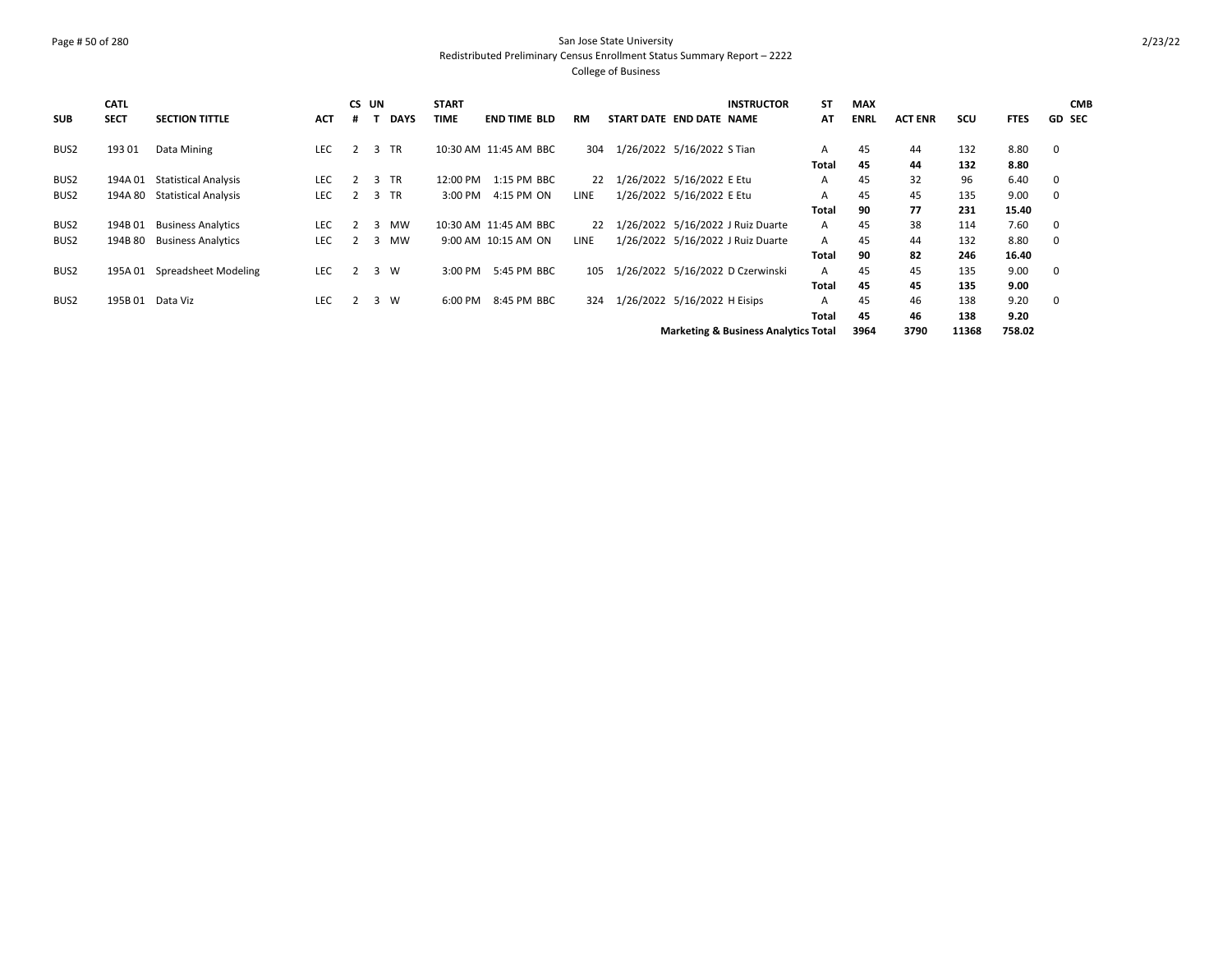### Page # 50 of 280 San Jose State University Redistributed Preliminary Census Enrollment Status Summary Report – 2222 College of Business

| <b>SUB</b>       | <b>CATL</b><br><b>SECT</b> | <b>SECTION TITTLE</b>       | <b>ACT</b> | # | CS UN          | <b>DAYS</b> | <b>START</b><br>TIME | <b>END TIME BLD</b>   | <b>RM</b> | START DATE END DATE NAME     |                           | <b>INSTRUCTOR</b>                               | ST<br>AT | <b>MAX</b><br><b>ENRL</b> | <b>ACT ENR</b> | SCU   | <b>FTES</b> |             | <b>CMB</b><br><b>GD SEC</b> |
|------------------|----------------------------|-----------------------------|------------|---|----------------|-------------|----------------------|-----------------------|-----------|------------------------------|---------------------------|-------------------------------------------------|----------|---------------------------|----------------|-------|-------------|-------------|-----------------------------|
| BUS <sub>2</sub> | 193 01                     | Data Mining                 | <b>LEC</b> | 2 |                | 3 TR        |                      | 10:30 AM 11:45 AM BBC | 304       | 1/26/2022 5/16/2022 S Tian   |                           |                                                 | A        | 45                        | 44             | 132   | 8.80        | 0           |                             |
|                  |                            |                             |            |   |                |             |                      |                       |           |                              |                           |                                                 | Total    | 45                        | 44             | 132   | 8.80        |             |                             |
| BUS <sub>2</sub> | 194A 01                    | <b>Statistical Analysis</b> | LEC        | 2 |                | 3 TR        | 12:00 PM             | 1:15 PM BBC           | 22        | 1/26/2022 5/16/2022 E Etu    |                           |                                                 | A        | 45                        | 32             | 96    | 6.40        | 0           |                             |
| BUS2             | 194A 80                    | <b>Statistical Analysis</b> | <b>LEC</b> | 2 |                | 3 TR        | 3:00 PM              | 4:15 PM ON            | LINE      |                              | 1/26/2022 5/16/2022 E Etu |                                                 | A        | 45                        | 45             | 135   | 9.00        | 0           |                             |
|                  |                            |                             |            |   |                |             |                      |                       |           |                              |                           |                                                 | Total    | 90                        | 77             | 231   | 15.40       |             |                             |
| BUS <sub>2</sub> | 194B01                     | <b>Business Analytics</b>   | LEC        |   | 3              | MW          |                      | 10:30 AM 11:45 AM BBC | 22        |                              |                           | 1/26/2022 5/16/2022 J Ruiz Duarte               | A        | 45                        | 38             | 114   | 7.60        | $\mathbf 0$ |                             |
| BUS <sub>2</sub> | 194B 80                    | <b>Business Analytics</b>   | <b>LEC</b> | 2 | 3              | <b>MW</b>   |                      | 9:00 AM 10:15 AM ON   | LINE      |                              |                           | 1/26/2022 5/16/2022 J Ruiz Duarte               | A        | 45                        | 44             | 132   | 8.80        | 0           |                             |
|                  |                            |                             |            |   |                |             |                      |                       |           |                              |                           |                                                 | Total    | 90                        | 82             | 246   | 16.40       |             |                             |
| BUS2             | 195A 01                    | Spreadsheet Modeling        | LEC        | 2 | 3              | W           | 3:00 PM              | 5:45 PM BBC           | 105       |                              |                           | 1/26/2022 5/16/2022 D Czerwinski                | A        | 45                        | 45             | 135   | 9.00        | 0           |                             |
|                  |                            |                             |            |   |                |             |                      |                       |           |                              |                           |                                                 | Total    | 45                        | 45             | 135   | 9.00        |             |                             |
| BUS <sub>2</sub> |                            | 195B 01 Data Viz            | <b>LEC</b> | 2 | $\overline{3}$ | <b>W</b>    | $6:00 \text{ PM}$    | 8:45 PM BBC           | 324       | 1/26/2022 5/16/2022 H Eisips |                           |                                                 | A        | 45                        | 46             | 138   | 9.20        | $\mathbf 0$ |                             |
|                  |                            |                             |            |   |                |             |                      |                       |           |                              |                           |                                                 | Total    | 45                        | 46             | 138   | 9.20        |             |                             |
|                  |                            |                             |            |   |                |             |                      |                       |           |                              |                           | <b>Marketing &amp; Business Analytics Total</b> |          | 3964                      | 3790           | 11368 | 758.02      |             |                             |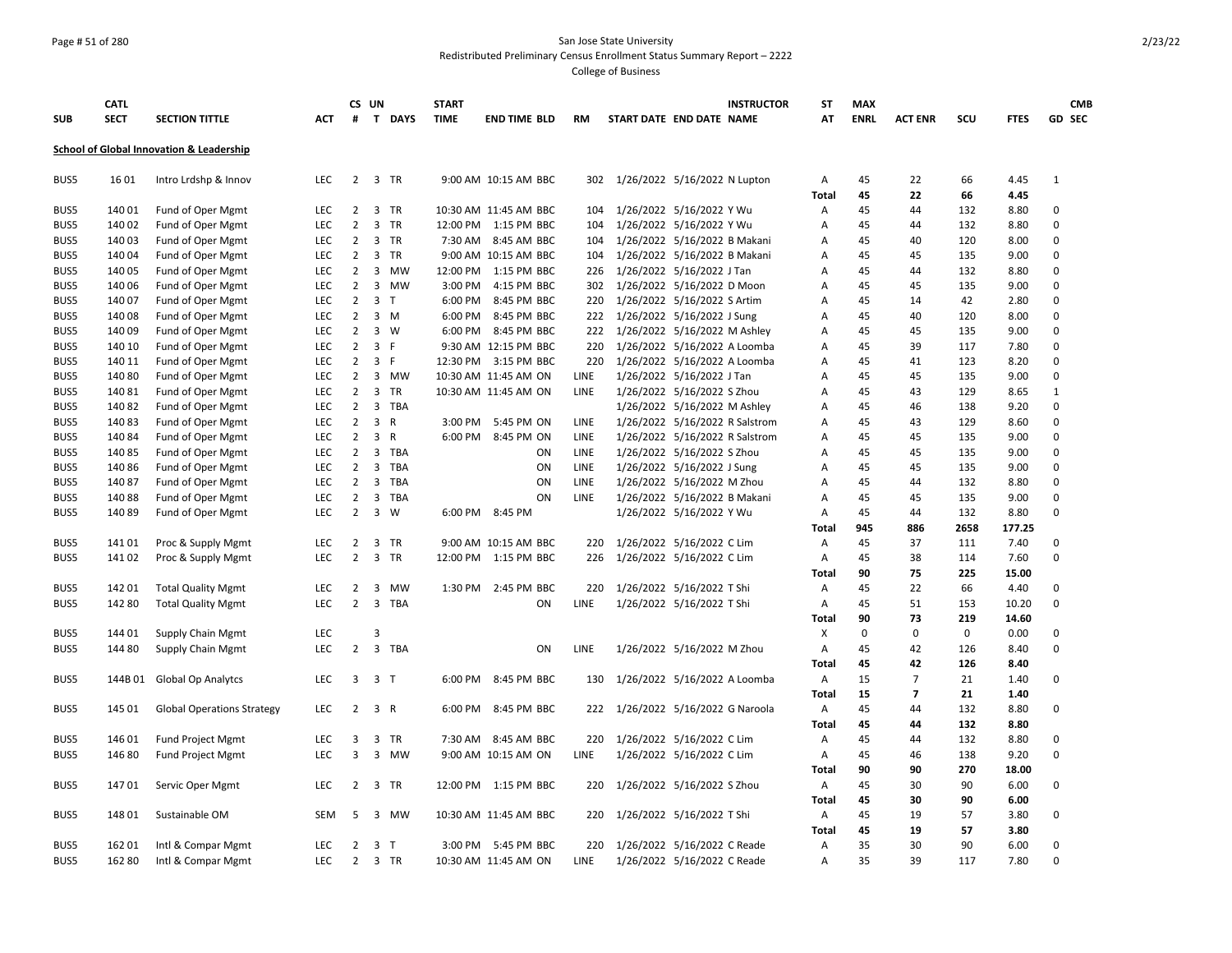### Page # 51 of 280 San Jose State University Redistributed Preliminary Census Enrollment Status Summary Report – 2222

| <b>SUB</b> | <b>CATL</b><br><b>SECT</b> | <b>SECTION TITTLE</b>                    | <b>ACT</b> | #              | CS UN                   | T DAYS         | <b>START</b><br><b>TIME</b> | <b>END TIME BLD</b>   | <b>RM</b> | START DATE END DATE NAME     |                               | <b>INSTRUCTOR</b>              | ST<br>AT          | <b>MAX</b><br><b>ENRL</b> | <b>ACT ENR</b> | SCU         | <b>FTES</b>  | <b>CMB</b><br><b>GD SEC</b> |
|------------|----------------------------|------------------------------------------|------------|----------------|-------------------------|----------------|-----------------------------|-----------------------|-----------|------------------------------|-------------------------------|--------------------------------|-------------------|---------------------------|----------------|-------------|--------------|-----------------------------|
|            |                            |                                          |            |                |                         |                |                             |                       |           |                              |                               |                                |                   |                           |                |             |              |                             |
|            |                            | School of Global Innovation & Leadership |            |                |                         |                |                             |                       |           |                              |                               |                                |                   |                           |                |             |              |                             |
| BUS5       | 16 01                      | Intro Lrdshp & Innov                     | LEC        | $2^{\circ}$    |                         | 3 TR           |                             | 9:00 AM 10:15 AM BBC  | 302       |                              | 1/26/2022 5/16/2022 N Lupton  |                                | Α                 | 45                        | 22             | 66          | 4.45         | $\mathbf{1}$                |
| BUS5       | 140 01                     | Fund of Oper Mgmt                        | <b>LEC</b> | $2^{\circ}$    |                         | 3 TR           |                             | 10:30 AM 11:45 AM BBC | 104       |                              | 1/26/2022 5/16/2022 Y Wu      |                                | <b>Total</b><br>Α | 45<br>45                  | 22<br>44       | 66<br>132   | 4.45<br>8.80 | $\Omega$                    |
| BUS5       | 140 02                     | Fund of Oper Mgmt                        | LEC        | $\overline{2}$ | $\overline{3}$          | TR             | 12:00 PM                    | 1:15 PM BBC           | 104       |                              | 1/26/2022 5/16/2022 Y Wu      |                                | А                 | 45                        | 44             | 132         | 8.80         | $\Omega$                    |
| BUS5       | 140 03                     | Fund of Oper Mgmt                        | <b>LEC</b> | $\overline{2}$ |                         | 3 TR           |                             | 7:30 AM 8:45 AM BBC   | 104       |                              | 1/26/2022 5/16/2022 B Makani  |                                | A                 | 45                        | 40             | 120         | 8.00         | $\Omega$                    |
| BUS5       | 140 04                     | Fund of Oper Mgmt                        | LEC        | $\overline{2}$ | 3                       | TR             |                             | 9:00 AM 10:15 AM BBC  | 104       |                              | 1/26/2022 5/16/2022 B Makani  |                                | А                 | 45                        | 45             | 135         | 9.00         | $\pmb{0}$                   |
| BUS5       | 140 05                     | Fund of Oper Mgmt                        | <b>LEC</b> | $\overline{2}$ | 3                       | <b>MW</b>      | 12:00 PM                    | 1:15 PM BBC           | 226       |                              | 1/26/2022 5/16/2022 J Tan     |                                | А                 | 45                        | 44             | 132         | 8.80         | $\Omega$                    |
| BUS5       | 140 06                     | Fund of Oper Mgmt                        | LEC        | $\overline{2}$ | 3                       | <b>MW</b>      | 3:00 PM                     | 4:15 PM BBC           | 302       |                              | 1/26/2022 5/16/2022 D Moon    |                                | Α                 | 45                        | 45             | 135         | 9.00         | $\pmb{0}$                   |
| BUS5       | 140 07                     | Fund of Oper Mgmt                        | LEC        | $\overline{2}$ |                         | 3 <sub>T</sub> | 6:00 PM                     | 8:45 PM BBC           | 220       |                              | 1/26/2022 5/16/2022 S Artim   |                                | Α                 | 45                        | 14             | 42          | 2.80         | $\pmb{0}$                   |
| BUS5       | 140 08                     | Fund of Oper Mgmt                        | <b>LEC</b> | $\overline{2}$ |                         | $3 \, M$       | 6:00 PM                     | 8:45 PM BBC           | 222       |                              | 1/26/2022 5/16/2022 J Sung    |                                | A                 | 45                        | 40             | 120         | 8.00         | 0                           |
| BUS5       | 140 09                     | Fund of Oper Mgmt                        | LEC        | $\overline{2}$ |                         | $3 \quad W$    | 6:00 PM                     | 8:45 PM BBC           | 222       |                              | 1/26/2022 5/16/2022 M Ashley  |                                | А                 | 45                        | 45             | 135         | 9.00         | $\pmb{0}$                   |
| BUS5       | 140 10                     | Fund of Oper Mgmt                        | LEC        | $\overline{2}$ | 3 F                     |                |                             | 9:30 AM 12:15 PM BBC  | 220       |                              | 1/26/2022 5/16/2022 A Loomba  |                                | Α                 | 45                        | 39             | 117         | 7.80         | $\mathbf 0$                 |
| BUS5       | 140 11                     | Fund of Oper Mgmt                        | LEC        | $\overline{2}$ | 3 F                     |                |                             | 12:30 PM 3:15 PM BBC  | 220       | 1/26/2022 5/16/2022 A Loomba |                               |                                | Α                 | 45                        | 41             | 123         | 8.20         | $\mathbf 0$                 |
| BUS5       | 140 80                     | Fund of Oper Mgmt                        | LEC        | $\overline{2}$ |                         | 3 MW           |                             | 10:30 AM 11:45 AM ON  | LINE      |                              | 1/26/2022 5/16/2022 J Tan     |                                | А                 | 45                        | 45             | 135         | 9.00         | $\pmb{0}$                   |
| BUS5       | 140 81                     | Fund of Oper Mgmt                        | <b>LEC</b> | $\overline{2}$ |                         | 3 TR           |                             | 10:30 AM 11:45 AM ON  | LINE      |                              | 1/26/2022 5/16/2022 S Zhou    |                                | Α                 | 45                        | 43             | 129         | 8.65         | $\mathbf{1}$                |
| BUS5       | 14082                      | Fund of Oper Mgmt                        | <b>LEC</b> | $\overline{2}$ |                         | 3 TBA          |                             |                       |           |                              | 1/26/2022 5/16/2022 M Ashley  |                                | А                 | 45                        | 46             | 138         | 9.20         | $\Omega$                    |
| BUS5       | 14083                      | Fund of Oper Mgmt                        | <b>LEC</b> | $\overline{2}$ | 3                       | $\mathsf{R}$   | 3:00 PM                     | 5:45 PM ON            | LINE      |                              |                               | 1/26/2022 5/16/2022 R Salstrom | A                 | 45                        | 43             | 129         | 8.60         | $\mathbf 0$                 |
| BUS5       | 14084                      | Fund of Oper Mgmt                        | LEC        | $\overline{2}$ | $\overline{\mathbf{3}}$ | $\mathsf{R}$   | 6:00 PM                     | 8:45 PM ON            | LINE      |                              |                               | 1/26/2022 5/16/2022 R Salstrom | Α                 | 45                        | 45             | 135         | 9.00         | $\mathbf 0$                 |
| BUS5       | 14085                      | Fund of Oper Mgmt                        | LEC        | $\overline{2}$ | 3                       | TBA            |                             | ON                    | LINE      |                              | 1/26/2022 5/16/2022 S Zhou    |                                | А                 | 45                        | 45             | 135         | 9.00         | $\pmb{0}$                   |
| BUS5       | 140 86                     | Fund of Oper Mgmt                        | <b>LEC</b> | $\overline{2}$ | $\overline{\mathbf{3}}$ | TBA            |                             | ON                    | LINE      |                              | 1/26/2022 5/16/2022 J Sung    |                                | А                 | 45                        | 45             | 135         | 9.00         | 0                           |
| BUS5       | 140 87                     | Fund of Oper Mgmt                        | LEC        | $\overline{2}$ | 3                       | TBA            |                             | ON                    | LINE      |                              | 1/26/2022 5/16/2022 M Zhou    |                                | А                 | 45                        | 44             | 132         | 8.80         | $\pmb{0}$                   |
| BUS5       | 14088                      | Fund of Oper Mgmt                        | <b>LEC</b> | $\overline{2}$ |                         | 3 TBA          |                             | ON                    | LINE      |                              | 1/26/2022 5/16/2022 B Makani  |                                | Α                 | 45                        | 45             | 135         | 9.00         | $\Omega$                    |
| BUS5       | 14089                      | Fund of Oper Mgmt                        | <b>LEC</b> | $\overline{2}$ | 3                       | W              |                             | 6:00 PM 8:45 PM       |           |                              | 1/26/2022 5/16/2022 Y Wu      |                                | A                 | 45                        | 44             | 132         | 8.80         | $\Omega$                    |
|            |                            |                                          |            |                |                         |                |                             |                       |           |                              |                               |                                | Total             | 945                       | 886            | 2658        | 177.25       |                             |
| BUS5       | 14101                      | Proc & Supply Mgmt                       | LEC        | $\overline{2}$ |                         | 3 TR           |                             | 9:00 AM 10:15 AM BBC  | 220       |                              | 1/26/2022 5/16/2022 C Lim     |                                | Α                 | 45                        | 37             | 111         | 7.40         | $\Omega$                    |
| BUS5       | 14102                      | Proc & Supply Mgmt                       | LEC        | $\overline{2}$ |                         | 3 TR           |                             | 12:00 PM 1:15 PM BBC  | 226       |                              | 1/26/2022 5/16/2022 C Lim     |                                | Α                 | 45                        | 38             | 114         | 7.60         | $\Omega$                    |
|            |                            |                                          |            |                |                         |                |                             |                       |           |                              |                               |                                | Total             | 90                        | 75             | 225         | 15.00        |                             |
| BUS5       | 142 01                     | <b>Total Quality Mgmt</b>                | <b>LEC</b> | 2              | 3                       | MW             | 1:30 PM                     | 2:45 PM BBC           | 220       |                              | 1/26/2022 5/16/2022 T Shi     |                                | A                 | 45                        | 22             | 66          | 4.40         | 0                           |
| BUS5       | 142 80                     | <b>Total Quality Mgmt</b>                | LEC        | $\overline{2}$ |                         | 3 TBA          |                             | ON                    | LINE      |                              | 1/26/2022 5/16/2022 T Shi     |                                | Α                 | 45                        | 51             | 153         | 10.20        | $\Omega$                    |
|            |                            |                                          |            |                |                         |                |                             |                       |           |                              |                               |                                | Total             | 90                        | 73             | 219         | 14.60        |                             |
| BUS5       | 144 01                     | <b>Supply Chain Mgmt</b>                 | LEC        |                | 3                       |                |                             |                       |           |                              |                               |                                | X                 | $\mathbf 0$               | 0              | $\mathbf 0$ | 0.00         | 0                           |
| BUS5       | 144 80                     | <b>Supply Chain Mgmt</b>                 | LEC        | $\overline{2}$ | $\mathbf{3}$            | TBA            |                             | ON                    | LINE      |                              | 1/26/2022 5/16/2022 M Zhou    |                                | А                 | 45                        | 42             | 126         | 8.40         | $\pmb{0}$                   |
|            |                            |                                          |            |                |                         |                |                             |                       |           |                              |                               |                                | Total             | 45                        | 42             | 126         | 8.40         |                             |
| BUS5       | 144B 01                    | <b>Global Op Analytcs</b>                | <b>LEC</b> | 3              | 3 <sub>T</sub>          |                | 6:00 PM                     | 8:45 PM BBC           | 130       |                              | 1/26/2022 5/16/2022 A Loomba  |                                | Α                 | 15                        | $\overline{7}$ | 21          | 1.40         | 0                           |
|            |                            |                                          |            |                |                         |                |                             |                       |           |                              |                               |                                | Total             | 15                        | $\overline{7}$ | 21          | 1.40         |                             |
| BUS5       | 145 01                     | <b>Global Operations Strategy</b>        | LEC        | $\overline{2}$ | 3 R                     |                | 6:00 PM                     | 8:45 PM BBC           | 222       |                              | 1/26/2022 5/16/2022 G Naroola |                                | Α                 | 45                        | 44             | 132         | 8.80         | $\pmb{0}$                   |
|            |                            |                                          |            |                |                         |                |                             |                       |           |                              |                               |                                | Total             | 45                        | 44             | 132         | 8.80         |                             |
| BUS5       | 146 01                     | <b>Fund Project Mgmt</b>                 | LEC        | 3              |                         | 3 TR           | 7:30 AM                     | 8:45 AM BBC           | 220       |                              | 1/26/2022 5/16/2022 C Lim     |                                | Α                 | 45                        | 44             | 132         | 8.80         | 0                           |
| BUS5       | 146 80                     | Fund Project Mgmt                        | LEC        | 3              | $\overline{3}$          | MW             |                             | 9:00 AM 10:15 AM ON   | LINE      |                              | 1/26/2022 5/16/2022 C Lim     |                                | Α                 | 45                        | 46             | 138         | 9.20         | $\Omega$                    |
|            |                            |                                          |            |                |                         |                |                             |                       |           |                              |                               |                                | Total             | 90                        | 90             | 270         | 18.00        |                             |
| BUS5       | 14701                      | Servic Oper Mgmt                         | LEC        | 2              | 3                       | TR             | 12:00 PM                    | 1:15 PM BBC           | 220       |                              | 1/26/2022 5/16/2022 S Zhou    |                                | Α                 | 45                        | 30             | 90          | 6.00         | $\Omega$                    |
|            |                            |                                          |            |                |                         |                |                             |                       |           |                              |                               |                                | <b>Total</b>      | 45                        | 30             | 90          | 6.00         |                             |
| BUS5       | 148 01                     | Sustainable OM                           | <b>SEM</b> | 5              | 3                       | <b>MW</b>      |                             | 10:30 AM 11:45 AM BBC | 220       |                              | 1/26/2022 5/16/2022 T Shi     |                                | Α                 | 45                        | 19             | 57          | 3.80         | 0                           |
|            |                            |                                          |            |                |                         |                |                             |                       |           |                              |                               |                                | <b>Total</b>      | 45                        | 19             | 57          | 3.80         |                             |
| BUS5       | 162 01                     | Intl & Compar Mgmt                       | <b>LEC</b> | $\overline{2}$ |                         | 3 <sub>T</sub> |                             | 3:00 PM 5:45 PM BBC   | 220       |                              | 1/26/2022 5/16/2022 C Reade   |                                | A                 | 35                        | 30             | 90          | 6.00         | 0                           |
| BUS5       | 162 80                     | Intl & Compar Mgmt                       | LEC        | $\overline{2}$ |                         | 3 TR           |                             | 10:30 AM 11:45 AM ON  | LINE      |                              | 1/26/2022 5/16/2022 C Reade   |                                | A                 | 35                        | 39             | 117         | 7.80         | $\mathbf 0$                 |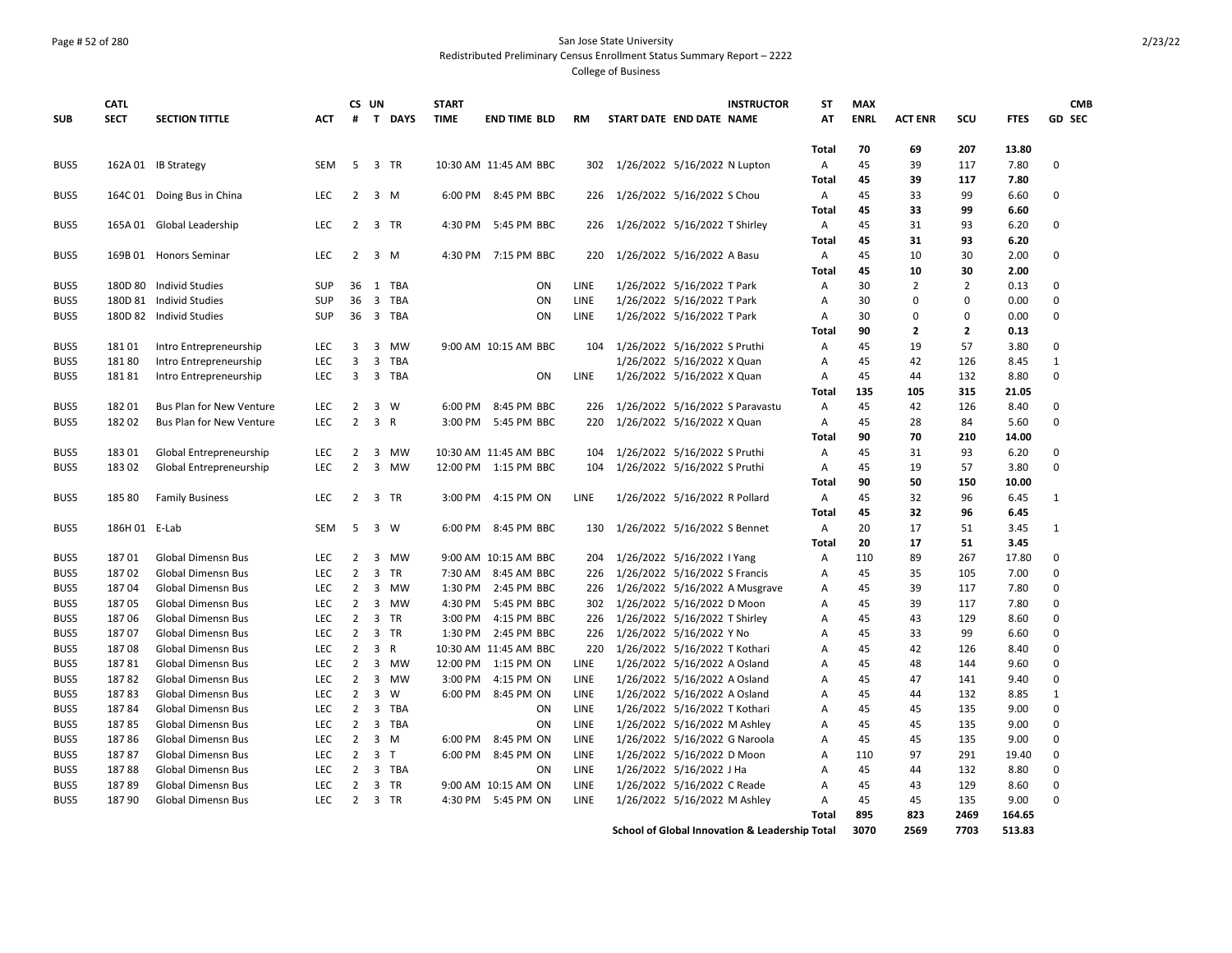### Page # 52 of 280 San Jose State University Redistributed Preliminary Census Enrollment Status Summary Report – 2222

|              | <b>CATL</b>    |                                                        |                          | CS UN                            |                     |              | <b>START</b>       |                            |            |                                                           | <b>INSTRUCTOR</b>                                                                                                     | <b>ST</b>         | <b>MAX</b>  |                |                |               | <b>CMB</b>              |
|--------------|----------------|--------------------------------------------------------|--------------------------|----------------------------------|---------------------|--------------|--------------------|----------------------------|------------|-----------------------------------------------------------|-----------------------------------------------------------------------------------------------------------------------|-------------------|-------------|----------------|----------------|---------------|-------------------------|
| <b>SUB</b>   | <b>SECT</b>    | <b>SECTION TITTLE</b>                                  | <b>ACT</b>               | #                                |                     | T DAYS       | <b>TIME</b>        | <b>END TIME BLD</b>        | <b>RM</b>  | START DATE END DATE NAME                                  |                                                                                                                       | AT                | <b>ENRL</b> | <b>ACT ENR</b> | scu            | <b>FTES</b>   | GD SEC                  |
|              |                |                                                        |                          |                                  |                     |              |                    |                            |            |                                                           |                                                                                                                       |                   |             |                |                |               |                         |
|              |                |                                                        |                          |                                  |                     |              |                    |                            |            |                                                           |                                                                                                                       | Total             | 70          | 69             | 207            | 13.80         |                         |
| BUS5         |                | 162A 01 IB Strategy                                    | <b>SEM</b>               | 5                                |                     | 3 TR         |                    | 10:30 AM 11:45 AM BBC      | 302        | 1/26/2022 5/16/2022 N Lupton                              |                                                                                                                       | Α                 | 45          | 39             | 117            | 7.80          | $\Omega$                |
|              |                |                                                        |                          |                                  |                     |              |                    |                            |            |                                                           |                                                                                                                       | <b>Total</b>      | 45          | 39             | 117            | 7.80          |                         |
| BUS5         |                | 164C 01 Doing Bus in China                             | LEC                      | $\overline{2}$                   |                     | 3 M          |                    | 6:00 PM 8:45 PM BBC        | 226        | 1/26/2022 5/16/2022 S Chou                                |                                                                                                                       | Α                 | 45          | 33             | 99             | 6.60          | $\Omega$                |
| BUS5         |                | 165A 01 Global Leadership                              | <b>LEC</b>               |                                  | 2 3 TR              |              |                    | 4:30 PM 5:45 PM BBC        | 226        | 1/26/2022 5/16/2022 T Shirley                             |                                                                                                                       | <b>Total</b><br>Α | 45<br>45    | 33<br>31       | 99<br>93       | 6.60<br>6.20  | $\mathbf 0$             |
|              |                |                                                        |                          |                                  |                     |              |                    |                            |            |                                                           |                                                                                                                       | Total             | 45          | 31             | 93             | 6.20          |                         |
| BUS5         |                | 169B 01 Honors Seminar                                 | <b>LEC</b>               |                                  | $2 \quad 3 \quad M$ |              |                    | 4:30 PM 7:15 PM BBC        | 220        | 1/26/2022 5/16/2022 A Basu                                |                                                                                                                       | Α                 | 45          | 10             | 30             | 2.00          | $\Omega$                |
|              |                |                                                        |                          |                                  |                     |              |                    |                            |            |                                                           |                                                                                                                       | <b>Total</b>      | 45          | 10             | 30             | 2.00          |                         |
| BUS5         |                | 180D 80 Individ Studies                                | SUP                      |                                  |                     | 36 1 TBA     |                    | ON                         | LINE       | 1/26/2022 5/16/2022 T Park                                |                                                                                                                       | Α                 | 30          | $\overline{2}$ | $\overline{2}$ | 0.13          | $\mathbf 0$             |
| BUS5         |                | 180D 81 Individ Studies                                | SUP                      |                                  |                     | 36 3 TBA     |                    | ON                         | LINE       | 1/26/2022 5/16/2022 T Park                                |                                                                                                                       | A                 | 30          | $\Omega$       | 0              | 0.00          | $\Omega$                |
| BUS5         |                | 180D 82 Individ Studies                                | SUP                      |                                  |                     | 36 3 TBA     |                    | ON                         | LINE       | 1/26/2022 5/16/2022 T Park                                |                                                                                                                       | Α                 | 30          | $\Omega$       | 0              | 0.00          | $\mathbf 0$             |
|              |                |                                                        |                          |                                  |                     |              |                    |                            |            |                                                           |                                                                                                                       | <b>Total</b>      | 90          | $\overline{2}$ | $\mathbf{2}$   | 0.13          |                         |
| BUS5         | 18101          | Intro Entrepreneurship                                 | <b>LEC</b>               | 3                                |                     | 3 MW         |                    | 9:00 AM 10:15 AM BBC       | 104        | 1/26/2022 5/16/2022 S Pruthi                              |                                                                                                                       | A                 | 45          | 19             | 57             | 3.80          | $\mathbf 0$             |
| BUS5         | 18180          | Intro Entrepreneurship                                 | <b>LEC</b>               | 3                                | 3                   | TBA          |                    |                            |            | 1/26/2022 5/16/2022 X Quan                                |                                                                                                                       | A                 | 45          | 42             | 126            | 8.45          | $\mathbf{1}$            |
| BUS5         | 18181          | Intro Entrepreneurship                                 | <b>LEC</b>               | 3                                |                     | 3 TBA        |                    | ON                         | LINE       | 1/26/2022 5/16/2022 X Quan                                |                                                                                                                       | Α                 | 45          | 44             | 132            | 8.80          | $\mathbf 0$             |
|              |                |                                                        |                          |                                  |                     |              |                    |                            |            |                                                           |                                                                                                                       | <b>Total</b>      | 135         | 105            | 315            | 21.05         |                         |
| BUS5         | 18201          | <b>Bus Plan for New Venture</b>                        | <b>LEC</b>               | 2                                |                     | 3 W          | 6:00 PM            | 8:45 PM BBC                | 226        |                                                           | 1/26/2022 5/16/2022 S Paravastu                                                                                       | Α                 | 45          | 42             | 126            | 8.40          | 0                       |
| BUS5         | 18202          | <b>Bus Plan for New Venture</b>                        | <b>LEC</b>               | $2^{\circ}$                      | 3 R                 |              | 3:00 PM            | 5:45 PM BBC                | 220        | 1/26/2022 5/16/2022 X Quan                                |                                                                                                                       | Α                 | 45          | 28             | 84             | 5.60          | $\Omega$                |
|              |                |                                                        |                          |                                  |                     |              |                    |                            |            |                                                           |                                                                                                                       | <b>Total</b>      | 90          | 70             | 210            | 14.00         |                         |
| BUS5         | 18301          | Global Entrepreneurship                                | <b>LEC</b>               | $\overline{2}$                   | $\overline{3}$      | <b>MW</b>    |                    | 10:30 AM 11:45 AM BBC      | 104        | 1/26/2022 5/16/2022 S Pruthi                              |                                                                                                                       | Α                 | 45          | 31             | 93             | 6.20          | $\Omega$                |
| BUS5         | 18302          | Global Entrepreneurship                                | <b>LEC</b>               | 2                                | 3                   | MW           |                    | 12:00 PM 1:15 PM BBC       | 104        | 1/26/2022 5/16/2022 S Pruthi                              |                                                                                                                       | Α                 | 45          | 19             | 57             | 3.80          | $\Omega$                |
|              |                |                                                        |                          |                                  |                     |              |                    |                            |            |                                                           |                                                                                                                       | <b>Total</b>      | 90          | 50             | 150            | 10.00         |                         |
| BUS5         | 185 80         | <b>Family Business</b>                                 | <b>LEC</b>               | 2                                |                     | 3 TR         | 3:00 PM            | 4:15 PM ON                 | LINE       | 1/26/2022 5/16/2022 R Pollard                             |                                                                                                                       | A                 | 45          | 32             | 96             | 6.45          | $\mathbf{1}$            |
|              |                |                                                        |                          |                                  |                     |              |                    |                            |            |                                                           |                                                                                                                       | Total             | 45          | 32             | 96             | 6.45          |                         |
| BUS5         | 186H 01 E-Lab  |                                                        | <b>SEM</b>               | 5                                |                     | 3 W          | 6:00 PM            | 8:45 PM BBC                | 130        | 1/26/2022 5/16/2022 S Bennet                              |                                                                                                                       | Α                 | 20          | 17             | 51             | 3.45          | $\mathbf 1$             |
|              |                |                                                        |                          |                                  |                     |              |                    |                            |            |                                                           |                                                                                                                       | <b>Total</b>      | 20          | 17             | 51             | 3.45          |                         |
| BUS5         | 18701          | <b>Global Dimensn Bus</b>                              | <b>LEC</b>               | $\overline{2}$                   |                     | 3 MW         |                    | 9:00 AM 10:15 AM BBC       | 204        | 1/26/2022 5/16/2022 I Yang                                |                                                                                                                       | Α                 | 110         | 89             | 267            | 17.80         | $\Omega$                |
| BUS5         | 18702          | <b>Global Dimensn Bus</b>                              | <b>LEC</b>               | $\overline{2}$                   |                     | 3 TR         |                    | 7:30 AM 8:45 AM BBC        | 226        | 1/26/2022 5/16/2022 S Francis                             |                                                                                                                       | Α                 | 45          | 35             | 105            | 7.00          | 0                       |
| BUS5         | 18704          | Global Dimensn Bus                                     | LEC                      | $\overline{2}$                   |                     | 3 MW         | 1:30 PM            | 2:45 PM BBC                | 226        |                                                           | 1/26/2022 5/16/2022 A Musgrave                                                                                        | Α                 | 45          | 39             | 117            | 7.80          | $\Omega$                |
| BUS5         | 18705          | <b>Global Dimensn Bus</b>                              | <b>LEC</b>               | $\overline{2}$<br>$\overline{2}$ | 3                   | MW           | 4:30 PM            | 5:45 PM BBC                | 302        | 1/26/2022 5/16/2022 D Moon                                |                                                                                                                       | Α                 | 45          | 39             | 117            | 7.80          | $\mathbf 0$<br>$\Omega$ |
| BUS5<br>BUS5 | 18706<br>18707 | <b>Global Dimensn Bus</b><br><b>Global Dimensn Bus</b> | <b>LEC</b><br><b>LEC</b> | 2                                |                     | 3 TR<br>3 TR | 3:00 PM<br>1:30 PM | 4:15 PM BBC<br>2:45 PM BBC | 226<br>226 | 1/26/2022 5/16/2022 T Shirley<br>1/26/2022 5/16/2022 Y No |                                                                                                                       | A<br>A            | 45<br>45    | 43<br>33       | 129<br>99      | 8.60<br>6.60  | $\Omega$                |
| BUS5         | 18708          | <b>Global Dimensn Bus</b>                              | <b>LEC</b>               | $\overline{2}$                   | 3 R                 |              |                    | 10:30 AM 11:45 AM BBC      | 220        | 1/26/2022 5/16/2022 T Kothari                             |                                                                                                                       | A                 | 45          | 42             | 126            | 8.40          | $\mathbf 0$             |
| BUS5         | 18781          | <b>Global Dimensn Bus</b>                              | <b>LEC</b>               | $\overline{2}$                   |                     | 3 MW         |                    | 12:00 PM 1:15 PM ON        | LINE       | 1/26/2022 5/16/2022 A Osland                              |                                                                                                                       | Α                 | 45          | 48             | 144            | 9.60          | $\mathbf 0$             |
| BUS5         | 18782          | <b>Global Dimensn Bus</b>                              | <b>LEC</b>               | $\overline{2}$                   |                     | 3 MW         | 3:00 PM            | 4:15 PM ON                 | LINE       | 1/26/2022 5/16/2022 A Osland                              |                                                                                                                       | A                 | 45          | 47             | 141            | 9.40          | $\mathbf 0$             |
| BUS5         | 18783          | <b>Global Dimensn Bus</b>                              | <b>LEC</b>               | 2                                | $\overline{3}$      | W            | 6:00 PM            | 8:45 PM ON                 | LINE       | 1/26/2022 5/16/2022 A Osland                              |                                                                                                                       | A                 | 45          | 44             | 132            | 8.85          | 1                       |
| BUS5         | 18784          | <b>Global Dimensn Bus</b>                              | <b>LEC</b>               | $\overline{2}$                   |                     | 3 TBA        |                    | ON                         | LINE       | 1/26/2022 5/16/2022 T Kothari                             |                                                                                                                       | Α                 | 45          | 45             | 135            | 9.00          | $\mathbf 0$             |
| BUS5         | 18785          | <b>Global Dimensn Bus</b>                              | <b>LEC</b>               | $\overline{2}$                   |                     | 3 TBA        |                    | ON                         | LINE       | 1/26/2022 5/16/2022 M Ashley                              |                                                                                                                       | Α                 | 45          | 45             | 135            | 9.00          | $\Omega$                |
| BUS5         | 18786          | <b>Global Dimensn Bus</b>                              | <b>LEC</b>               | $\overline{2}$                   |                     | $3 \, M$     | 6:00 PM            | 8:45 PM ON                 | LINE       | 1/26/2022 5/16/2022 G Naroola                             |                                                                                                                       | Α                 | 45          | 45             | 135            | 9.00          | 0                       |
| BUS5         | 18787          | Global Dimensn Bus                                     | <b>LEC</b>               | $2^{\circ}$                      | 3 <sub>T</sub>      |              | 6:00 PM            | 8:45 PM ON                 | LINE       | 1/26/2022 5/16/2022 D Moon                                |                                                                                                                       | Α                 | 110         | 97             | 291            | 19.40         | $\mathbf 0$             |
| BUS5         | 18788          | <b>Global Dimensn Bus</b>                              | <b>LEC</b>               | $\overline{2}$                   |                     | 3 TBA        |                    | ON                         | LINE       | 1/26/2022 5/16/2022 J Ha                                  |                                                                                                                       | A                 | 45          | 44             | 132            | 8.80          | $\mathbf 0$             |
| BUS5         | 18789          | <b>Global Dimensn Bus</b>                              | <b>LEC</b>               | $\overline{2}$                   |                     | 3 TR         |                    | 9:00 AM 10:15 AM ON        | LINE       | 1/26/2022 5/16/2022 C Reade                               |                                                                                                                       | A                 | 45          | 43             | 129            | 8.60          | $\Omega$                |
| BUS5         | 18790          | <b>Global Dimensn Bus</b>                              | <b>LEC</b>               | $\overline{2}$                   |                     | 3 TR         | 4:30 PM            | 5:45 PM ON                 | LINE       | 1/26/2022 5/16/2022 M Ashley                              |                                                                                                                       | A                 | 45          | 45             | 135            | 9.00          | $\Omega$                |
|              |                |                                                        |                          |                                  |                     |              |                    |                            |            |                                                           |                                                                                                                       | <b>Total</b>      | 895         | 823            | 2469           | 164.65        |                         |
|              |                |                                                        |                          |                                  |                     |              |                    |                            |            |                                                           | <b>Address to fact the three constructions of the state of the set of the set of the set of the set of the set of</b> |                   | 2072        | $---$          | $\overline{a}$ | <b>FAD 00</b> |                         |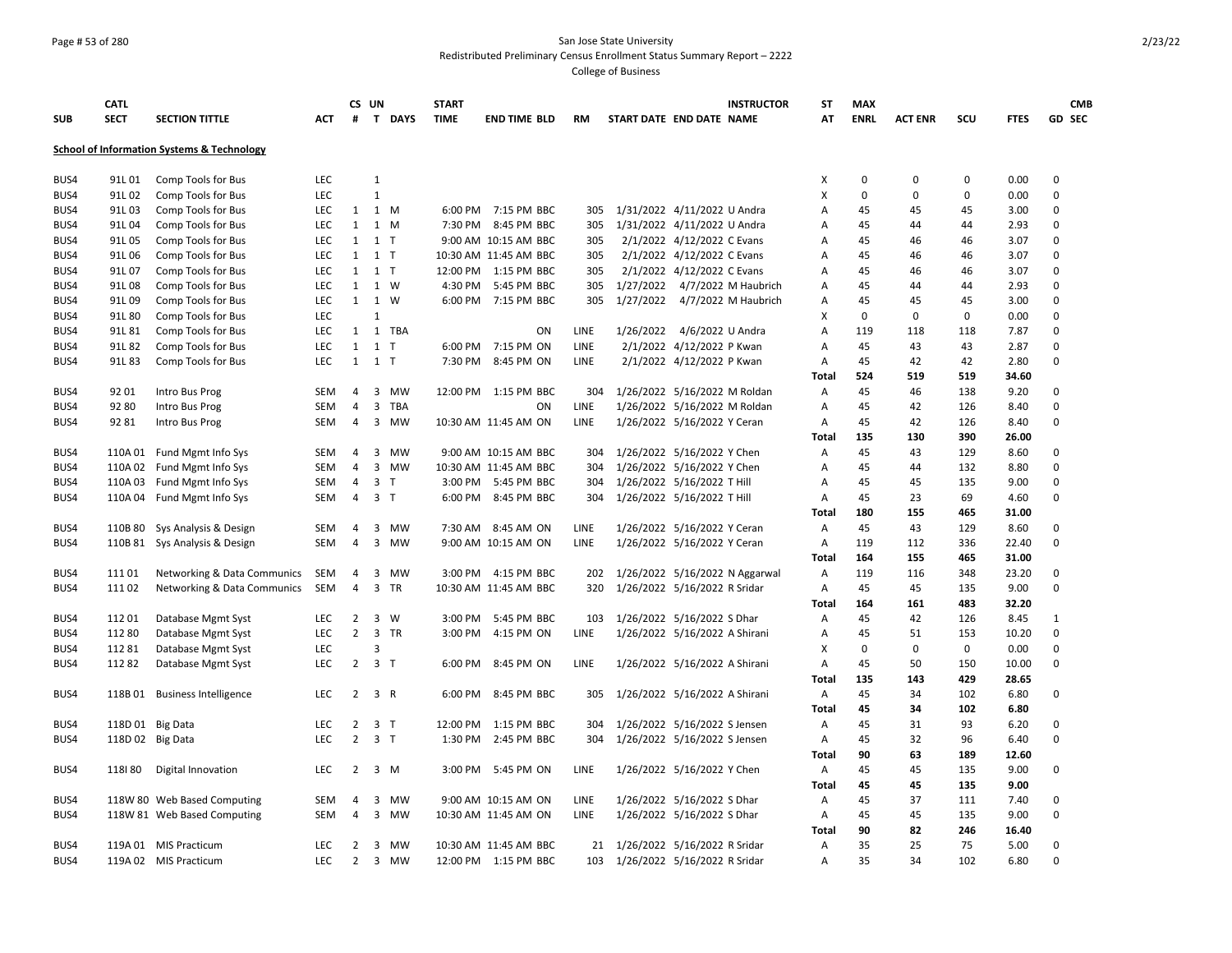### Page # 53 of 280 San Jose State University Redistributed Preliminary Census Enrollment Status Summary Report – 2222

| <b>SUB</b> | <b>CATL</b><br><b>SECT</b> | <b>SECTION TITTLE</b>                                 | <b>ACT</b> | #              | CS UN          | T DAYS    | <b>START</b><br><b>TIME</b> | <b>END TIME BLD</b>   | <b>RM</b>  | START DATE END DATE NAME      |                               | <b>INSTRUCTOR</b>              | <b>ST</b><br>AT   | <b>MAX</b><br><b>ENRL</b> | <b>ACT ENR</b> | scu         | <b>FTES</b>   |               | <b>CMB</b><br><b>GD SEC</b> |
|------------|----------------------------|-------------------------------------------------------|------------|----------------|----------------|-----------|-----------------------------|-----------------------|------------|-------------------------------|-------------------------------|--------------------------------|-------------------|---------------------------|----------------|-------------|---------------|---------------|-----------------------------|
|            |                            |                                                       |            |                |                |           |                             |                       |            |                               |                               |                                |                   |                           |                |             |               |               |                             |
|            |                            | <b>School of Information Systems &amp; Technology</b> |            |                |                |           |                             |                       |            |                               |                               |                                |                   |                           |                |             |               |               |                             |
| BUS4       | 91L 01                     | Comp Tools for Bus                                    | <b>LEC</b> |                | $\mathbf{1}$   |           |                             |                       |            |                               |                               |                                | X                 | $\mathbf 0$               | 0              | 0           | 0.00          | $\Omega$      |                             |
| BUS4       | 91L 02                     | Comp Tools for Bus                                    | LEC        |                | $\mathbf{1}$   |           |                             |                       |            |                               |                               |                                | X                 | $\mathbf 0$               | $\Omega$       | $\mathbf 0$ | 0.00          | $\mathbf 0$   |                             |
| BUS4       | 91L03                      | Comp Tools for Bus                                    | LEC        | $\mathbf{1}$   | 1 M            |           |                             | 6:00 PM 7:15 PM BBC   | 305        |                               | 1/31/2022 4/11/2022 U Andra   |                                | А                 | 45                        | 45             | 45          | 3.00          | $\Omega$      |                             |
| BUS4       | 91L04                      | Comp Tools for Bus                                    | <b>LEC</b> | 1              | 1 M            |           | 7:30 PM                     | 8:45 PM BBC           | 305        |                               | 1/31/2022 4/11/2022 U Andra   |                                | A                 | 45                        | 44             | 44          | 2.93          | $\Omega$      |                             |
| BUS4       | 91L05                      | Comp Tools for Bus                                    | LEC        | $\mathbf{1}$   | $1$ T          |           |                             | 9:00 AM 10:15 AM BBC  | 305        |                               | 2/1/2022 4/12/2022 C Evans    |                                | А                 | 45                        | 46             | 46          | 3.07          | $\mathbf 0$   |                             |
| BUS4       | 91L06                      | Comp Tools for Bus                                    | <b>LEC</b> | 1              | $1$ T          |           |                             | 10:30 AM 11:45 AM BBC | 305        |                               | 2/1/2022 4/12/2022 C Evans    |                                | А                 | 45                        | 46             | 46          | 3.07          | $\Omega$      |                             |
| BUS4       | 91L 07                     | Comp Tools for Bus                                    | LEC        | 1              | $1$ T          |           |                             | 12:00 PM 1:15 PM BBC  | 305        |                               | 2/1/2022 4/12/2022 C Evans    |                                | Α                 | 45                        | 46             | 46          | 3.07          | $\mathbf 0$   |                             |
| BUS4       | 91L08                      | Comp Tools for Bus                                    | <b>LEC</b> | $\mathbf{1}$   | 1 W            |           | 4:30 PM                     | 5:45 PM BBC           | 305        |                               |                               | 1/27/2022 4/7/2022 M Haubrich  | А                 | 45                        | 44             | 44          | 2.93          | $\mathbf 0$   |                             |
| BUS4       | 91L09                      | Comp Tools for Bus                                    | LEC        | $\mathbf{1}$   | 1 W            |           |                             | 6:00 PM 7:15 PM BBC   | 305        |                               |                               | 1/27/2022 4/7/2022 M Haubrich  | Α                 | 45                        | 45             | 45          | 3.00          | $\mathbf 0$   |                             |
| BUS4       | 91L 80                     | Comp Tools for Bus                                    | <b>LEC</b> |                | $\mathbf{1}$   |           |                             |                       |            |                               |                               |                                | X                 | $\Omega$                  | 0              | $\mathbf 0$ | 0.00          | $\Omega$      |                             |
| BUS4       | 91L 81                     | Comp Tools for Bus                                    | LEC        | 1              |                | 1 TBA     |                             | ON                    | LINE       |                               | 1/26/2022 4/6/2022 U Andra    |                                | А                 | 119                       | 118            | 118         | 7.87          | $\Omega$      |                             |
| BUS4       | 91L82                      | Comp Tools for Bus                                    | LEC        | $\mathbf{1}$   | $1$ T          |           | 6:00 PM                     | 7:15 PM ON            | LINE       |                               | 2/1/2022 4/12/2022 P Kwan     |                                | Α                 | 45                        | 43             | 43          | 2.87          | 0             |                             |
| BUS4       | 91L83                      | Comp Tools for Bus                                    | LEC        | 1              | $1$ T          |           | 7:30 PM                     | 8:45 PM ON            | LINE       |                               | 2/1/2022 4/12/2022 P Kwan     |                                | А                 | 45                        | 42             | 42          | 2.80          | 0             |                             |
|            |                            |                                                       |            |                |                |           |                             |                       |            |                               |                               |                                | <b>Total</b>      | 524                       | 519            | 519         | 34.60         |               |                             |
| BUS4       | 92 01                      | Intro Bus Prog                                        | <b>SEM</b> | $\overline{4}$ | 3              | <b>MW</b> |                             | 12:00 PM 1:15 PM BBC  | 304        |                               | 1/26/2022 5/16/2022 M Roldan  |                                | A                 | 45                        | 46             | 138         | 9.20          | $\Omega$      |                             |
| BUS4       | 92 80                      | Intro Bus Prog                                        | <b>SEM</b> | 4              | 3              | TBA       |                             | ON                    | LINE       |                               | 1/26/2022 5/16/2022 M Roldan  |                                | A                 | 45                        | 42             | 126         | 8.40          | $\Omega$      |                             |
| BUS4       | 9281                       | Intro Bus Prog                                        | <b>SEM</b> | 4              | 3              | <b>MW</b> |                             | 10:30 AM 11:45 AM ON  | LINE       |                               | 1/26/2022 5/16/2022 Y Ceran   |                                | A                 | 45                        | 42             | 126         | 8.40          | $\Omega$      |                             |
|            |                            |                                                       |            |                |                |           |                             |                       |            |                               |                               |                                | Total             | 135                       | 130            | 390         | 26.00         |               |                             |
| BUS4       | 110A 01                    | Fund Mgmt Info Sys                                    | <b>SEM</b> | 4              | 3              | MW        |                             | 9:00 AM 10:15 AM BBC  | 304        |                               | 1/26/2022 5/16/2022 Y Chen    |                                | Α                 | 45                        | 43             | 129         | 8.60          | $\mathbf 0$   |                             |
| BUS4       | 110A 02                    | Fund Mgmt Info Sys                                    | <b>SEM</b> | 4              | 3              | MW        |                             | 10:30 AM 11:45 AM BBC | 304        |                               | 1/26/2022 5/16/2022 Y Chen    |                                | А                 | 45                        | 44             | 132         | 8.80          | $\Omega$      |                             |
| BUS4       | 110A03                     | Fund Mgmt Info Sys                                    | <b>SEM</b> | 4              | 3 <sub>1</sub> |           |                             | 3:00 PM 5:45 PM BBC   | 304        |                               | 1/26/2022 5/16/2022 T Hill    |                                | Α                 | 45                        | 45             | 135         | 9.00          | $\mathbf 0$   |                             |
| BUS4       |                            | 110A 04 Fund Mgmt Info Sys                            | <b>SEM</b> | $\overline{4}$ | 3 <sub>T</sub> |           |                             | 6:00 PM 8:45 PM BBC   | 304        | 1/26/2022 5/16/2022 T Hill    |                               |                                | Α                 | 45                        | 23             | 69          | 4.60          | $\Omega$      |                             |
|            |                            |                                                       |            |                |                |           |                             |                       |            |                               |                               |                                | <b>Total</b>      | 180                       | 155            | 465         | 31.00         |               |                             |
| BUS4       | 110B 80                    | Sys Analysis & Design                                 | <b>SEM</b> | 4              | 3              | MW        |                             | 7:30 AM 8:45 AM ON    | LINE       |                               | 1/26/2022 5/16/2022 Y Ceran   |                                | Α                 | 45                        | 43             | 129         | 8.60          | $\Omega$      |                             |
| BUS4       | 110B 81                    | Sys Analysis & Design                                 | <b>SEM</b> | $\overline{4}$ | 3              | МW        |                             | 9:00 AM 10:15 AM ON   | LINE       |                               | 1/26/2022 5/16/2022 Y Ceran   |                                | Α                 | 119                       | 112            | 336         | 22.40         | 0             |                             |
|            |                            |                                                       |            |                |                |           |                             |                       |            |                               |                               |                                | <b>Total</b>      | 164                       | 155            | 465         | 31.00         |               |                             |
| BUS4       | 11101                      | Networking & Data Communics                           | SEM        | 4<br>4         | 3              | MW        |                             | 3:00 PM 4:15 PM BBC   | 202<br>320 |                               |                               | 1/26/2022 5/16/2022 N Aggarwal | Α                 | 119<br>45                 | 116            | 348         | 23.20         | 0<br>$\Omega$ |                             |
| BUS4       | 11102                      | Networking & Data Communics                           | SEM        |                |                | 3 TR      |                             | 10:30 AM 11:45 AM BBC |            |                               | 1/26/2022 5/16/2022 R Sridar  |                                | Α<br><b>Total</b> | 164                       | 45<br>161      | 135<br>483  | 9.00<br>32.20 |               |                             |
| BUS4       | 11201                      | Database Mgmt Syst                                    | LEC        | $\overline{2}$ | $\mathbf{3}$   | W         | 3:00 PM                     | 5:45 PM BBC           | 103        |                               | 1/26/2022 5/16/2022 S Dhar    |                                | Α                 | 45                        | 42             | 126         | 8.45          | $\mathbf{1}$  |                             |
| BUS4       | 112 80                     | Database Mgmt Syst                                    | LEC        | $\overline{2}$ |                | 3 TR      | 3:00 PM                     | 4:15 PM ON            | LINE       |                               | 1/26/2022 5/16/2022 A Shirani |                                | Α                 | 45                        | 51             | 153         | 10.20         | $\Omega$      |                             |
| BUS4       | 11281                      | Database Mgmt Syst                                    | LEC        |                | 3              |           |                             |                       |            |                               |                               |                                | X                 | $\mathbf 0$               | 0              | $\mathbf 0$ | 0.00          | 0             |                             |
| BUS4       | 11282                      | Database Mgmt Syst                                    | LEC        | $\overline{2}$ | 3 <sub>T</sub> |           |                             | 6:00 PM 8:45 PM ON    | LINE       |                               | 1/26/2022 5/16/2022 A Shirani |                                | Α                 | 45                        | 50             | 150         | 10.00         | $\mathbf 0$   |                             |
|            |                            |                                                       |            |                |                |           |                             |                       |            |                               |                               |                                | <b>Total</b>      | 135                       | 143            | 429         | 28.65         |               |                             |
| BUS4       |                            | 118B 01 Business Intelligence                         | LEC        | $\overline{2}$ | 3 R            |           | 6:00 PM                     | 8:45 PM BBC           | 305        | 1/26/2022 5/16/2022 A Shirani |                               |                                | Α                 | 45                        | 34             | 102         | 6.80          | 0             |                             |
|            |                            |                                                       |            |                |                |           |                             |                       |            |                               |                               |                                | <b>Total</b>      | 45                        | 34             | 102         | 6.80          |               |                             |
| BUS4       |                            | 118D 01 Big Data                                      | LEC        | $\overline{2}$ | 3 <sub>T</sub> |           | 12:00 PM                    | 1:15 PM BBC           | 304        |                               | 1/26/2022 5/16/2022 S Jensen  |                                | Α                 | 45                        | 31             | 93          | 6.20          | $\mathbf 0$   |                             |
| BUS4       |                            | 118D 02 Big Data                                      | LEC        | $\overline{2}$ | 3 <sub>1</sub> |           | 1:30 PM                     | 2:45 PM BBC           | 304        | 1/26/2022 5/16/2022 S Jensen  |                               |                                | Α                 | 45                        | 32             | 96          | 6.40          | 0             |                             |
|            |                            |                                                       |            |                |                |           |                             |                       |            |                               |                               |                                | <b>Total</b>      | 90                        | 63             | 189         | 12.60         |               |                             |
| BUS4       | 118180                     | Digital Innovation                                    | LEC        | $\overline{2}$ | $3 \, M$       |           |                             | 3:00 PM 5:45 PM ON    | LINE       |                               | 1/26/2022 5/16/2022 Y Chen    |                                | Α                 | 45                        | 45             | 135         | 9.00          | 0             |                             |
|            |                            |                                                       |            |                |                |           |                             |                       |            |                               |                               |                                | <b>Total</b>      | 45                        | 45             | 135         | 9.00          |               |                             |
| BUS4       |                            | 118W 80 Web Based Computing                           | <b>SEM</b> | 4              | 3              | MW        |                             | 9:00 AM 10:15 AM ON   | LINE       |                               | 1/26/2022 5/16/2022 S Dhar    |                                | Α                 | 45                        | 37             | 111         | 7.40          | $\mathbf 0$   |                             |
| BUS4       |                            | 118W 81 Web Based Computing                           | <b>SEM</b> | $\overline{4}$ | 3              | МW        |                             | 10:30 AM 11:45 AM ON  | LINE       |                               | 1/26/2022 5/16/2022 S Dhar    |                                | Α                 | 45                        | 45             | 135         | 9.00          | $\Omega$      |                             |
|            |                            |                                                       |            |                |                |           |                             |                       |            |                               |                               |                                | <b>Total</b>      | 90                        | 82             | 246         | 16.40         |               |                             |
| BUS4       |                            | 119A 01 MIS Practicum                                 | LEC        | $\overline{2}$ | 3              | <b>MW</b> |                             | 10:30 AM 11:45 AM BBC | 21         | 1/26/2022 5/16/2022 R Sridar  |                               |                                | Α                 | 35                        | 25             | 75          | 5.00          | $\Omega$      |                             |
| BUS4       |                            | 119A 02 MIS Practicum                                 | LEC        | $\overline{2}$ | 3              | <b>MW</b> |                             | 12:00 PM 1:15 PM BBC  | 103        | 1/26/2022 5/16/2022 R Sridar  |                               |                                | A                 | 35                        | 34             | 102         | 6.80          | $\Omega$      |                             |
|            |                            |                                                       |            |                |                |           |                             |                       |            |                               |                               |                                |                   |                           |                |             |               |               |                             |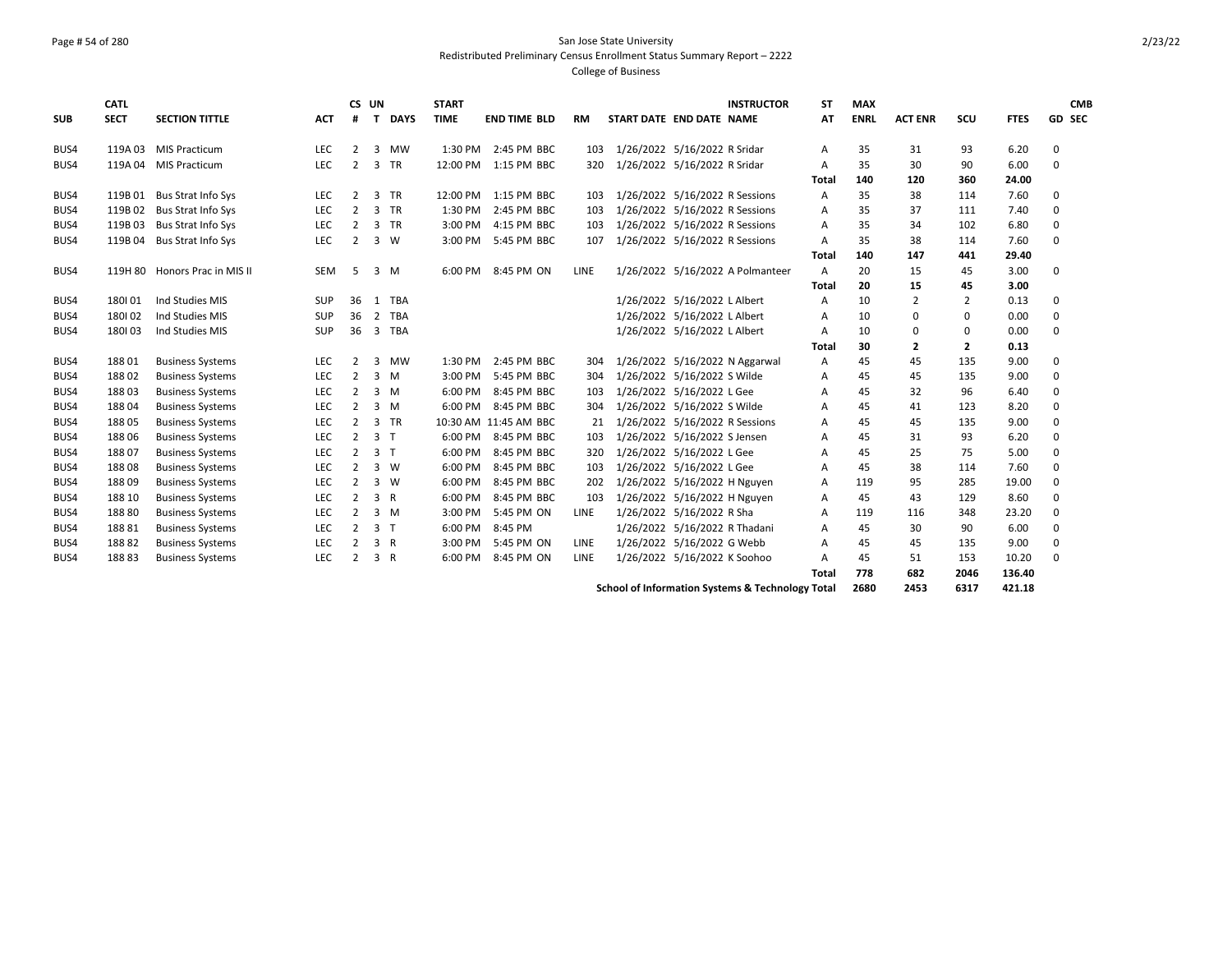### Page # 54 of 280 San Jose State University Redistributed Preliminary Census Enrollment Status Summary Report – 2222 College of Business

| <b>SUB</b> | <b>CATL</b><br><b>SECT</b> | <b>SECTION TITTLE</b>         | <b>ACT</b> | CS UN<br>#     | $\mathbf{T}$   | <b>DAYS</b> | <b>START</b><br><b>TIME</b> | <b>END TIME BLD</b>   | <b>RM</b> | START DATE END DATE NAME       | <b>INSTRUCTOR</b>                | <b>ST</b><br>AT | <b>MAX</b><br><b>ENRL</b> | <b>ACT ENR</b> | scu            | <b>FTES</b> | <b>CMB</b><br>GD SEC |
|------------|----------------------------|-------------------------------|------------|----------------|----------------|-------------|-----------------------------|-----------------------|-----------|--------------------------------|----------------------------------|-----------------|---------------------------|----------------|----------------|-------------|----------------------|
|            |                            |                               |            |                |                |             |                             |                       |           |                                |                                  |                 |                           |                |                |             |                      |
| BUS4       | 119A03                     | <b>MIS Practicum</b>          | LEC        | 2              | 3              | <b>MW</b>   | 1:30 PM                     | 2:45 PM BBC           | 103       | 1/26/2022 5/16/2022 R Sridar   |                                  | Α               | 35                        | 31             | 93             | 6.20        | $\mathbf 0$          |
| BUS4       |                            | 119A 04 MIS Practicum         | <b>LEC</b> | 2              |                | 3 TR        | 12:00 PM                    | 1:15 PM BBC           | 320       | 1/26/2022 5/16/2022 R Sridar   |                                  | A               | 35                        | 30             | 90             | 6.00        | $\Omega$             |
|            |                            |                               |            |                |                |             |                             |                       |           |                                |                                  | Total           | 140                       | 120            | 360            | 24.00       |                      |
| BUS4       |                            | 119B 01 Bus Strat Info Sys    | LEC        | 2              |                | 3 TR        | 12:00 PM                    | 1:15 PM BBC           | 103       | 1/26/2022 5/16/2022 R Sessions |                                  | A               | 35                        | 38             | 114            | 7.60        | 0                    |
| BUS4       | 119B 02                    | <b>Bus Strat Info Sys</b>     | LEC        | 2              |                | 3 TR        | 1:30 PM                     | 2:45 PM BBC           | 103       | 1/26/2022 5/16/2022 R Sessions |                                  | A               | 35                        | 37             | 111            | 7.40        | $\Omega$             |
| BUS4       | 119B03                     | <b>Bus Strat Info Sys</b>     | <b>LEC</b> | 2              |                | 3 TR        | 3:00 PM                     | 4:15 PM BBC           | 103       | 1/26/2022 5/16/2022 R Sessions |                                  | A               | 35                        | 34             | 102            | 6.80        | 0                    |
| BUS4       | 119B04                     | <b>Bus Strat Info Sys</b>     | <b>LEC</b> | 2              |                | 3 W         | 3:00 PM                     | 5:45 PM BBC           | 107       | 1/26/2022 5/16/2022 R Sessions |                                  | A               | 35                        | 38             | 114            | 7.60        | $\Omega$             |
|            |                            |                               |            |                |                |             |                             |                       |           |                                |                                  | Total           | 140                       | 147            | 441            | 29.40       |                      |
| BUS4       |                            | 119H 80 Honors Prac in MIS II | <b>SEM</b> | .5             |                | $3 \, M$    | 6:00 PM                     | 8:45 PM ON            | LINE      |                                | 1/26/2022 5/16/2022 A Polmanteer | $\mathsf{A}$    | 20                        | 15             | 45             | 3.00        | $\Omega$             |
|            |                            |                               |            |                |                |             |                             |                       |           |                                |                                  | Total           | 20                        | 15             | 45             | 3.00        |                      |
| BUS4       | 180101                     | Ind Studies MIS               | SUP        | 36             | 1              | TBA         |                             |                       |           | 1/26/2022 5/16/2022 L Albert   |                                  | Α               | 10                        | $\overline{2}$ | $\overline{2}$ | 0.13        | 0                    |
| BUS4       | 180102                     | Ind Studies MIS               | SUP        | 36             | $\overline{2}$ | TBA         |                             |                       |           | 1/26/2022 5/16/2022 L Albert   |                                  | A               | 10                        | 0              | $\mathbf 0$    | 0.00        | $\Omega$             |
| BUS4       | 180103                     | Ind Studies MIS               | SUP        | 36             |                | 3 TBA       |                             |                       |           | 1/26/2022 5/16/2022 L Albert   |                                  | Α               | 10                        | 0              | 0              | 0.00        | $\Omega$             |
|            |                            |                               |            |                |                |             |                             |                       |           |                                |                                  | <b>Total</b>    | 30                        | 2              | $\overline{2}$ | 0.13        |                      |
| BUS4       | 18801                      | <b>Business Systems</b>       | <b>LEC</b> | 2              | 3              | МW          | 1:30 PM                     | 2:45 PM BBC           | 304       |                                | 1/26/2022 5/16/2022 N Aggarwal   | A               | 45                        | 45             | 135            | 9.00        | 0                    |
| BUS4       | 18802                      | <b>Business Systems</b>       | <b>LEC</b> | 2              | 3 M            |             | 3:00 PM                     | 5:45 PM BBC           | 304       | 1/26/2022 5/16/2022 S Wilde    |                                  | A               | 45                        | 45             | 135            | 9.00        | $\Omega$             |
| BUS4       | 18803                      | <b>Business Systems</b>       | LEC        | 2              |                | 3 M         | 6:00 PM                     | 8:45 PM BBC           | 103       | 1/26/2022 5/16/2022 L Gee      |                                  | A               | 45                        | 32             | 96             | 6.40        | $\Omega$             |
| BUS4       | 18804                      | <b>Business Systems</b>       | <b>LEC</b> | 2              |                | $3 \, M$    | 6:00 PM                     | 8:45 PM BBC           | 304       | 1/26/2022 5/16/2022 S Wilde    |                                  | A               | 45                        | 41             | 123            | 8.20        | $\Omega$             |
| BUS4       | 18805                      | <b>Business Systems</b>       | <b>LEC</b> | 2              |                | 3 TR        |                             | 10:30 AM 11:45 AM BBC | 21        | 1/26/2022 5/16/2022 R Sessions |                                  | A               | 45                        | 45             | 135            | 9.00        | $\Omega$             |
| BUS4       | 18806                      | <b>Business Systems</b>       | <b>LEC</b> | 2              | 3 <sub>1</sub> |             | 6:00 PM                     | 8:45 PM BBC           | 103       | 1/26/2022 5/16/2022 S Jensen   |                                  | A               | 45                        | 31             | 93             | 6.20        | $\Omega$             |
| BUS4       | 18807                      | <b>Business Systems</b>       | <b>LEC</b> | 2              | 3 <sub>1</sub> |             | 6:00 PM                     | 8:45 PM BBC           | 320       | 1/26/2022 5/16/2022 L Gee      |                                  | A               | 45                        | 25             | 75             | 5.00        | $\Omega$             |
| BUS4       | 18808                      | <b>Business Systems</b>       | <b>LEC</b> | 2              |                | 3 W         | 6:00 PM                     | 8:45 PM BBC           | 103       | 1/26/2022 5/16/2022 L Gee      |                                  | A               | 45                        | 38             | 114            | 7.60        | 0                    |
| BUS4       | 18809                      | <b>Business Systems</b>       | LEC        | $\overline{2}$ |                | 3 W         | 6:00 PM                     | 8:45 PM BBC           | 202       | 1/26/2022 5/16/2022 H Nguyen   |                                  | A               | 119                       | 95             | 285            | 19.00       | $\Omega$             |
| BUS4       | 188 10                     | <b>Business Systems</b>       | LEC        | 2              | 3 R            |             | 6:00 PM                     | 8:45 PM BBC           | 103       | 1/26/2022 5/16/2022 H Nguyen   |                                  | A               | 45                        | 43             | 129            | 8.60        | $\Omega$             |
| BUS4       | 18880                      | <b>Business Systems</b>       | LEC        | 2              |                | 3 M         | 3:00 PM                     | 5:45 PM ON            | LINE      | 1/26/2022 5/16/2022 R Sha      |                                  | A               | 119                       | 116            | 348            | 23.20       | 0                    |
| BUS4       | 18881                      | <b>Business Systems</b>       | LEC        | $\overline{2}$ | 3 <sub>1</sub> |             | 6:00 PM                     | 8:45 PM               |           | 1/26/2022 5/16/2022 R Thadani  |                                  | A               | 45                        | 30             | 90             | 6.00        | $\Omega$             |
| BUS4       | 18882                      | <b>Business Systems</b>       | LEC        | 2              | 3 R            |             | 3:00 PM                     | 5:45 PM ON            | LINE      | 1/26/2022 5/16/2022 G Webb     |                                  | A               | 45                        | 45             | 135            | 9.00        | 0                    |
| BUS4       | 18883                      | <b>Business Systems</b>       | LEC        | 2              | 3 R            |             | 6:00 PM                     | 8:45 PM ON            | LINE      | 1/26/2022 5/16/2022 K Soohoo   |                                  | A               | 45                        | 51             | 153            | 10.20       | $\Omega$             |
|            |                            |                               |            |                |                |             |                             |                       |           |                                |                                  | <b>Total</b>    | 778                       | 682            | 2046           | 136.40      |                      |
|            |                            |                               |            |                |                |             |                             |                       |           |                                | .                                |                 |                           |                |                |             |                      |

**School of Information Systems & Technology Total 2680 2453 6317 421.18**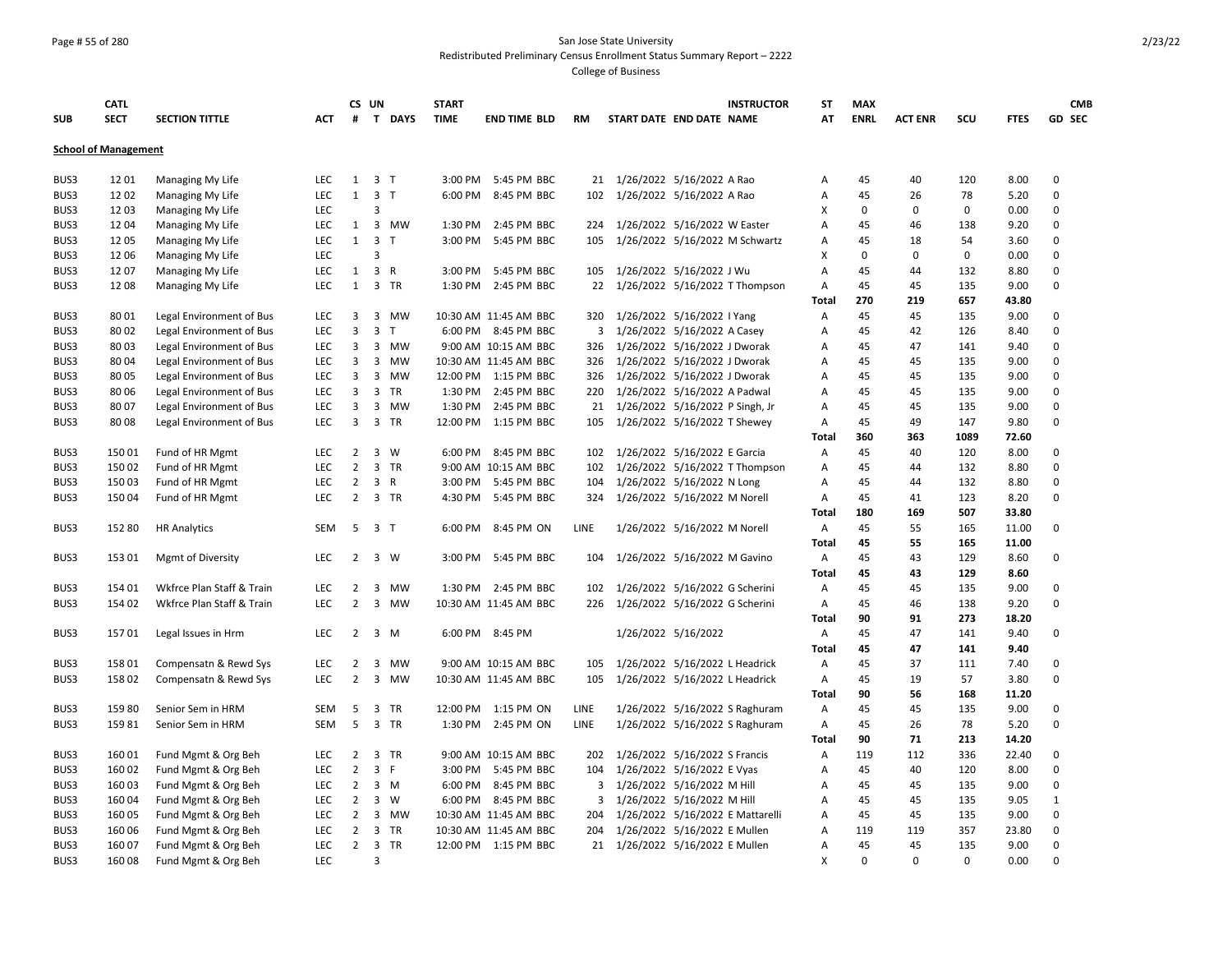## Page # 55 of 280 San Jose State University Redistributed Preliminary Census Enrollment Status Summary Report – 2222

|                             | <b>CATL</b> |                           |            |                | CS UN                   |              | <b>START</b> |                       |             |                                 |                                | <b>INSTRUCTOR</b>                | <b>ST</b>    | <b>MAX</b>  |                |             |             | <b>CMB</b>    |
|-----------------------------|-------------|---------------------------|------------|----------------|-------------------------|--------------|--------------|-----------------------|-------------|---------------------------------|--------------------------------|----------------------------------|--------------|-------------|----------------|-------------|-------------|---------------|
| <b>SUB</b>                  | <b>SECT</b> | <b>SECTION TITTLE</b>     | <b>ACT</b> | #              |                         | T DAYS       | <b>TIME</b>  | <b>END TIME BLD</b>   | <b>RM</b>   | START DATE END DATE NAME        |                                |                                  | AT           | <b>ENRL</b> | <b>ACT ENR</b> | SCU         | <b>FTES</b> | <b>GD SEC</b> |
| <b>School of Management</b> |             |                           |            |                |                         |              |              |                       |             |                                 |                                |                                  |              |             |                |             |             |               |
| BUS3                        | 1201        | Managing My Life          | <b>LEC</b> |                | $1 \quad 3 \quad T$     |              | 3:00 PM      | 5:45 PM BBC           | 21          | 1/26/2022 5/16/2022 A Rao       |                                |                                  | А            | 45          | 40             | 120         | 8.00        | $\Omega$      |
| BUS3                        | 1202        | Managing My Life          | LEC        | $\mathbf{1}$   | 3 <sub>1</sub>          |              | 6:00 PM      | 8:45 PM BBC           | 102         |                                 | 1/26/2022 5/16/2022 A Rao      |                                  | Α            | 45          | 26             | 78          | 5.20        | $\mathbf 0$   |
| BUS3                        | 1203        | Managing My Life          | <b>LEC</b> |                | 3                       |              |              |                       |             |                                 |                                |                                  | X            | 0           | 0              | $\mathbf 0$ | 0.00        | $\Omega$      |
| BUS3                        | 1204        | Managing My Life          | <b>LEC</b> | 1              | 3                       | MW           | 1:30 PM      | 2:45 PM BBC           | 224         |                                 | 1/26/2022 5/16/2022 W Easter   |                                  | A            | 45          | 46             | 138         | 9.20        | $\Omega$      |
| BUS3                        | 1205        | Managing My Life          | <b>LEC</b> | $\mathbf{1}$   | $\overline{3}$          | $\mathsf{T}$ | 3:00 PM      | 5:45 PM BBC           | 105         |                                 |                                | 1/26/2022 5/16/2022 M Schwartz   | A            | 45          | 18             | 54          | 3.60        | $\Omega$      |
| BUS3                        | 1206        | Managing My Life          | <b>LEC</b> |                | 3                       |              |              |                       |             |                                 |                                |                                  | X            | 0           | 0              | $\mathbf 0$ | 0.00        | $\mathbf 0$   |
| BUS3                        | 1207        | Managing My Life          | <b>LEC</b> | $\mathbf{1}$   | $\overline{\mathbf{3}}$ | $\mathsf{R}$ | 3:00 PM      | 5:45 PM BBC           | 105         | 1/26/2022 5/16/2022 J Wu        |                                |                                  | А            | 45          | 44             | 132         | 8.80        | $\mathbf 0$   |
| BUS3                        | 1208        | Managing My Life          | <b>LEC</b> | $\mathbf{1}$   | 3 TR                    |              | 1:30 PM      | 2:45 PM BBC           | 22          |                                 |                                | 1/26/2022 5/16/2022 T Thompson   | Α            | 45          | 45             | 135         | 9.00        | $\mathbf 0$   |
|                             |             |                           |            |                |                         |              |              |                       |             |                                 |                                |                                  | <b>Total</b> | 270         | 219            | 657         | 43.80       |               |
| BUS3                        | 8001        | Legal Environment of Bus  | <b>LEC</b> | 3              | 3                       | <b>MW</b>    |              | 10:30 AM 11:45 AM BBC | 320         | 1/26/2022 5/16/2022   Yang      |                                |                                  | Α            | 45          | 45             | 135         | 9.00        | 0             |
| BUS3                        | 8002        | Legal Environment of Bus  | LEC        | 3              | $\overline{3}$          | T            | 6:00 PM      | 8:45 PM BBC           | 3           | 1/26/2022 5/16/2022 A Casey     |                                |                                  | А            | 45          | 42             | 126         | 8.40        | 0             |
| BUS3                        | 8003        | Legal Environment of Bus  | <b>LEC</b> | 3              |                         | 3 MW         |              | 9:00 AM 10:15 AM BBC  | 326         |                                 | 1/26/2022 5/16/2022 J Dworak   |                                  | А            | 45          | 47             | 141         | 9.40        | 0             |
| BUS3                        | 8004        | Legal Environment of Bus  | LEC        | 3              | 3                       | <b>MW</b>    |              | 10:30 AM 11:45 AM BBC | 326         | 1/26/2022 5/16/2022 J Dworak    |                                |                                  | Α            | 45          | 45             | 135         | 9.00        | $\Omega$      |
| BUS3                        | 8005        | Legal Environment of Bus  | <b>LEC</b> | 3              | $\overline{\mathbf{3}}$ | MW           |              | 12:00 PM 1:15 PM BBC  | 326         |                                 | 1/26/2022 5/16/2022 J Dworak   |                                  | Α            | 45          | 45             | 135         | 9.00        | $\Omega$      |
| BUS3                        | 8006        | Legal Environment of Bus  | LEC        | $\overline{3}$ | $\overline{3}$          | TR           | 1:30 PM      | 2:45 PM BBC           | 220         |                                 | 1/26/2022 5/16/2022 A Padwal   |                                  | Α            | 45          | 45             | 135         | 9.00        | $\Omega$      |
| BUS3                        | 8007        | Legal Environment of Bus  | LEC        | 3              |                         | 3 MW         | 1:30 PM      | 2:45 PM BBC           | 21          | 1/26/2022 5/16/2022 P Singh, Jr |                                |                                  | А            | 45          | 45             | 135         | 9.00        | $\Omega$      |
| BUS3                        | 8008        | Legal Environment of Bus  | LEC        | 3              | 3                       | TR           | 12:00 PM     | 1:15 PM BBC           | 105         |                                 | 1/26/2022 5/16/2022 T Shewey   |                                  | А            | 45          | 49             | 147         | 9.80        | $\Omega$      |
|                             |             |                           |            |                |                         |              |              |                       |             |                                 |                                |                                  | Total        | 360         | 363            | 1089        | 72.60       |               |
| BUS3                        | 15001       | Fund of HR Mgmt           | LEC        | 2              | 3 W                     |              | 6:00 PM      | 8:45 PM BBC           | 102         |                                 | 1/26/2022 5/16/2022 E Garcia   |                                  | Α            | 45          | 40             | 120         | 8.00        | $\Omega$      |
| BUS3                        | 150 02      | Fund of HR Mgmt           | LEC        | $\overline{2}$ | 3 TR                    |              |              | 9:00 AM 10:15 AM BBC  | 102         |                                 |                                | 1/26/2022 5/16/2022 T Thompson   | Α            | 45          | 44             | 132         | 8.80        | $\mathbf 0$   |
| BUS3                        | 15003       | Fund of HR Mgmt           | <b>LEC</b> | $\overline{2}$ | $\overline{\mathbf{3}}$ | $\mathsf{R}$ | 3:00 PM      | 5:45 PM BBC           | 104         |                                 | 1/26/2022 5/16/2022 N Long     |                                  | А            | 45          | 44             | 132         | 8.80        | $\mathbf 0$   |
| BUS3                        | 15004       | Fund of HR Mgmt           | <b>LEC</b> | $\overline{2}$ | 3 TR                    |              | 4:30 PM      | 5:45 PM BBC           | 324         | 1/26/2022 5/16/2022 M Norell    |                                |                                  | Α            | 45          | 41             | 123         | 8.20        | $\mathbf 0$   |
|                             |             |                           |            |                |                         |              |              |                       |             |                                 |                                |                                  | Total        | 180         | 169            | 507         | 33.80       |               |
| BUS3                        | 152 80      | <b>HR Analytics</b>       | <b>SEM</b> | 5              | 3 <sub>T</sub>          |              | 6:00 PM      | 8:45 PM ON            | <b>LINE</b> |                                 | 1/26/2022 5/16/2022 M Norell   |                                  | Α            | 45          | 55             | 165         | 11.00       | 0             |
|                             |             |                           |            |                |                         |              |              |                       |             |                                 |                                |                                  | <b>Total</b> | 45          | 55             | 165         | 11.00       |               |
| BUS3                        | 153 01      | <b>Mgmt of Diversity</b>  | <b>LEC</b> | 2              | 3 W                     |              | 3:00 PM      | 5:45 PM BBC           | 104         |                                 | 1/26/2022 5/16/2022 M Gavino   |                                  | Α            | 45          | 43             | 129         | 8.60        | 0             |
|                             |             |                           |            |                |                         |              |              |                       |             |                                 |                                |                                  | <b>Total</b> | 45          | 43             | 129         | 8.60        |               |
| BUS3                        | 154 01      | Wkfrce Plan Staff & Train | <b>LEC</b> | 2              | 3                       | <b>MW</b>    | 1:30 PM      | 2:45 PM BBC           | 102         |                                 | 1/26/2022 5/16/2022 G Scherini |                                  | Α            | 45          | 45             | 135         | 9.00        | $\Omega$      |
| BUS3                        | 154 02      | Wkfrce Plan Staff & Train | <b>LEC</b> | $\overline{2}$ | $\overline{3}$          | <b>MW</b>    |              | 10:30 AM 11:45 AM BBC | 226         | 1/26/2022 5/16/2022 G Scherini  |                                |                                  | A            | 45          | 46             | 138         | 9.20        | $\Omega$      |
|                             |             |                           |            |                |                         |              |              |                       |             |                                 |                                |                                  | Total        | 90          | 91             | 273         | 18.20       |               |
| BUS3                        | 15701       | Legal Issues in Hrm       | <b>LEC</b> | $\overline{2}$ | 3 M                     |              | 6:00 PM      | 8:45 PM               |             |                                 | 1/26/2022 5/16/2022            |                                  | Α            | 45          | 47             | 141         | 9.40        | $\mathbf 0$   |
|                             |             |                           |            |                |                         |              |              |                       |             |                                 |                                |                                  | <b>Total</b> | 45          | 47             | 141         | 9.40        |               |
| BUS3                        | 158 01      | Compensatn & Rewd Sys     | LEC        | $\overline{2}$ | 3                       | MW           |              | 9:00 AM 10:15 AM BBC  | 105         |                                 | 1/26/2022 5/16/2022 L Headrick |                                  | Α            | 45          | 37             | 111         | 7.40        | $\mathbf 0$   |
| BUS3                        | 15802       | Compensatn & Rewd Sys     | <b>LEC</b> | $\overline{2}$ | $\overline{3}$          | <b>MW</b>    |              | 10:30 AM 11:45 AM BBC | 105         | 1/26/2022 5/16/2022 L Headrick  |                                |                                  | Α            | 45          | 19             | 57          | 3.80        | 0             |
|                             |             |                           |            |                |                         |              |              |                       |             |                                 |                                |                                  | <b>Total</b> | 90          | 56             | 168         | 11.20       |               |
| BUS3                        | 15980       | Senior Sem in HRM         | <b>SEM</b> | 5              | 3                       | TR           | 12:00 PM     | 1:15 PM ON            | LINE        |                                 |                                | 1/26/2022 5/16/2022 S Raghuram   | Α            | 45          | 45             | 135         | 9.00        | 0             |
| BUS3                        | 15981       | Senior Sem in HRM         | <b>SEM</b> | 5              | 3 TR                    |              | 1:30 PM      | 2:45 PM ON            | LINE        |                                 |                                | 1/26/2022 5/16/2022 S Raghuram   | Α            | 45          | 26             | 78          | 5.20        | 0             |
|                             |             |                           |            |                |                         |              |              |                       |             |                                 |                                |                                  | Total        | 90          | 71             | 213         | 14.20       |               |
| BUS3                        | 16001       | Fund Mgmt & Org Beh       | <b>LEC</b> | $\overline{2}$ | 3 TR                    |              |              | 9:00 AM 10:15 AM BBC  | 202         |                                 | 1/26/2022 5/16/2022 S Francis  |                                  | Α            | 119         | 112            | 336         | 22.40       | 0             |
| BUS3                        | 160 02      | Fund Mgmt & Org Beh       | LEC        | $\overline{2}$ | 3 F                     |              | 3:00 PM      | 5:45 PM BBC           | 104         | 1/26/2022 5/16/2022 E Vyas      |                                |                                  | Α            | 45          | 40             | 120         | 8.00        | 0             |
| BUS3                        | 160 03      | Fund Mgmt & Org Beh       | <b>LEC</b> | $\overline{2}$ | $3 \, M$                |              | 6:00 PM      | 8:45 PM BBC           | 3           | 1/26/2022 5/16/2022 M Hill      |                                |                                  | Α            | 45          | 45             | 135         | 9.00        | 0             |
| BUS3                        | 16004       | Fund Mgmt & Org Beh       | <b>LEC</b> | $\overline{2}$ | $3 \quad W$             |              | 6:00 PM      | 8:45 PM BBC           | 3           | 1/26/2022 5/16/2022 M Hill      |                                |                                  | A            | 45          | 45             | 135         | 9.05        | $\mathbf{1}$  |
| BUS3                        | 160 05      | Fund Mgmt & Org Beh       | <b>LEC</b> | $\overline{2}$ | 3                       | <b>MW</b>    |              | 10:30 AM 11:45 AM BBC | 204         |                                 |                                | 1/26/2022 5/16/2022 E Mattarelli | A            | 45          | 45             | 135         | 9.00        | $\Omega$      |
| BUS3                        | 160 06      | Fund Mgmt & Org Beh       | LEC        | $\overline{2}$ | 3 TR                    |              |              | 10:30 AM 11:45 AM BBC | 204         |                                 | 1/26/2022 5/16/2022 E Mullen   |                                  | А            | 119         | 119            | 357         | 23.80       | $\mathbf 0$   |
| BUS3                        | 160 07      | Fund Mgmt & Org Beh       | LEC        | $\overline{2}$ | 3 TR                    |              |              | 12:00 PM 1:15 PM BBC  |             | 21 1/26/2022 5/16/2022 E Mullen |                                |                                  | А            | 45          | 45             | 135         | 9.00        | $\Omega$      |
| BUS3                        | 16008       | Fund Mgmt & Org Beh       | <b>LEC</b> |                | 3                       |              |              |                       |             |                                 |                                |                                  | X            | $\Omega$    | $\Omega$       | $\Omega$    | 0.00        | $\Omega$      |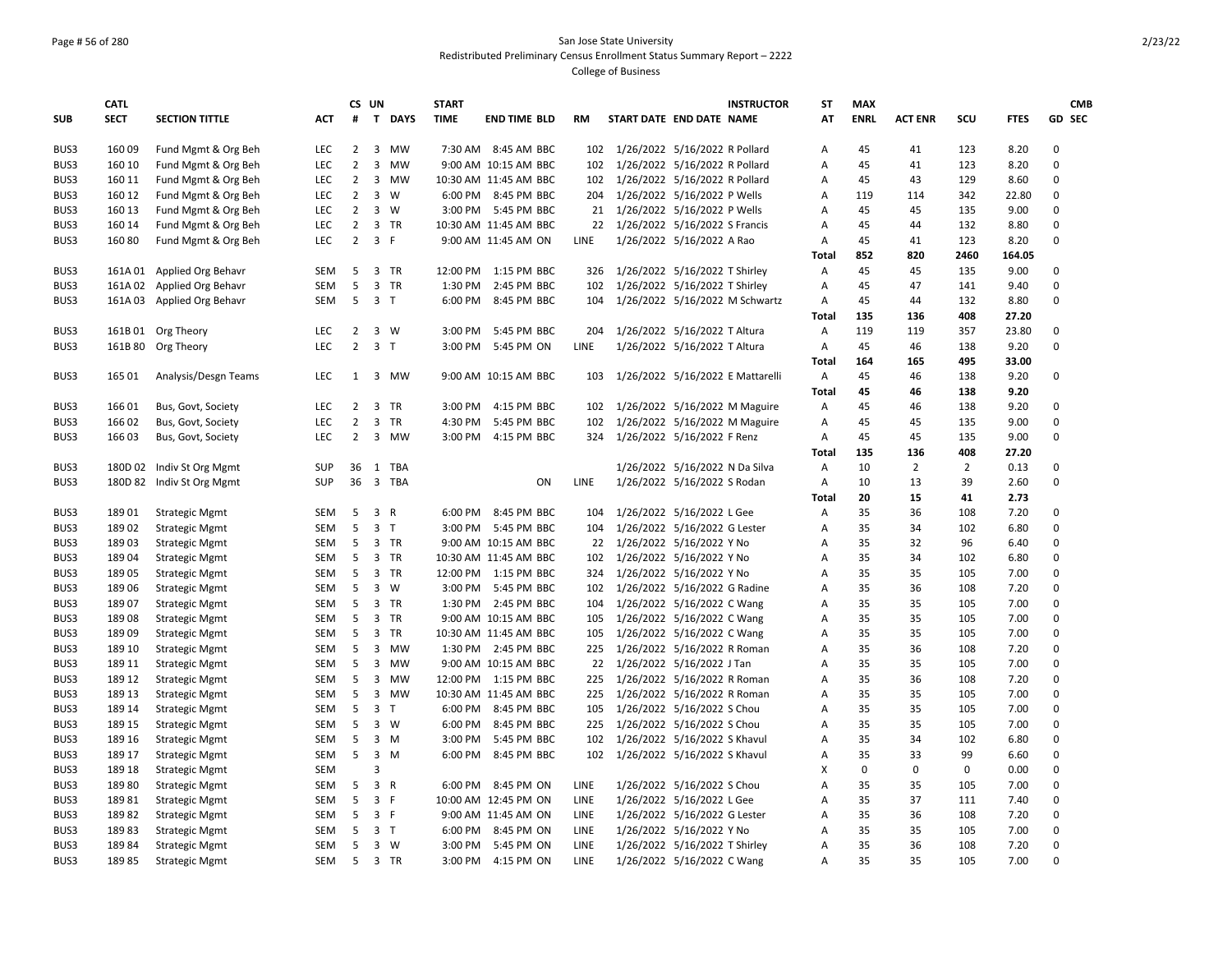### Page # 56 of 280 San Jose State University Redistributed Preliminary Census Enrollment Status Summary Report – 2222 College of Business

|            | <b>CATL</b> |                            |            |                | CS UN                   |                | <b>START</b> |                       |      | <b>INSTRUCTOR</b>                 | <b>ST</b>      | <b>MAX</b>  |                |                |             | <b>CMB</b>  |
|------------|-------------|----------------------------|------------|----------------|-------------------------|----------------|--------------|-----------------------|------|-----------------------------------|----------------|-------------|----------------|----------------|-------------|-------------|
| <b>SUB</b> | <b>SECT</b> | <b>SECTION TITTLE</b>      | АСТ        | #              |                         | T DAYS         | <b>TIME</b>  | <b>END TIME BLD</b>   | RM   | START DATE END DATE NAME          | AT             | <b>ENRL</b> | <b>ACT ENR</b> | SCU            | <b>FTES</b> | GD SEC      |
| BUS3       | 160 09      | Fund Mgmt & Org Beh        | LEC        | $\overline{2}$ |                         | 3 MW           |              | 7:30 AM 8:45 AM BBC   |      | 102 1/26/2022 5/16/2022 R Pollard | Α              | 45          | 41             | 123            | 8.20        | $\mathbf 0$ |
| BUS3       | 160 10      | Fund Mgmt & Org Beh        | LEC        | $\overline{2}$ | 3                       | MW             |              | 9:00 AM 10:15 AM BBC  | 102  | 1/26/2022 5/16/2022 R Pollard     | Α              | 45          | 41             | 123            | 8.20        | 0           |
| BUS3       | 160 11      | Fund Mgmt & Org Beh        | <b>LEC</b> | 2              |                         | 3 MW           |              | 10:30 AM 11:45 AM BBC | 102  | 1/26/2022 5/16/2022 R Pollard     | Α              | 45          | 43             | 129            | 8.60        | $\Omega$    |
| BUS3       | 160 12      | Fund Mgmt & Org Beh        | LEC.       | $\overline{2}$ | $\overline{\mathbf{3}}$ | w              |              | 6:00 PM 8:45 PM BBC   | 204  | 1/26/2022 5/16/2022 P Wells       | $\overline{A}$ | 119         | 114            | 342            | 22.80       | $\Omega$    |
| BUS3       | 160 13      | Fund Mgmt & Org Beh        | <b>LEC</b> | $\overline{2}$ |                         | $3 \quad W$    |              | 3:00 PM 5:45 PM BBC   | 21   | 1/26/2022 5/16/2022 P Wells       | A              | 45          | 45             | 135            | 9.00        | $\Omega$    |
| BUS3       | 160 14      | Fund Mgmt & Org Beh        | LEC        | $\overline{2}$ |                         | 3 TR           |              | 10:30 AM 11:45 AM BBC | 22   | 1/26/2022 5/16/2022 S Francis     | A              | 45          | 44             | 132            | 8.80        | 0           |
| BUS3       | 160 80      | Fund Mgmt & Org Beh        | <b>LEC</b> | $\overline{2}$ | 3 F                     |                |              | 9:00 AM 11:45 AM ON   | LINE | 1/26/2022 5/16/2022 A Rao         | Α              | 45          | 41             | 123            | 8.20        | $\Omega$    |
|            |             |                            |            |                |                         |                |              |                       |      |                                   | <b>Total</b>   | 852         | 820            | 2460           | 164.05      |             |
| BUS3       |             | 161A 01 Applied Org Behavr | SEM        | 5              |                         | 3 TR           |              | 12:00 PM 1:15 PM BBC  | 326  | 1/26/2022 5/16/2022 T Shirley     | Α              | 45          | 45             | 135            | 9.00        | 0           |
| BUS3       | 161A02      | Applied Org Behavr         | SEM        | 5              |                         | 3 TR           | 1:30 PM      | 2:45 PM BBC           | 102  | 1/26/2022 5/16/2022 T Shirley     | Α              | 45          | 47             | 141            | 9.40        | 0           |
| BUS3       |             | 161A 03 Applied Org Behavr | <b>SEM</b> | 5              | 3 <sub>T</sub>          |                | 6:00 PM      | 8:45 PM BBC           | 104  | 1/26/2022 5/16/2022 M Schwartz    | Α              | 45          | 44             | 132            | 8.80        | $\Omega$    |
|            |             |                            |            |                |                         |                |              |                       |      |                                   | Total          | 135         | 136            | 408            | 27.20       |             |
| BUS3       |             | 161B 01 Org Theory         | <b>LEC</b> | $\overline{2}$ |                         | 3 W            | 3:00 PM      | 5:45 PM BBC           | 204  | 1/26/2022 5/16/2022 T Altura      | A              | 119         | 119            | 357            | 23.80       | 0           |
| BUS3       |             | 161B 80 Org Theory         | LEC        | $\overline{2}$ | 3 <sub>1</sub>          |                | 3:00 PM      | 5:45 PM ON            | LINE | 1/26/2022 5/16/2022 T Altura      | A              | 45          | 46             | 138            | 9.20        | 0           |
|            |             |                            |            |                |                         |                |              |                       |      |                                   | <b>Total</b>   | 164         | 165            | 495            | 33.00       |             |
| BUS3       | 165 01      | Analysis/Desgn Teams       | <b>LEC</b> |                |                         | 1 3 MW         |              | 9:00 AM 10:15 AM BBC  | 103  | 1/26/2022 5/16/2022 E Mattarelli  | A              | 45          | 46             | 138            | 9.20        | 0           |
|            |             |                            |            |                |                         |                |              |                       |      |                                   | <b>Total</b>   | 45          | 46             | 138            | 9.20        |             |
| BUS3       | 166 01      | Bus, Govt, Society         | <b>LEC</b> | $\overline{2}$ |                         | 3 TR           | 3:00 PM      | 4:15 PM BBC           | 102  | 1/26/2022 5/16/2022 M Maguire     | Α              | 45          | 46             | 138            | 9.20        | $\Omega$    |
| BUS3       | 166 02      | Bus, Govt, Society         | LEC        | $\overline{2}$ |                         | 3 TR           | 4:30 PM      | 5:45 PM BBC           | 102  | 1/26/2022 5/16/2022 M Maguire     | Α              | 45          | 45             | 135            | 9.00        | 0           |
| BUS3       | 16603       | Bus, Govt, Society         | <b>LEC</b> | $\overline{2}$ |                         | 3 MW           | 3:00 PM      | 4:15 PM BBC           | 324  | 1/26/2022 5/16/2022 F Renz        | Α              | 45          | 45             | 135            | 9.00        | $\Omega$    |
|            |             |                            |            |                |                         |                |              |                       |      |                                   | <b>Total</b>   | 135         | 136            | 408            | 27.20       |             |
| BUS3       | 180D 02     | Indiv St Org Mgmt          | <b>SUP</b> | 36             |                         | 1 TBA          |              |                       |      | 1/26/2022 5/16/2022 N Da Silva    | Α              | 10          | $\overline{2}$ | $\overline{2}$ | 0.13        | 0           |
| BUS3       |             | 180D 82 Indiv St Org Mgmt  | <b>SUP</b> | 36             |                         | 3 TBA          |              | ON                    | LINE | 1/26/2022 5/16/2022 S Rodan       | Α              | 10          | 13             | 39             | 2.60        | 0           |
|            |             |                            |            |                |                         |                |              |                       |      |                                   | <b>Total</b>   | 20          | 15             | 41             | 2.73        |             |
| BUS3       | 18901       | <b>Strategic Mgmt</b>      | SEM        | 5              | 3                       | $\mathsf{R}$   | 6:00 PM      | 8:45 PM BBC           | 104  | 1/26/2022 5/16/2022 L Gee         | A              | 35          | 36             | 108            | 7.20        | 0           |
| BUS3       | 18902       | <b>Strategic Mgmt</b>      | <b>SEM</b> | 5              |                         | 3 <sub>1</sub> | 3:00 PM      | 5:45 PM BBC           | 104  | 1/26/2022 5/16/2022 G Lester      | A              | 35          | 34             | 102            | 6.80        | $\Omega$    |
| BUS3       | 18903       | <b>Strategic Mgmt</b>      | SEM        | 5              |                         | 3 TR           |              | 9:00 AM 10:15 AM BBC  | 22   | 1/26/2022 5/16/2022 Y No          | A              | 35          | 32             | 96             | 6.40        | 0           |
| BUS3       | 18904       | <b>Strategic Mgmt</b>      | <b>SEM</b> | 5              |                         | 3 TR           |              | 10:30 AM 11:45 AM BBC | 102  | 1/26/2022 5/16/2022 Y No          | A              | 35          | 34             | 102            | 6.80        | $\mathbf 0$ |
| BUS3       | 18905       | <b>Strategic Mgmt</b>      | SEM        | 5              |                         | 3 TR           |              | 12:00 PM 1:15 PM BBC  | 324  | 1/26/2022 5/16/2022 Y No          | A              | 35          | 35             | 105            | 7.00        | $\Omega$    |
| BUS3       | 18906       | <b>Strategic Mgmt</b>      | <b>SEM</b> | 5              |                         | $3 \quad W$    | 3:00 PM      | 5:45 PM BBC           | 102  | 1/26/2022 5/16/2022 G Radine      | A              | 35          | 36             | 108            | 7.20        | $\Omega$    |
| BUS3       | 18907       | <b>Strategic Mgmt</b>      | <b>SEM</b> | 5              |                         | 3 TR           |              | 1:30 PM 2:45 PM BBC   | 104  | 1/26/2022 5/16/2022 C Wang        | A              | 35          | 35             | 105            | 7.00        | $\Omega$    |
| BUS3       | 18908       | <b>Strategic Mgmt</b>      | SEM        | 5              |                         | 3 TR           |              | 9:00 AM 10:15 AM BBC  | 105  | 1/26/2022 5/16/2022 C Wang        | Α              | 35          | 35             | 105            | 7.00        | $\Omega$    |
| BUS3       | 18909       | <b>Strategic Mgmt</b>      | SEM        | 5              |                         | 3 TR           |              | 10:30 AM 11:45 AM BBC | 105  | 1/26/2022 5/16/2022 C Wang        | A              | 35          | 35             | 105            | 7.00        | $\Omega$    |
| BUS3       | 189 10      | <b>Strategic Mgmt</b>      | SEM        | 5              | $\overline{\mathbf{3}}$ | MW             | 1:30 PM      | 2:45 PM BBC           | 225  | 1/26/2022 5/16/2022 R Roman       | Α              | 35          | 36             | 108            | 7.20        | 0           |
| BUS3       | 189 11      | <b>Strategic Mgmt</b>      | <b>SEM</b> | 5              |                         | 3 MW           |              | 9:00 AM 10:15 AM BBC  | 22   | 1/26/2022 5/16/2022 J Tan         | $\overline{A}$ | 35          | 35             | 105            | 7.00        | 0           |
| BUS3       | 189 12      | <b>Strategic Mgmt</b>      | SEM        | 5              |                         | 3 MW           |              | 12:00 PM 1:15 PM BBC  | 225  | 1/26/2022 5/16/2022 R Roman       | Α              | 35          | 36             | 108            | 7.20        | 0           |
| BUS3       | 189 13      | <b>Strategic Mgmt</b>      | <b>SEM</b> | 5              |                         | 3 MW           |              | 10:30 AM 11:45 AM BBC | 225  | 1/26/2022 5/16/2022 R Roman       | A              | 35          | 35             | 105            | 7.00        | $\Omega$    |
| BUS3       | 189 14      | <b>Strategic Mgmt</b>      | <b>SEM</b> | 5              | 3 <sub>1</sub>          |                | 6:00 PM      | 8:45 PM BBC           | 105  | 1/26/2022 5/16/2022 S Chou        | $\overline{A}$ | 35          | 35             | 105            | 7.00        | 0           |
| BUS3       | 189 15      | <b>Strategic Mgmt</b>      | <b>SEM</b> | 5              |                         | $3 \quad W$    | 6:00 PM      | 8:45 PM BBC           | 225  | 1/26/2022 5/16/2022 S Chou        | A              | 35          | 35             | 105            | 7.00        | $\mathbf 0$ |
| BUS3       | 189 16      | <b>Strategic Mgmt</b>      | SEM        | 5              |                         | $3 \, M$       | 3:00 PM      | 5:45 PM BBC           | 102  | 1/26/2022 5/16/2022 S Khavul      | Α              | 35          | 34             | 102            | 6.80        | 0           |
| BUS3       | 189 17      | <b>Strategic Mgmt</b>      | <b>SEM</b> | 5              |                         | $3 \, M$       | 6:00 PM      | 8:45 PM BBC           | 102  | 1/26/2022 5/16/2022 S Khavul      | Α              | 35          | 33             | 99             | 6.60        | $\mathbf 0$ |
| BUS3       | 189 18      | <b>Strategic Mgmt</b>      | SEM        |                | 3                       |                |              |                       |      |                                   | X              | $\mathbf 0$ | $\mathbf 0$    | $\mathbf 0$    | 0.00        | 0           |
| BUS3       | 18980       | <b>Strategic Mgmt</b>      | SEM        | 5              | 3 R                     |                | 6:00 PM      | 8:45 PM ON            | LINE | 1/26/2022 5/16/2022 S Chou        | Α              | 35          | 35             | 105            | 7.00        | 0           |
| BUS3       | 18981       | <b>Strategic Mgmt</b>      | <b>SEM</b> | 5              | 3 F                     |                |              | 10:00 AM 12:45 PM ON  | LINE | 1/26/2022 5/16/2022 L Gee         | A              | 35          | 37             | 111            | 7.40        | $\Omega$    |
| BUS3       | 18982       | <b>Strategic Mgmt</b>      | <b>SEM</b> | 5              | 3 F                     |                |              | 9:00 AM 11:45 AM ON   | LINE | 1/26/2022 5/16/2022 G Lester      | A              | 35          | 36             | 108            | 7.20        | $\Omega$    |
| BUS3       | 18983       | <b>Strategic Mgmt</b>      | SEM        | 5              | 3 <sub>T</sub>          |                | 6:00 PM      | 8:45 PM ON            | LINE | 1/26/2022 5/16/2022 Y No          | A              | 35          | 35             | 105            | 7.00        | $\Omega$    |
| BUS3       | 18984       | <b>Strategic Mgmt</b>      | SEM        | 5              |                         | $3 \quad W$    | 3:00 PM      | 5:45 PM ON            | LINE | 1/26/2022 5/16/2022 T Shirley     | Α              | 35          | 36             | 108            | 7.20        | 0           |
| BUS3       | 18985       | <b>Strategic Mgmt</b>      | <b>SEM</b> | 5              |                         | 3 TR           | 3:00 PM      | 4:15 PM ON            | LINE | 1/26/2022 5/16/2022 C Wang        | A              | 35          | 35             | 105            | 7.00        | $\Omega$    |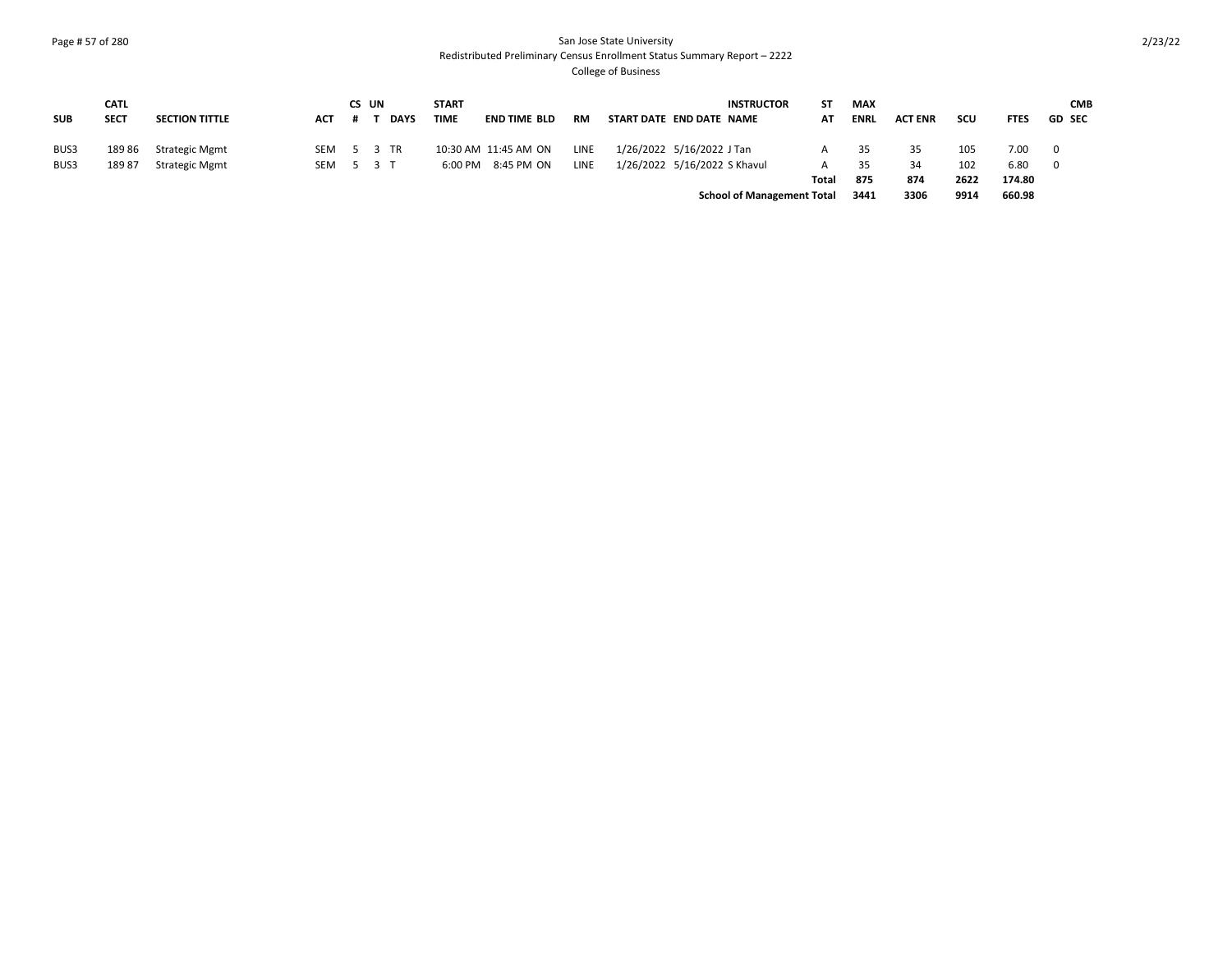### Page # 57 of 280 San Jose State University Redistributed Preliminary Census Enrollment Status Summary Report – 2222 College of Business

|            | <b>CATL</b> |                       |            | CS UN |             | <b>START</b> |                      |      |                              | <b>INSTRUCTOR</b>                 | SΤ    | <b>MAX</b>  |                |      |             | <b>CMB</b>               |
|------------|-------------|-----------------------|------------|-------|-------------|--------------|----------------------|------|------------------------------|-----------------------------------|-------|-------------|----------------|------|-------------|--------------------------|
| <b>SUB</b> | <b>SECT</b> | <b>SECTION TITTLE</b> | ACT #      |       | <b>DAYS</b> | <b>TIME</b>  | <b>END TIME BLD</b>  | RM   | START DATE END DATE NAME     |                                   | ΑТ    | <b>ENRL</b> | <b>ACT ENR</b> | scu  | <b>FTES</b> | <b>GD SEC</b>            |
|            |             |                       |            |       |             |              |                      |      |                              |                                   |       |             |                |      |             |                          |
| BUS3       | 18986       | Strategic Mgmt        | SEM 5 3 TR |       |             |              | 10:30 AM 11:45 AM ON | LINE | 1/26/2022 5/16/2022 J Tan    |                                   | А     | 35          | 35             | 105  | 7.00        | $\overline{\phantom{0}}$ |
| BUS3       | 18987       | Strategic Mgmt        | SEM 5 3 T  |       |             | 6:00 PM      | 8:45 PM ON           | LINE | 1/26/2022 5/16/2022 S Khavul |                                   | A     | 35          | 34             | 102  | 6.80        | - 0                      |
|            |             |                       |            |       |             |              |                      |      |                              |                                   | Total | 875         | 874            | 2622 | 174.80      |                          |
|            |             |                       |            |       |             |              |                      |      |                              | <b>School of Management Total</b> |       | 3441        | 3306           | 9914 | 660.98      |                          |